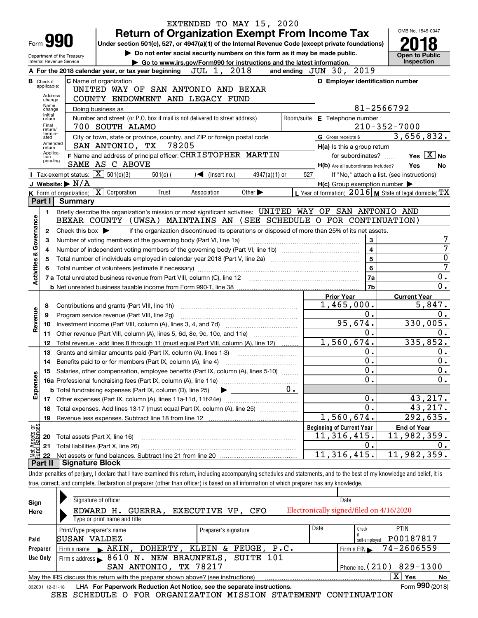|                                                                                         |                                                                                                |                                                               |                                                                                                                  | EXTENDED TO MAY 15, 2020                                                                                                                                                   |                             |                |                                  |                                                     |                                                           |  |  |
|-----------------------------------------------------------------------------------------|------------------------------------------------------------------------------------------------|---------------------------------------------------------------|------------------------------------------------------------------------------------------------------------------|----------------------------------------------------------------------------------------------------------------------------------------------------------------------------|-----------------------------|----------------|----------------------------------|-----------------------------------------------------|-----------------------------------------------------------|--|--|
|                                                                                         |                                                                                                |                                                               |                                                                                                                  | <b>Return of Organization Exempt From Income Tax</b>                                                                                                                       |                             |                |                                  |                                                     | OMB No. 1545-0047                                         |  |  |
|                                                                                         |                                                                                                | Form y90                                                      |                                                                                                                  | Under section 501(c), 527, or 4947(a)(1) of the Internal Revenue Code (except private foundations)                                                                         |                             |                |                                  |                                                     |                                                           |  |  |
|                                                                                         |                                                                                                | Department of the Treasury                                    |                                                                                                                  | Do not enter social security numbers on this form as it may be made public.                                                                                                |                             |                | <b>Open to Public</b>            |                                                     |                                                           |  |  |
|                                                                                         |                                                                                                | Internal Revenue Service                                      |                                                                                                                  | Go to www.irs.gov/Form990 for instructions and the latest information.                                                                                                     |                             |                | Inspection                       |                                                     |                                                           |  |  |
|                                                                                         | A For the 2018 calendar year, or tax year beginning $JUL$ 1, $2018$<br>and ending JUN 30, 2019 |                                                               |                                                                                                                  |                                                                                                                                                                            |                             |                |                                  |                                                     |                                                           |  |  |
|                                                                                         | <b>B</b> Check if<br>applicable:                                                               |                                                               | C Name of organization                                                                                           |                                                                                                                                                                            |                             |                |                                  |                                                     | D Employer identification number                          |  |  |
|                                                                                         | Address                                                                                        |                                                               |                                                                                                                  | UNITED WAY OF SAN ANTONIO AND BEXAR                                                                                                                                        |                             |                |                                  |                                                     |                                                           |  |  |
|                                                                                         | change<br>Name                                                                                 |                                                               | COUNTY ENDOWMENT AND LEGACY FUND<br>Doing business as                                                            |                                                                                                                                                                            |                             |                |                                  | 81-2566792                                          |                                                           |  |  |
|                                                                                         | change<br>Initial                                                                              |                                                               |                                                                                                                  | Number and street (or P.O. box if mail is not delivered to street address)                                                                                                 |                             |                | Room/suite   E Telephone number  |                                                     |                                                           |  |  |
|                                                                                         | return<br>Final                                                                                |                                                               | 700 SOUTH ALAMO                                                                                                  |                                                                                                                                                                            |                             |                |                                  |                                                     | $210 - 352 - 7000$                                        |  |  |
|                                                                                         | return/<br>termin-<br>ated                                                                     |                                                               |                                                                                                                  | City or town, state or province, country, and ZIP or foreign postal code                                                                                                   |                             |                | G Gross receipts \$              |                                                     | 3,656,832.                                                |  |  |
|                                                                                         | Amended<br>return                                                                              |                                                               | SAN ANTONIO, TX                                                                                                  | 78205                                                                                                                                                                      |                             |                |                                  | H(a) Is this a group return                         |                                                           |  |  |
|                                                                                         | Applica-<br>tion                                                                               |                                                               |                                                                                                                  | F Name and address of principal officer: CHRISTOPHER MARTIN                                                                                                                |                             |                |                                  | for subordinates?                                   | Yes $X$ No                                                |  |  |
|                                                                                         | pending                                                                                        |                                                               | SAME AS C ABOVE                                                                                                  |                                                                                                                                                                            |                             |                |                                  | H(b) Are all subordinates included?                 | Yes<br>No                                                 |  |  |
|                                                                                         |                                                                                                | <b>I</b> Tax-exempt status: $\overline{\mathbf{X}}$ 501(c)(3) | $501(c)$ (                                                                                                       | $\sqrt{\phantom{a}}$ (insert no.)                                                                                                                                          | $4947(a)(1)$ or             | 527            |                                  |                                                     | If "No," attach a list. (see instructions)                |  |  |
|                                                                                         |                                                                                                | J Website: $\triangleright$ N/A                               |                                                                                                                  |                                                                                                                                                                            |                             |                |                                  | $H(c)$ Group exemption number $\blacktriangleright$ |                                                           |  |  |
|                                                                                         |                                                                                                |                                                               | $K$ Form of organization: $X$ Corporation<br>Trust                                                               | Association                                                                                                                                                                | Other $\blacktriangleright$ |                |                                  |                                                     | L Year of formation: $2016$ M State of legal domicile: TX |  |  |
|                                                                                         | Part I I                                                                                       | Summary                                                       |                                                                                                                  |                                                                                                                                                                            |                             |                |                                  |                                                     |                                                           |  |  |
|                                                                                         | 1.                                                                                             |                                                               |                                                                                                                  | Briefly describe the organization's mission or most significant activities: UNITED WAY OF SAN ANTONIO AND                                                                  |                             |                |                                  |                                                     |                                                           |  |  |
| Governance                                                                              |                                                                                                |                                                               |                                                                                                                  | BEXAR COUNTY (UWSA) MAINTAINS AN (SEE SCHEDULE O FOR CONTINUATION)                                                                                                         |                             |                |                                  |                                                     |                                                           |  |  |
|                                                                                         | $\mathbf{2}$                                                                                   | Check this box $\blacktriangleright$                          |                                                                                                                  | if the organization discontinued its operations or disposed of more than 25% of its net assets.                                                                            |                             |                |                                  |                                                     |                                                           |  |  |
|                                                                                         | 3                                                                                              |                                                               | Number of voting members of the governing body (Part VI, line 1a)                                                |                                                                                                                                                                            |                             |                |                                  | 3<br>$\overline{4}$                                 | 7                                                         |  |  |
|                                                                                         | 4                                                                                              |                                                               |                                                                                                                  |                                                                                                                                                                            |                             |                |                                  | $\overline{5}$                                      | $\overline{0}$                                            |  |  |
| <b>Activities &amp;</b>                                                                 | 5                                                                                              |                                                               | Total number of individuals employed in calendar year 2018 (Part V, line 2a) manufacture controller to intervent |                                                                                                                                                                            |                             | $6\phantom{a}$ | 7                                |                                                     |                                                           |  |  |
|                                                                                         | 6                                                                                              |                                                               |                                                                                                                  |                                                                                                                                                                            |                             |                |                                  | 7a                                                  | 0.                                                        |  |  |
|                                                                                         |                                                                                                |                                                               |                                                                                                                  |                                                                                                                                                                            |                             |                |                                  | 7b                                                  | 0.                                                        |  |  |
|                                                                                         |                                                                                                |                                                               |                                                                                                                  |                                                                                                                                                                            |                             |                | <b>Prior Year</b>                |                                                     | <b>Current Year</b>                                       |  |  |
|                                                                                         | 8                                                                                              |                                                               | Contributions and grants (Part VIII, line 1h)                                                                    |                                                                                                                                                                            |                             |                | 1,465,000.                       |                                                     | 5,847.                                                    |  |  |
| Revenue                                                                                 | 9                                                                                              |                                                               | Program service revenue (Part VIII, line 2g)                                                                     |                                                                                                                                                                            |                             |                | 0.                               | 0.                                                  |                                                           |  |  |
|                                                                                         | 10                                                                                             |                                                               |                                                                                                                  |                                                                                                                                                                            |                             |                | 95,674.<br>330,005.              |                                                     |                                                           |  |  |
|                                                                                         | 11                                                                                             |                                                               |                                                                                                                  | Other revenue (Part VIII, column (A), lines 5, 6d, 8c, 9c, 10c, and 11e)                                                                                                   |                             |                |                                  | 0.                                                  | 0.                                                        |  |  |
|                                                                                         | 12                                                                                             |                                                               |                                                                                                                  | Total revenue - add lines 8 through 11 (must equal Part VIII, column (A), line 12)                                                                                         |                             |                | 1,560,674.                       | 335,852.                                            |                                                           |  |  |
|                                                                                         | 13                                                                                             |                                                               | Grants and similar amounts paid (Part IX, column (A), lines 1-3)                                                 |                                                                                                                                                                            |                             |                |                                  | 0.                                                  | 0.                                                        |  |  |
|                                                                                         | 14                                                                                             |                                                               | Benefits paid to or for members (Part IX, column (A), line 4)                                                    |                                                                                                                                                                            |                             |                |                                  | $\overline{0}$ .                                    | 0.                                                        |  |  |
|                                                                                         |                                                                                                |                                                               |                                                                                                                  | 15 Salaries, other compensation, employee benefits (Part IX, column (A), lines 5-10)                                                                                       |                             |                |                                  | $\overline{0}$ .                                    | $\overline{\mathbf{0}}$ .                                 |  |  |
|                                                                                         |                                                                                                |                                                               |                                                                                                                  |                                                                                                                                                                            |                             |                |                                  | 0.                                                  | $\overline{0}$ .                                          |  |  |
| Expenses                                                                                |                                                                                                |                                                               | <b>b</b> Total fundraising expenses (Part IX, column (D), line 25)                                               | ▶                                                                                                                                                                          |                             |                |                                  | 0.                                                  |                                                           |  |  |
|                                                                                         |                                                                                                |                                                               |                                                                                                                  |                                                                                                                                                                            |                             |                |                                  | 0.                                                  | 43,217.<br>43,217.                                        |  |  |
|                                                                                         | 18                                                                                             |                                                               |                                                                                                                  | Total expenses. Add lines 13-17 (must equal Part IX, column (A), line 25) [                                                                                                |                             |                | 1,560,674.                       |                                                     | 292,635.                                                  |  |  |
|                                                                                         | 19                                                                                             |                                                               |                                                                                                                  |                                                                                                                                                                            |                             |                | <b>Beginning of Current Year</b> |                                                     | <b>End of Year</b>                                        |  |  |
| : Assets or<br>dBalances                                                                | 20                                                                                             |                                                               | Total assets (Part X, line 16)                                                                                   |                                                                                                                                                                            |                             |                | 11,316,415.                      |                                                     | 11,982,359.                                               |  |  |
|                                                                                         | 21                                                                                             |                                                               | Total liabilities (Part X, line 26)                                                                              |                                                                                                                                                                            |                             |                |                                  | 0.                                                  | 0.                                                        |  |  |
| <b>Det</b><br>Ellid                                                                     | 22                                                                                             |                                                               |                                                                                                                  |                                                                                                                                                                            |                             |                | 11, 316, 415.                    |                                                     | 11,982,359.                                               |  |  |
|                                                                                         | Part II                                                                                        | <b>Signature Block</b>                                        |                                                                                                                  |                                                                                                                                                                            |                             |                |                                  |                                                     |                                                           |  |  |
|                                                                                         |                                                                                                |                                                               |                                                                                                                  | Under penalties of perjury, I declare that I have examined this return, including accompanying schedules and statements, and to the best of my knowledge and belief, it is |                             |                |                                  |                                                     |                                                           |  |  |
|                                                                                         |                                                                                                |                                                               |                                                                                                                  | true, correct, and complete. Declaration of preparer (other than officer) is based on all information of which preparer has any knowledge.                                 |                             |                |                                  |                                                     |                                                           |  |  |
|                                                                                         |                                                                                                |                                                               |                                                                                                                  |                                                                                                                                                                            |                             |                |                                  |                                                     |                                                           |  |  |
| Sign                                                                                    |                                                                                                |                                                               | Signature of officer                                                                                             |                                                                                                                                                                            |                             |                | Date                             |                                                     |                                                           |  |  |
| Electronically signed/filed on 4/16/2020<br>EDWARD H. GUERRA, EXECUTIVE VP, CFO<br>Here |                                                                                                |                                                               |                                                                                                                  |                                                                                                                                                                            |                             |                |                                  |                                                     |                                                           |  |  |
|                                                                                         |                                                                                                |                                                               | Type or print name and title                                                                                     |                                                                                                                                                                            |                             |                |                                  |                                                     |                                                           |  |  |
|                                                                                         |                                                                                                | Print/Type preparer's name                                    |                                                                                                                  | Preparer's signature                                                                                                                                                       |                             |                | Date                             | Check                                               | PTIN                                                      |  |  |
| Paid                                                                                    |                                                                                                | SUSAN VALDEZ                                                  |                                                                                                                  |                                                                                                                                                                            |                             |                |                                  | self-employed                                       | P00187817                                                 |  |  |
|                                                                                         | Preparer                                                                                       | Firm's name                                                   |                                                                                                                  | AKIN, DOHERTY, KLEIN & FEUGE, P.C.                                                                                                                                         |                             |                |                                  | Firm's EIN                                          | 74-2606559                                                |  |  |
|                                                                                         | Use Only                                                                                       |                                                               | SAN ANTONIO, TX 78217                                                                                            | Firm's address > 8610 N. NEW BRAUNFELS, SUITE 101                                                                                                                          |                             |                |                                  |                                                     | Phone no. (210) 829-1300                                  |  |  |
|                                                                                         |                                                                                                |                                                               |                                                                                                                  | May the IRS discuss this return with the preparer shown above? (see instructions)                                                                                          |                             |                |                                  |                                                     | $\overline{X}$ Yes<br>No                                  |  |  |
|                                                                                         |                                                                                                |                                                               |                                                                                                                  |                                                                                                                                                                            |                             |                |                                  |                                                     |                                                           |  |  |

|  | according to the Fau Denominate Deduction Act Notice and the concurtationalisms.  |  |  |
|--|-----------------------------------------------------------------------------------|--|--|
|  | May the IRS discuss this return with the preparer shown above? (see instructions) |  |  |

832001 12-31-18 LHA For Paperwork Reduction Act Notice, see the separate instructions.<br>SEE SCHEDULE O FOR ORGANIZATION MISSION STATEMENT CONTINUATION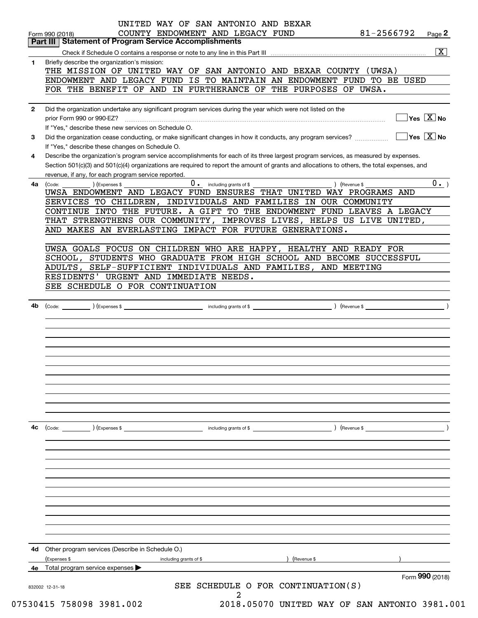|              | Total program service expenses<br>Form 990 (2018)                                                                                                                                                                                                                                    |
|--------------|--------------------------------------------------------------------------------------------------------------------------------------------------------------------------------------------------------------------------------------------------------------------------------------|
| 4d           | Other program services (Describe in Schedule O.)<br>(Revenue \$<br>(Expenses \$<br>including grants of \$                                                                                                                                                                            |
|              |                                                                                                                                                                                                                                                                                      |
|              |                                                                                                                                                                                                                                                                                      |
|              |                                                                                                                                                                                                                                                                                      |
|              | (Code: ) (Expenses \$<br>) (Revenue \$<br>including grants of \$                                                                                                                                                                                                                     |
|              |                                                                                                                                                                                                                                                                                      |
|              |                                                                                                                                                                                                                                                                                      |
|              |                                                                                                                                                                                                                                                                                      |
| 4b           | (Code: <u>expenses \$ expenses \$ expenses \$ experiments</u> of \$ expenses \$ expenses \$ expenses \$ expenses \$ expenses \$ expenses \$ expenses \$ expenses \$ expenses \$ expenses \$ expenses \$ expenses \$ expenses \$ expenses \$ expenses                                 |
|              | SEE SCHEDULE O FOR CONTINUATION                                                                                                                                                                                                                                                      |
|              | ADULTS, SELF-SUFFICIENT INDIVIDUALS AND FAMILIES, AND MEETING<br>RESIDENTS' URGENT AND IMMEDIATE NEEDS.                                                                                                                                                                              |
|              | UWSA GOALS FOCUS ON CHILDREN WHO ARE HAPPY, HEALTHY AND READY FOR<br>SCHOOL, STUDENTS WHO GRADUATE FROM HIGH SCHOOL AND BECOME SUCCESSFUL                                                                                                                                            |
|              | THAT STRENGTHENS OUR COMMUNITY, IMPROVES LIVES, HELPS US LIVE UNITED,<br>AND MAKES AN EVERLASTING IMPACT FOR FUTURE GENERATIONS.                                                                                                                                                     |
|              | SERVICES TO CHILDREN, INDIVIDUALS AND FAMILIES IN OUR COMMUNITY<br>CONTINUE INTO THE FUTURE. A GIFT TO THE ENDOWMENT FUND LEAVES A LEGACY                                                                                                                                            |
| 4a           | revenue, if any, for each program service reported.<br>0.<br>0. including grants of \$<br>(Expenses \$<br>) (Revenue \$<br>(Code:<br>UWSA ENDOWMENT AND LEGACY FUND ENSURES THAT UNITED WAY PROGRAMS AND                                                                             |
| 4            | Describe the organization's program service accomplishments for each of its three largest program services, as measured by expenses.<br>Section 501(c)(3) and 501(c)(4) organizations are required to report the amount of grants and allocations to others, the total expenses, and |
| 3            | If "Yes," describe these changes on Schedule O.                                                                                                                                                                                                                                      |
| $\mathbf{2}$ | Did the organization undertake any significant program services during the year which were not listed on the<br>$\overline{\mathsf{y}}$ es $\overline{\mathsf{X}}$ No<br>If "Yes," describe these new services on Schedule O.                                                        |
|              | FOR THE BENEFIT OF AND IN FURTHERANCE OF THE PURPOSES OF UWSA.                                                                                                                                                                                                                       |
|              | THE MISSION OF UNITED WAY OF SAN ANTONIO AND BEXAR COUNTY (UWSA)<br>ENDOWMENT AND LEGACY FUND IS TO MAINTAIN AN ENDOWMENT FUND TO BE USED                                                                                                                                            |
| 1            | Briefly describe the organization's mission:                                                                                                                                                                                                                                         |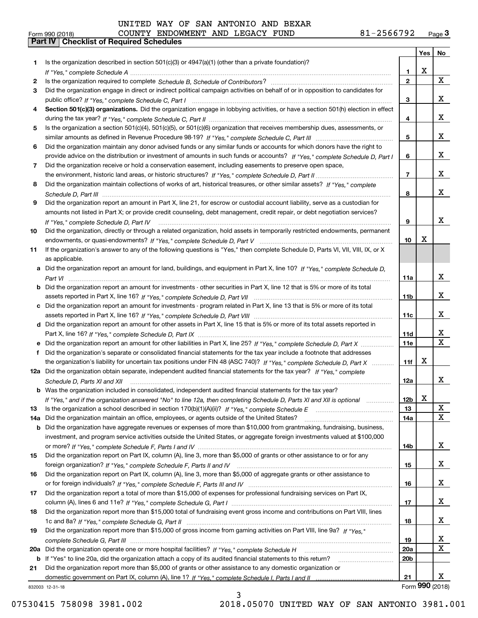# Form 990 (2018) COUNTY ENDOWMENT AND LEGACY FUND 81-2566792 <sub>Page</sub> 3<br>**Part IV | Checklist of Required Schedules**

|     |                                                                                                                                                    |                 | Yes $ $ | No              |
|-----|----------------------------------------------------------------------------------------------------------------------------------------------------|-----------------|---------|-----------------|
| 1   | Is the organization described in section $501(c)(3)$ or $4947(a)(1)$ (other than a private foundation)?                                            |                 |         |                 |
|     |                                                                                                                                                    | 1               | X       |                 |
| 2   |                                                                                                                                                    | $\mathbf{2}$    |         | X               |
| 3   | Did the organization engage in direct or indirect political campaign activities on behalf of or in opposition to candidates for                    |                 |         |                 |
|     |                                                                                                                                                    | 3               |         | x               |
| 4   | Section 501(c)(3) organizations. Did the organization engage in lobbying activities, or have a section 501(h) election in effect                   |                 |         |                 |
|     |                                                                                                                                                    | 4               |         | x               |
| 5   | Is the organization a section 501(c)(4), 501(c)(5), or 501(c)(6) organization that receives membership dues, assessments, or                       |                 |         |                 |
|     |                                                                                                                                                    | 5               |         | x               |
| 6   | Did the organization maintain any donor advised funds or any similar funds or accounts for which donors have the right to                          |                 |         |                 |
|     | provide advice on the distribution or investment of amounts in such funds or accounts? If "Yes," complete Schedule D, Part I                       | 6               |         | x               |
| 7   | Did the organization receive or hold a conservation easement, including easements to preserve open space,                                          |                 |         | x               |
|     |                                                                                                                                                    | 7               |         |                 |
| 8   | Did the organization maintain collections of works of art, historical treasures, or other similar assets? If "Yes," complete                       |                 |         | x               |
|     |                                                                                                                                                    | 8               |         |                 |
| 9   | Did the organization report an amount in Part X, line 21, for escrow or custodial account liability, serve as a custodian for                      |                 |         |                 |
|     | amounts not listed in Part X; or provide credit counseling, debt management, credit repair, or debt negotiation services?                          |                 |         | x               |
|     |                                                                                                                                                    | 9               |         |                 |
| 10  | Did the organization, directly or through a related organization, hold assets in temporarily restricted endowments, permanent                      | 10              | X       |                 |
|     |                                                                                                                                                    |                 |         |                 |
| 11  | If the organization's answer to any of the following questions is "Yes," then complete Schedule D, Parts VI, VII, VIII, IX, or X<br>as applicable. |                 |         |                 |
|     | a Did the organization report an amount for land, buildings, and equipment in Part X, line 10? If "Yes," complete Schedule D,                      |                 |         |                 |
|     |                                                                                                                                                    | 11a             |         | x               |
|     | <b>b</b> Did the organization report an amount for investments - other securities in Part X, line 12 that is 5% or more of its total               |                 |         |                 |
|     |                                                                                                                                                    | 11 <sub>b</sub> |         | x               |
|     | c Did the organization report an amount for investments - program related in Part X, line 13 that is 5% or more of its total                       |                 |         |                 |
|     |                                                                                                                                                    | 11c             |         | x               |
|     | d Did the organization report an amount for other assets in Part X, line 15 that is 5% or more of its total assets reported in                     |                 |         |                 |
|     |                                                                                                                                                    | 11d             |         | X               |
| е   | Did the organization report an amount for other liabilities in Part X, line 25? If "Yes," complete Schedule D, Part X                              | 11e             |         | $\mathbf X$     |
|     | f Did the organization's separate or consolidated financial statements for the tax year include a footnote that addresses                          |                 |         |                 |
|     | the organization's liability for uncertain tax positions under FIN 48 (ASC 740)? If "Yes," complete Schedule D, Part X                             | 11f             | х       |                 |
|     | 12a Did the organization obtain separate, independent audited financial statements for the tax year? If "Yes," complete                            |                 |         |                 |
|     | Schedule D, Parts XI and XII                                                                                                                       | 12a             |         | X               |
|     | <b>b</b> Was the organization included in consolidated, independent audited financial statements for the tax year?                                 |                 |         |                 |
|     | If "Yes," and if the organization answered "No" to line 12a, then completing Schedule D, Parts XI and XII is optional                              | 12 <sub>b</sub> | х       |                 |
| 13  |                                                                                                                                                    | 13              |         | X               |
| 14a | Did the organization maintain an office, employees, or agents outside of the United States?                                                        | 14a             |         | X               |
|     | <b>b</b> Did the organization have aggregate revenues or expenses of more than \$10,000 from grantmaking, fundraising, business,                   |                 |         |                 |
|     | investment, and program service activities outside the United States, or aggregate foreign investments valued at \$100,000                         |                 |         |                 |
|     |                                                                                                                                                    | 14b             |         | x               |
| 15  | Did the organization report on Part IX, column (A), line 3, more than \$5,000 of grants or other assistance to or for any                          |                 |         |                 |
|     |                                                                                                                                                    | 15              |         | x               |
| 16  | Did the organization report on Part IX, column (A), line 3, more than \$5,000 of aggregate grants or other assistance to                           |                 |         |                 |
|     |                                                                                                                                                    | 16              |         | x               |
| 17  | Did the organization report a total of more than \$15,000 of expenses for professional fundraising services on Part IX,                            |                 |         |                 |
|     |                                                                                                                                                    | 17              |         | x               |
| 18  | Did the organization report more than \$15,000 total of fundraising event gross income and contributions on Part VIII, lines                       |                 |         |                 |
|     |                                                                                                                                                    | 18              |         | x               |
| 19  | Did the organization report more than \$15,000 of gross income from gaming activities on Part VIII, line 9a? If "Yes."                             |                 |         |                 |
|     |                                                                                                                                                    | 19              |         | x               |
| 20a |                                                                                                                                                    | 20a             |         | X               |
|     | b If "Yes" to line 20a, did the organization attach a copy of its audited financial statements to this return?                                     | 20 <sub>b</sub> |         |                 |
| 21  | Did the organization report more than \$5,000 of grants or other assistance to any domestic organization or                                        |                 |         |                 |
|     |                                                                                                                                                    | 21              |         | X               |
|     | 832003 12-31-18                                                                                                                                    |                 |         | Form 990 (2018) |

3

07530415 758098 3981.002 2018.05070 UNITED WAY OF SAN ANTONIO 3981.001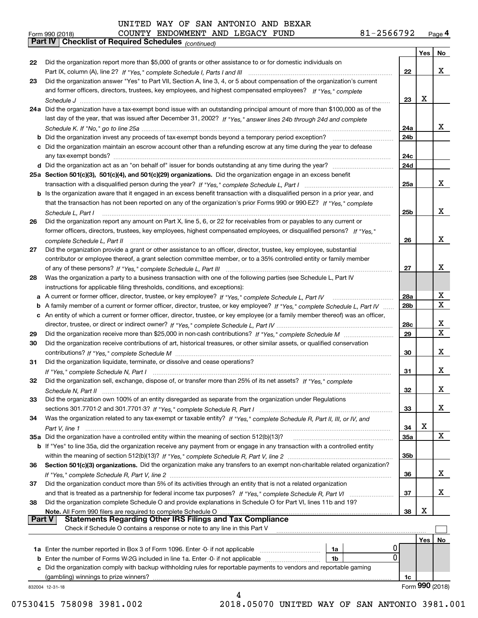|               | 81-2566792<br>COUNTY ENDOWMENT AND LEGACY FUND<br>Form 990 (2018)                                                                                                                                                                            |            |                 | Page 4 |
|---------------|----------------------------------------------------------------------------------------------------------------------------------------------------------------------------------------------------------------------------------------------|------------|-----------------|--------|
|               | <b>Part IV   Checklist of Required Schedules (COntinued)</b>                                                                                                                                                                                 |            |                 |        |
|               |                                                                                                                                                                                                                                              |            | Yes             | No     |
| 22            | Did the organization report more than \$5,000 of grants or other assistance to or for domestic individuals on                                                                                                                                |            |                 | X      |
|               |                                                                                                                                                                                                                                              | 22         |                 |        |
| 23            | Did the organization answer "Yes" to Part VII, Section A, line 3, 4, or 5 about compensation of the organization's current<br>and former officers, directors, trustees, key employees, and highest compensated employees? If "Yes," complete |            |                 |        |
|               |                                                                                                                                                                                                                                              | 23         | х               |        |
|               | 24a Did the organization have a tax-exempt bond issue with an outstanding principal amount of more than \$100,000 as of the                                                                                                                  |            |                 |        |
|               | last day of the year, that was issued after December 31, 2002? If "Yes," answer lines 24b through 24d and complete                                                                                                                           |            |                 |        |
|               |                                                                                                                                                                                                                                              | 24a        |                 | x      |
|               |                                                                                                                                                                                                                                              | 24b        |                 |        |
|               | c Did the organization maintain an escrow account other than a refunding escrow at any time during the year to defease                                                                                                                       |            |                 |        |
|               |                                                                                                                                                                                                                                              | 24c        |                 |        |
|               |                                                                                                                                                                                                                                              | 24d        |                 |        |
|               | 25a Section 501(c)(3), 501(c)(4), and 501(c)(29) organizations. Did the organization engage in an excess benefit                                                                                                                             |            |                 |        |
|               |                                                                                                                                                                                                                                              | <b>25a</b> |                 | x      |
|               | b Is the organization aware that it engaged in an excess benefit transaction with a disqualified person in a prior year, and                                                                                                                 |            |                 |        |
|               | that the transaction has not been reported on any of the organization's prior Forms 990 or 990-EZ? If "Yes," complete                                                                                                                        |            |                 |        |
|               | Schedule L, Part I                                                                                                                                                                                                                           | 25b        |                 | X      |
| 26            | Did the organization report any amount on Part X, line 5, 6, or 22 for receivables from or payables to any current or                                                                                                                        |            |                 |        |
|               | former officers, directors, trustees, key employees, highest compensated employees, or disqualified persons? If "Yes."                                                                                                                       |            |                 |        |
|               | complete Schedule L, Part II                                                                                                                                                                                                                 | 26         |                 | X      |
| 27            | Did the organization provide a grant or other assistance to an officer, director, trustee, key employee, substantial                                                                                                                         |            |                 |        |
|               | contributor or employee thereof, a grant selection committee member, or to a 35% controlled entity or family member                                                                                                                          |            |                 |        |
|               |                                                                                                                                                                                                                                              | 27         |                 | X      |
| 28            | Was the organization a party to a business transaction with one of the following parties (see Schedule L, Part IV                                                                                                                            |            |                 |        |
|               | instructions for applicable filing thresholds, conditions, and exceptions):                                                                                                                                                                  |            |                 |        |
|               |                                                                                                                                                                                                                                              | 28a        |                 | х      |
|               | b A family member of a current or former officer, director, trustee, or key employee? If "Yes," complete Schedule L, Part IV                                                                                                                 | 28b        |                 | X      |
|               | c An entity of which a current or former officer, director, trustee, or key employee (or a family member thereof) was an officer,                                                                                                            |            |                 |        |
|               |                                                                                                                                                                                                                                              | 28c        |                 | X<br>X |
| 29            |                                                                                                                                                                                                                                              | 29         |                 |        |
| 30            | Did the organization receive contributions of art, historical treasures, or other similar assets, or qualified conservation                                                                                                                  |            |                 | x      |
|               |                                                                                                                                                                                                                                              | 30         |                 |        |
| 31            | Did the organization liquidate, terminate, or dissolve and cease operations?                                                                                                                                                                 | 31         |                 | x      |
| 32            | Did the organization sell, exchange, dispose of, or transfer more than 25% of its net assets? If "Yes," complete                                                                                                                             |            |                 |        |
|               |                                                                                                                                                                                                                                              | 32         |                 | х      |
| 33            | Did the organization own 100% of an entity disregarded as separate from the organization under Regulations                                                                                                                                   |            |                 |        |
|               |                                                                                                                                                                                                                                              | 33         |                 | х      |
| 34            | Was the organization related to any tax-exempt or taxable entity? If "Yes," complete Schedule R, Part II, III, or IV, and                                                                                                                    |            |                 |        |
|               |                                                                                                                                                                                                                                              | 34         | х               |        |
|               |                                                                                                                                                                                                                                              | <b>35a</b> |                 | X      |
|               | b If "Yes" to line 35a, did the organization receive any payment from or engage in any transaction with a controlled entity                                                                                                                  |            |                 |        |
|               |                                                                                                                                                                                                                                              | 35b        |                 |        |
| 36            | Section 501(c)(3) organizations. Did the organization make any transfers to an exempt non-charitable related organization?                                                                                                                   |            |                 |        |
|               |                                                                                                                                                                                                                                              | 36         |                 | х      |
| 37            | Did the organization conduct more than 5% of its activities through an entity that is not a related organization                                                                                                                             |            |                 |        |
|               |                                                                                                                                                                                                                                              | 37         |                 | х      |
| 38            | Did the organization complete Schedule O and provide explanations in Schedule O for Part VI, lines 11b and 19?                                                                                                                               |            |                 |        |
|               | Note. All Form 990 filers are required to complete Schedule O                                                                                                                                                                                | 38         | х               |        |
| <b>Part V</b> | <b>Statements Regarding Other IRS Filings and Tax Compliance</b>                                                                                                                                                                             |            |                 |        |
|               | Check if Schedule O contains a response or note to any line in this Part V                                                                                                                                                                   |            |                 |        |
|               |                                                                                                                                                                                                                                              |            | Yes             | No     |
|               | 0<br>1a                                                                                                                                                                                                                                      |            |                 |        |
|               | 0<br><b>b</b> Enter the number of Forms W-2G included in line 1a. Enter -0- if not applicable<br>1b                                                                                                                                          |            |                 |        |
|               | c Did the organization comply with backup withholding rules for reportable payments to vendors and reportable gaming                                                                                                                         |            |                 |        |
|               |                                                                                                                                                                                                                                              | 1c         |                 |        |
|               | 832004 12-31-18                                                                                                                                                                                                                              |            | Form 990 (2018) |        |

07530415 758098 3981.002 2018.05070 UNITED WAY OF SAN ANTONIO 3981.001

4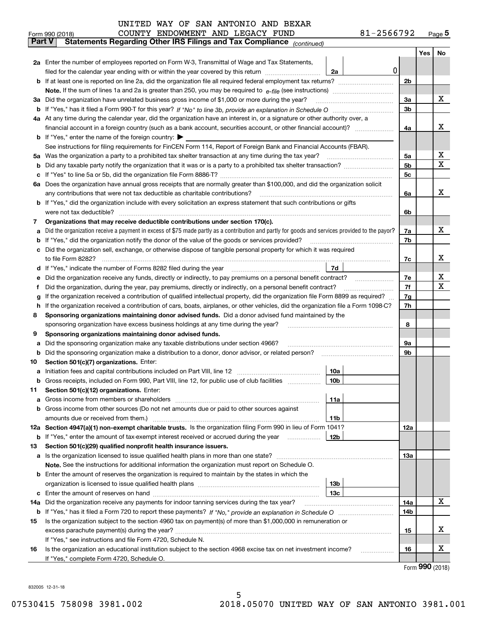|     | COUNTY ENDOWMENT AND LEGACY FUND<br>Form 990 (2018)                                                                                             | 81-2566792     |       | $Page$ <sup>5</sup> |  |  |  |  |  |  |  |
|-----|-------------------------------------------------------------------------------------------------------------------------------------------------|----------------|-------|---------------------|--|--|--|--|--|--|--|
|     | <b>Part V</b><br>Statements Regarding Other IRS Filings and Tax Compliance (continued)                                                          |                |       |                     |  |  |  |  |  |  |  |
|     |                                                                                                                                                 |                | Yes l | No                  |  |  |  |  |  |  |  |
|     | 2a Enter the number of employees reported on Form W-3, Transmittal of Wage and Tax Statements,                                                  |                |       |                     |  |  |  |  |  |  |  |
|     | 0<br>filed for the calendar year ending with or within the year covered by this return<br>2a                                                    |                |       |                     |  |  |  |  |  |  |  |
|     |                                                                                                                                                 |                |       |                     |  |  |  |  |  |  |  |
|     |                                                                                                                                                 |                |       |                     |  |  |  |  |  |  |  |
|     | 3a Did the organization have unrelated business gross income of \$1,000 or more during the year?                                                | 3a             |       | х                   |  |  |  |  |  |  |  |
|     |                                                                                                                                                 | 3b             |       |                     |  |  |  |  |  |  |  |
|     | 4a At any time during the calendar year, did the organization have an interest in, or a signature or other authority over, a                    |                |       |                     |  |  |  |  |  |  |  |
|     | financial account in a foreign country (such as a bank account, securities account, or other financial account)?                                | 4a             |       | x                   |  |  |  |  |  |  |  |
|     | <b>b</b> If "Yes," enter the name of the foreign country: $\blacktriangleright$                                                                 |                |       |                     |  |  |  |  |  |  |  |
|     | See instructions for filing requirements for FinCEN Form 114, Report of Foreign Bank and Financial Accounts (FBAR).                             |                |       | x                   |  |  |  |  |  |  |  |
| 5a  | Was the organization a party to a prohibited tax shelter transaction at any time during the tax year?                                           |                |       |                     |  |  |  |  |  |  |  |
| b   |                                                                                                                                                 | 5 <sub>b</sub> |       | х                   |  |  |  |  |  |  |  |
| c   |                                                                                                                                                 | 5c             |       |                     |  |  |  |  |  |  |  |
|     | 6a Does the organization have annual gross receipts that are normally greater than \$100,000, and did the organization solicit                  |                |       | x                   |  |  |  |  |  |  |  |
|     | any contributions that were not tax deductible as charitable contributions?                                                                     |                |       |                     |  |  |  |  |  |  |  |
|     | b If "Yes," did the organization include with every solicitation an express statement that such contributions or gifts                          |                |       |                     |  |  |  |  |  |  |  |
|     | were not tax deductible?                                                                                                                        |                |       |                     |  |  |  |  |  |  |  |
| 7   | Organizations that may receive deductible contributions under section 170(c).                                                                   |                |       |                     |  |  |  |  |  |  |  |
| a   | Did the organization receive a payment in excess of \$75 made partly as a contribution and partly for goods and services provided to the payor? | 7a             |       | х                   |  |  |  |  |  |  |  |
| b   | If "Yes," did the organization notify the donor of the value of the goods or services provided?                                                 | 7b             |       |                     |  |  |  |  |  |  |  |
|     | Did the organization sell, exchange, or otherwise dispose of tangible personal property for which it was required                               |                |       |                     |  |  |  |  |  |  |  |
|     |                                                                                                                                                 | 7c             |       | х                   |  |  |  |  |  |  |  |
| d   | 7d                                                                                                                                              |                |       |                     |  |  |  |  |  |  |  |
| е   |                                                                                                                                                 | 7e             |       | х                   |  |  |  |  |  |  |  |
| f   | Did the organization, during the year, pay premiums, directly or indirectly, on a personal benefit contract?                                    | 7f<br>7g       |       | х                   |  |  |  |  |  |  |  |
| g   | If the organization received a contribution of qualified intellectual property, did the organization file Form 8899 as required?                |                |       |                     |  |  |  |  |  |  |  |
|     | If the organization received a contribution of cars, boats, airplanes, or other vehicles, did the organization file a Form 1098-C?<br>h.        |                |       |                     |  |  |  |  |  |  |  |
| 8   | Sponsoring organizations maintaining donor advised funds. Did a donor advised fund maintained by the                                            |                |       |                     |  |  |  |  |  |  |  |
|     | sponsoring organization have excess business holdings at any time during the year?                                                              | 8              |       |                     |  |  |  |  |  |  |  |
| 9   | Sponsoring organizations maintaining donor advised funds.                                                                                       |                |       |                     |  |  |  |  |  |  |  |
| a   | Did the sponsoring organization make any taxable distributions under section 4966?                                                              | 9а             |       |                     |  |  |  |  |  |  |  |
| b   |                                                                                                                                                 | 9b             |       |                     |  |  |  |  |  |  |  |
| 10  | Section 501(c)(7) organizations. Enter:                                                                                                         |                |       |                     |  |  |  |  |  |  |  |
|     | 10a                                                                                                                                             |                |       |                     |  |  |  |  |  |  |  |
|     |                                                                                                                                                 |                |       |                     |  |  |  |  |  |  |  |
| 11  | Section 501(c)(12) organizations. Enter:                                                                                                        |                |       |                     |  |  |  |  |  |  |  |
| a   | Gross income from members or shareholders<br>11a                                                                                                |                |       |                     |  |  |  |  |  |  |  |
|     | b Gross income from other sources (Do not net amounts due or paid to other sources against                                                      |                |       |                     |  |  |  |  |  |  |  |
|     | 11b                                                                                                                                             |                |       |                     |  |  |  |  |  |  |  |
|     | 12a Section 4947(a)(1) non-exempt charitable trusts. Is the organization filing Form 990 in lieu of Form 1041?                                  | 12a            |       |                     |  |  |  |  |  |  |  |
|     | <b>b</b> If "Yes," enter the amount of tax-exempt interest received or accrued during the year <i>manument</i><br>12b                           |                |       |                     |  |  |  |  |  |  |  |
| 13  | Section 501(c)(29) qualified nonprofit health insurance issuers.                                                                                |                |       |                     |  |  |  |  |  |  |  |
|     | a Is the organization licensed to issue qualified health plans in more than one state?                                                          | 13а            |       |                     |  |  |  |  |  |  |  |
|     | Note. See the instructions for additional information the organization must report on Schedule O.                                               |                |       |                     |  |  |  |  |  |  |  |
|     | <b>b</b> Enter the amount of reserves the organization is required to maintain by the states in which the                                       |                |       |                     |  |  |  |  |  |  |  |
|     | 13b                                                                                                                                             |                |       |                     |  |  |  |  |  |  |  |
|     | 13 <sub>c</sub>                                                                                                                                 |                |       | x                   |  |  |  |  |  |  |  |
| 14a | Did the organization receive any payments for indoor tanning services during the tax year?                                                      | 14a            |       |                     |  |  |  |  |  |  |  |
|     |                                                                                                                                                 | 14b            |       |                     |  |  |  |  |  |  |  |
| 15  | Is the organization subject to the section 4960 tax on payment(s) of more than \$1,000,000 in remuneration or                                   |                |       | х                   |  |  |  |  |  |  |  |
|     |                                                                                                                                                 | 15             |       |                     |  |  |  |  |  |  |  |
|     | If "Yes," see instructions and file Form 4720, Schedule N.                                                                                      |                |       | X                   |  |  |  |  |  |  |  |
| 16  | Is the organization an educational institution subject to the section 4968 excise tax on net investment income?                                 | 16             |       |                     |  |  |  |  |  |  |  |
|     | If "Yes," complete Form 4720, Schedule O.                                                                                                       |                |       |                     |  |  |  |  |  |  |  |

Form (2018) **990**

832005 12-31-18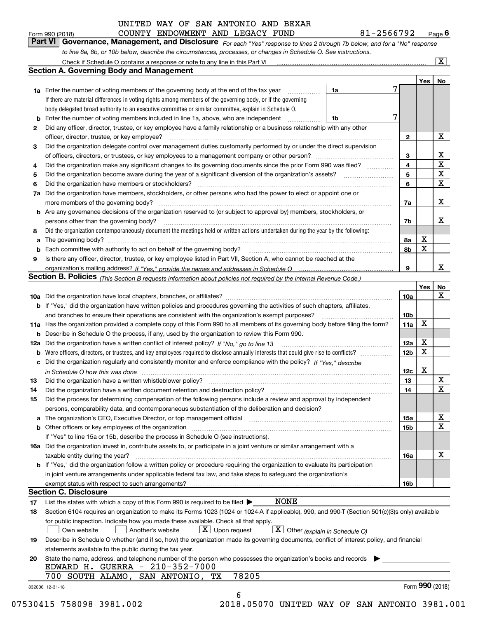| Form 990 (2018) |  | COUNTY ENDOWMENT AND LEGACY FUND |  | 81-2566792                                                                                                                  | $P_{\text{aqe}}$ 6 |
|-----------------|--|----------------------------------|--|-----------------------------------------------------------------------------------------------------------------------------|--------------------|
|                 |  |                                  |  | Part VI Governance, Management, and Disclosure For each "Yes" response to lines 2 through 7b below, and for a "No" response |                    |
|                 |  |                                  |  | to line 8a, 8b, or 10b below, describe the circumstances, processes, or changes in Schedule O. See instructions.            |                    |

|     | Check if Schedule O contains a response or note to any line in this Part VI                                                                                           |    |  |                              |     | X                |  |  |  |  |  |  |
|-----|-----------------------------------------------------------------------------------------------------------------------------------------------------------------------|----|--|------------------------------|-----|------------------|--|--|--|--|--|--|
|     | <b>Section A. Governing Body and Management</b>                                                                                                                       |    |  |                              |     |                  |  |  |  |  |  |  |
|     |                                                                                                                                                                       |    |  |                              | Yes | No               |  |  |  |  |  |  |
|     | <b>1a</b> Enter the number of voting members of the governing body at the end of the tax year                                                                         | 1a |  |                              |     |                  |  |  |  |  |  |  |
|     | If there are material differences in voting rights among members of the governing body, or if the governing                                                           |    |  |                              |     |                  |  |  |  |  |  |  |
|     | body delegated broad authority to an executive committee or similar committee, explain in Schedule O.                                                                 |    |  |                              |     |                  |  |  |  |  |  |  |
| b   | Enter the number of voting members included in line 1a, above, who are independent                                                                                    | 1b |  |                              |     |                  |  |  |  |  |  |  |
| 2   | Did any officer, director, trustee, or key employee have a family relationship or a business relationship with any other                                              |    |  |                              |     |                  |  |  |  |  |  |  |
|     | officer, director, trustee, or key employee?                                                                                                                          |    |  | $\mathbf{2}$                 |     | X                |  |  |  |  |  |  |
| 3   | Did the organization delegate control over management duties customarily performed by or under the direct supervision                                                 |    |  |                              |     |                  |  |  |  |  |  |  |
|     |                                                                                                                                                                       |    |  |                              |     |                  |  |  |  |  |  |  |
| 4   | Did the organization make any significant changes to its governing documents since the prior Form 990 was filed?                                                      |    |  |                              |     |                  |  |  |  |  |  |  |
| 5   | Did the organization become aware during the year of a significant diversion of the organization's assets? <i>manageranian</i> entity                                 |    |  | $\overline{\mathbf{4}}$<br>5 |     | $\mathbf x$<br>X |  |  |  |  |  |  |
| 6   | Did the organization have members or stockholders?                                                                                                                    |    |  | 6                            |     | X                |  |  |  |  |  |  |
| 7a  | Did the organization have members, stockholders, or other persons who had the power to elect or appoint one or                                                        |    |  |                              |     |                  |  |  |  |  |  |  |
|     | more members of the governing body?                                                                                                                                   |    |  |                              |     | x                |  |  |  |  |  |  |
|     | Are any governance decisions of the organization reserved to (or subject to approval by) members, stockholders, or                                                    |    |  | 7a                           |     |                  |  |  |  |  |  |  |
| b   |                                                                                                                                                                       |    |  |                              |     | x                |  |  |  |  |  |  |
|     | persons other than the governing body?                                                                                                                                |    |  | 7b                           |     |                  |  |  |  |  |  |  |
| 8   | Did the organization contemporaneously document the meetings held or written actions undertaken during the year by the following:                                     |    |  |                              |     |                  |  |  |  |  |  |  |
| a   |                                                                                                                                                                       |    |  | 8a                           | x   |                  |  |  |  |  |  |  |
| b   | Each committee with authority to act on behalf of the governing body?                                                                                                 |    |  | 8b                           | X   |                  |  |  |  |  |  |  |
| 9   | Is there any officer, director, trustee, or key employee listed in Part VII, Section A, who cannot be reached at the                                                  |    |  |                              |     |                  |  |  |  |  |  |  |
|     |                                                                                                                                                                       |    |  | 9                            |     | x                |  |  |  |  |  |  |
|     | <b>Section B. Policies</b> (This Section B requests information about policies not required by the Internal Revenue Code.)                                            |    |  |                              |     |                  |  |  |  |  |  |  |
|     |                                                                                                                                                                       |    |  |                              | Yes | No               |  |  |  |  |  |  |
|     |                                                                                                                                                                       |    |  | <b>10a</b>                   |     | x                |  |  |  |  |  |  |
|     | <b>b</b> If "Yes," did the organization have written policies and procedures governing the activities of such chapters, affiliates,                                   |    |  |                              |     |                  |  |  |  |  |  |  |
|     | and branches to ensure their operations are consistent with the organization's exempt purposes?                                                                       |    |  |                              |     |                  |  |  |  |  |  |  |
|     | 11a Has the organization provided a complete copy of this Form 990 to all members of its governing body before filing the form?                                       |    |  |                              |     |                  |  |  |  |  |  |  |
| b   | Describe in Schedule O the process, if any, used by the organization to review this Form 990.                                                                         |    |  |                              |     |                  |  |  |  |  |  |  |
| 12a | Did the organization have a written conflict of interest policy? If "No," go to line 13                                                                               |    |  |                              |     |                  |  |  |  |  |  |  |
| b   | Were officers, directors, or trustees, and key employees required to disclose annually interests that could give rise to conflicts?                                   |    |  |                              |     |                  |  |  |  |  |  |  |
| с   | Did the organization regularly and consistently monitor and enforce compliance with the policy? If "Yes." describe                                                    |    |  |                              |     |                  |  |  |  |  |  |  |
|     | in Schedule O how this was done measured and contain an account of the state of the state of the state of the                                                         |    |  | 12c                          | X   |                  |  |  |  |  |  |  |
| 13  | Did the organization have a written whistleblower policy?                                                                                                             |    |  | 13                           |     | X                |  |  |  |  |  |  |
| 14  | Did the organization have a written document retention and destruction policy?                                                                                        |    |  | 14                           |     | X                |  |  |  |  |  |  |
| 15  | Did the process for determining compensation of the following persons include a review and approval by independent                                                    |    |  |                              |     |                  |  |  |  |  |  |  |
|     | persons, comparability data, and contemporaneous substantiation of the deliberation and decision?                                                                     |    |  |                              |     |                  |  |  |  |  |  |  |
| а   | The organization's CEO, Executive Director, or top management official manufactured content of the organization's CEO, Executive Director, or top management official |    |  | 15a                          |     | х                |  |  |  |  |  |  |
|     | Other officers or key employees of the organization                                                                                                                   |    |  | 15b                          |     | $\mathbf X$      |  |  |  |  |  |  |
|     | If "Yes" to line 15a or 15b, describe the process in Schedule O (see instructions).                                                                                   |    |  |                              |     |                  |  |  |  |  |  |  |
|     | 16a Did the organization invest in, contribute assets to, or participate in a joint venture or similar arrangement with a                                             |    |  |                              |     |                  |  |  |  |  |  |  |
|     | taxable entity during the year?                                                                                                                                       |    |  | 16a                          |     | х                |  |  |  |  |  |  |
|     | b If "Yes," did the organization follow a written policy or procedure requiring the organization to evaluate its participation                                        |    |  |                              |     |                  |  |  |  |  |  |  |
|     | in joint venture arrangements under applicable federal tax law, and take steps to safeguard the organization's                                                        |    |  |                              |     |                  |  |  |  |  |  |  |
|     | exempt status with respect to such arrangements?                                                                                                                      |    |  |                              |     |                  |  |  |  |  |  |  |
|     | <b>Section C. Disclosure</b>                                                                                                                                          |    |  |                              |     |                  |  |  |  |  |  |  |
| 17  | <b>NONE</b><br>List the states with which a copy of this Form 990 is required to be filed $\blacktriangleright$                                                       |    |  |                              |     |                  |  |  |  |  |  |  |
| 18  | Section 6104 requires an organization to make its Forms 1023 (1024 or 1024-A if applicable), 990, and 990-T (Section 501(c)(3)s only) available                       |    |  |                              |     |                  |  |  |  |  |  |  |
|     | for public inspection. Indicate how you made these available. Check all that apply.                                                                                   |    |  |                              |     |                  |  |  |  |  |  |  |
|     | $\boxed{\mathbf{X}}$ Other (explain in Schedule O)<br>$X$ Upon request<br>Own website<br>Another's website                                                            |    |  |                              |     |                  |  |  |  |  |  |  |
| 19  | Describe in Schedule O whether (and if so, how) the organization made its governing documents, conflict of interest policy, and financial                             |    |  |                              |     |                  |  |  |  |  |  |  |
|     | statements available to the public during the tax year.                                                                                                               |    |  |                              |     |                  |  |  |  |  |  |  |
| 20  | State the name, address, and telephone number of the person who possesses the organization's books and records                                                        |    |  |                              |     |                  |  |  |  |  |  |  |
|     | EDWARD H. GUERRA - 210-352-7000                                                                                                                                       |    |  |                              |     |                  |  |  |  |  |  |  |
|     | 78205<br>SAN ANTONIO, TX<br>700 SOUTH ALAMO,                                                                                                                          |    |  |                              |     |                  |  |  |  |  |  |  |
|     | 832006 12-31-18                                                                                                                                                       |    |  |                              |     | Form 990 (2018)  |  |  |  |  |  |  |
|     | 6                                                                                                                                                                     |    |  |                              |     |                  |  |  |  |  |  |  |
|     |                                                                                                                                                                       |    |  |                              |     |                  |  |  |  |  |  |  |

07530415 758098 3981.002 2018.05070 UNITED WAY OF SAN ANTONIO 3981.001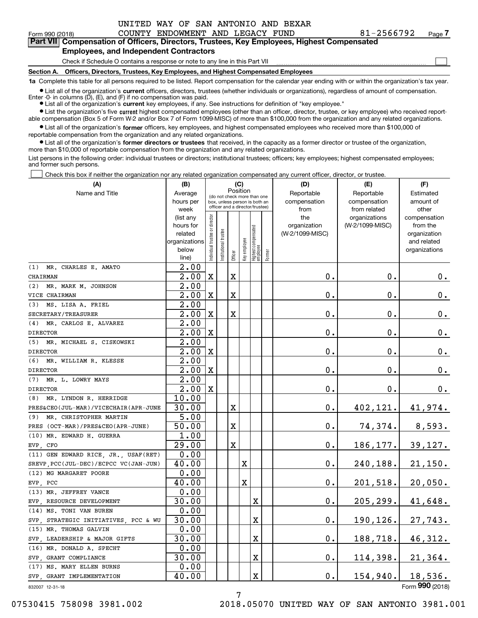| -2566792 |  | ۲а |
|----------|--|----|
|          |  |    |

 $\mathcal{L}^{\text{max}}$ 

| Form 990 (2018) |                                               | COUNTY ENDOWMENT AND LEGACY FUND |  | 81-2566792                                                                                 | Page 7 |
|-----------------|-----------------------------------------------|----------------------------------|--|--------------------------------------------------------------------------------------------|--------|
|                 |                                               |                                  |  | Part VII Compensation of Officers, Directors, Trustees, Key Employees, Highest Compensated |        |
|                 | <b>Employees, and Independent Contractors</b> |                                  |  |                                                                                            |        |

## Check if Schedule O contains a response or note to any line in this Part VII

**Section A. Officers, Directors, Trustees, Key Employees, and Highest Compensated Employees**

**1a**  Complete this table for all persons required to be listed. Report compensation for the calendar year ending with or within the organization's tax year.

**•** List all of the organization's current officers, directors, trustees (whether individuals or organizations), regardless of amount of compensation. Enter -0- in columns  $(D)$ ,  $(E)$ , and  $(F)$  if no compensation was paid.

● List all of the organization's **current** key employees, if any. See instructions for definition of "key employee."

**•** List the organization's five current highest compensated employees (other than an officer, director, trustee, or key employee) who received reportable compensation (Box 5 of Form W-2 and/or Box 7 of Form 1099-MISC) of more than \$100,000 from the organization and any related organizations.

 $\bullet$  List all of the organization's **former** officers, key employees, and highest compensated employees who received more than \$100,000 of reportable compensation from the organization and any related organizations.

**•** List all of the organization's former directors or trustees that received, in the capacity as a former director or trustee of the organization, more than \$10,000 of reportable compensation from the organization and any related organizations.

List persons in the following order: individual trustees or directors; institutional trustees; officers; key employees; highest compensated employees; and former such persons.

Check this box if neither the organization nor any related organization compensated any current officer, director, or trustee.  $\mathcal{L}^{\text{max}}$ 

| (A)                                  | (B)               |                                         |                                 |         | (C)          |                                  |        | (D)                | (E)             | (F)             |
|--------------------------------------|-------------------|-----------------------------------------|---------------------------------|---------|--------------|----------------------------------|--------|--------------------|-----------------|-----------------|
| Name and Title                       | Average           | Position<br>(do not check more than one |                                 |         |              |                                  |        | Reportable         | Reportable      | Estimated       |
|                                      | hours per         |                                         | box, unless person is both an   |         |              |                                  |        | compensation       | compensation    | amount of       |
|                                      | week              |                                         | officer and a director/trustee) |         |              |                                  |        | from               | from related    | other           |
|                                      | (list any         |                                         |                                 |         |              |                                  |        | the                | organizations   | compensation    |
|                                      | hours for         |                                         |                                 |         |              |                                  |        | organization       | (W-2/1099-MISC) | from the        |
|                                      | related           |                                         |                                 |         |              |                                  |        | (W-2/1099-MISC)    |                 | organization    |
|                                      | organizations     |                                         |                                 |         |              |                                  |        |                    |                 | and related     |
|                                      | below<br>line)    | ndividual trustee or director           | Institutional trustee           | Officer | Key employee | Highest compensated<br> employee | Former |                    |                 | organizations   |
| (1) MR. CHARLES E. AMATO             | 2.00              |                                         |                                 |         |              |                                  |        |                    |                 |                 |
| CHAIRMAN                             | $\overline{2.00}$ | X                                       |                                 | X       |              |                                  |        | 0.                 | 0.              | 0.              |
| MR. MARK M. JOHNSON<br>(2)           | $\overline{2.00}$ |                                         |                                 |         |              |                                  |        |                    |                 |                 |
| VICE CHAIRMAN                        | $\overline{2.00}$ | X                                       |                                 | X       |              |                                  |        | 0.                 | 0.              | 0.              |
| MS. LISA A. FRIEL<br>(3)             | $\overline{2.00}$ |                                         |                                 |         |              |                                  |        |                    |                 |                 |
| SECRETARY/TREASURER                  | $\overline{2.00}$ | X                                       |                                 | X       |              |                                  |        | 0.                 | 0.              | 0.              |
| MR. CARLOS E. ALVAREZ<br>(4)         | $\overline{2.00}$ |                                         |                                 |         |              |                                  |        |                    |                 |                 |
| <b>DIRECTOR</b>                      | $\overline{2.00}$ | X                                       |                                 |         |              |                                  |        | 0.                 | 0.              | 0.              |
| (5) MR. MICHAEL S. CISKOWSKI         | $\overline{2.00}$ |                                         |                                 |         |              |                                  |        |                    |                 |                 |
| <b>DIRECTOR</b>                      | $\overline{2.00}$ | X                                       |                                 |         |              |                                  |        | 0.                 | 0.              | 0.              |
| (6) MR. WILLIAM R. KLESSE            | $\overline{2.00}$ |                                         |                                 |         |              |                                  |        |                    |                 |                 |
| <b>DIRECTOR</b>                      | $\overline{2.00}$ | X                                       |                                 |         |              |                                  |        | 0.                 | 0.              | 0.              |
| (7) MR. L. LOWRY MAYS                | $\overline{2.00}$ |                                         |                                 |         |              |                                  |        |                    |                 |                 |
| <b>DIRECTOR</b>                      | 2.00              | $\mathbf X$                             |                                 |         |              |                                  |        | 0.                 | 0.              | 0.              |
| MR. LYNDON R. HERRIDGE<br>(8)        | 10.00             |                                         |                                 |         |              |                                  |        |                    |                 |                 |
| PRES&CEO(JUL-MAR)/VICECHAIR(APR-JUNE | 30.00             |                                         |                                 | X       |              |                                  |        | $\mathbf 0$ .      | 402, 121.       | 41,974.         |
| MR. CHRISTOPHER MARTIN<br>(9)        | $\overline{5.00}$ |                                         |                                 |         |              |                                  |        |                    |                 |                 |
| PRES (OCT-MAR)/PRES&CEO(APR-JUNE)    | 50.00             |                                         |                                 | X       |              |                                  |        | 0.                 | 74, 374.        | 8,593.          |
| (10) MR. EDWARD H. GUERRA            | 1.00              |                                         |                                 |         |              |                                  |        |                    |                 |                 |
| EVP, CFO                             | 29.00             |                                         |                                 | X       |              |                                  |        | $\mathbf 0$ .      | 186, 177.       | 39,127.         |
| (11) GEN EDWARD RICE, JR., USAF(RET) | 0.00              |                                         |                                 |         |              |                                  |        |                    |                 |                 |
| SREVP PCC(JUL-DEC)/ECPCC VC(JAN-JUN) | 40.00             |                                         |                                 |         | $\mathbf X$  |                                  |        | $0$ .              | 240,188.        | 21,150.         |
| (12) MG MARGARET POORE               | 0.00              |                                         |                                 |         |              |                                  |        |                    |                 |                 |
| EVP, PCC                             | 40.00             |                                         |                                 |         | $\mathbf X$  |                                  |        | $0$ .              | 201,518.        | 20,050.         |
| (13) MR. JEFFREY VANCE               | 0.00              |                                         |                                 |         |              |                                  |        |                    |                 |                 |
| EVP, RESOURCE DEVELOPMENT            | 30.00             |                                         |                                 |         |              | X                                |        | $0$ .              | 205, 299.       | 41,648.         |
| (14) MS. TONI VAN BUREN              | 0.00              |                                         |                                 |         |              |                                  |        |                    |                 |                 |
| SVP, STRATEGIC INITIATIVES, PCC & WU | 30.00             |                                         |                                 |         |              | X                                |        | 0.                 | 190, 126.       | 27,743.         |
| (15) MR. THOMAS GALVIN               | 0.00              |                                         |                                 |         |              |                                  |        |                    |                 |                 |
| SVP, LEADERSHIP & MAJOR GIFTS        | 30.00             |                                         |                                 |         |              | х                                |        | $\boldsymbol{0}$ . | 188,718.        | 46,312.         |
| (16) MR. DONALD A. SPECHT            | 0.00              |                                         |                                 |         |              |                                  |        |                    |                 |                 |
| SVP, GRANT COMPLIANCE                | 30.00             |                                         |                                 |         |              | х                                |        | $\boldsymbol{0}$ . | 114,398.        | 21,364.         |
| (17) MS. MARY ELLEN BURNS            | 0.00              |                                         |                                 |         |              |                                  |        |                    |                 |                 |
| SVP, GRANT IMPLEMENTATION            | 40.00             |                                         |                                 |         |              | X                                |        | $\boldsymbol{0}$ . | 154,940.        | 18,536.         |
| 832007 12-31-18                      |                   |                                         |                                 |         |              |                                  |        |                    |                 | Form 990 (2018) |

832007 12-31-18

07530415 758098 3981.002 2018.05070 UNITED WAY OF SAN ANTONIO 3981.001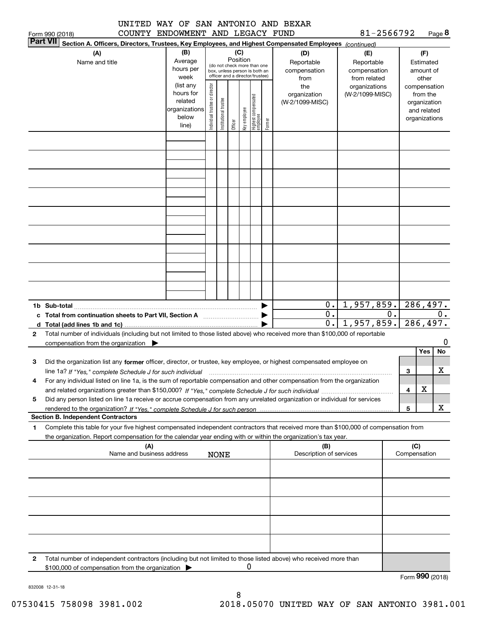|                 | UNITED | WAY OF SAN ANTONIO AND BEXAR |  |  |            |        |
|-----------------|--------|------------------------------|--|--|------------|--------|
| Form 990 (2018) | COUNTY | ENDOWMENT AND LEGACY FUND    |  |  | 81-2566792 | Page 8 |

| <b>Part VII</b> | נטו טגע ווויט ו                                                                                                                      |                |                                |                       |          |              |                                                                  |        |                            |                            |    |              |                        |          |
|-----------------|--------------------------------------------------------------------------------------------------------------------------------------|----------------|--------------------------------|-----------------------|----------|--------------|------------------------------------------------------------------|--------|----------------------------|----------------------------|----|--------------|------------------------|----------|
|                 | Section A. Officers, Directors, Trustees, Key Employees, and Highest Compensated Employees (continued)                               |                |                                |                       |          |              |                                                                  |        |                            |                            |    |              |                        |          |
|                 | (A)                                                                                                                                  | (B)<br>Average |                                |                       | Position | (C)          |                                                                  |        | (D)                        | (E)                        |    |              | (F)                    |          |
|                 | Name and title                                                                                                                       | hours per      |                                |                       |          |              | (do not check more than one                                      |        | Reportable<br>compensation | Reportable<br>compensation |    |              | Estimated<br>amount of |          |
|                 |                                                                                                                                      | week           |                                |                       |          |              | box, unless person is both an<br>officer and a director/trustee) |        | from                       | from related               |    |              | other                  |          |
|                 |                                                                                                                                      | (list any      |                                |                       |          |              |                                                                  |        | the                        | organizations              |    |              | compensation           |          |
|                 |                                                                                                                                      | hours for      | Individual trustee or director |                       |          |              |                                                                  |        | organization               | (W-2/1099-MISC)            |    |              | from the               |          |
|                 |                                                                                                                                      | related        |                                |                       |          |              |                                                                  |        | (W-2/1099-MISC)            |                            |    |              | organization           |          |
|                 |                                                                                                                                      | organizations  |                                | Institutional trustee |          |              |                                                                  |        |                            |                            |    |              | and related            |          |
|                 |                                                                                                                                      | below          |                                |                       |          | Key employee |                                                                  |        |                            |                            |    |              | organizations          |          |
|                 |                                                                                                                                      | line)          |                                |                       | Officer  |              | Highest compensated<br> employee                                 | Former |                            |                            |    |              |                        |          |
|                 |                                                                                                                                      |                |                                |                       |          |              |                                                                  |        |                            |                            |    |              |                        |          |
|                 |                                                                                                                                      |                |                                |                       |          |              |                                                                  |        |                            |                            |    |              |                        |          |
|                 |                                                                                                                                      |                |                                |                       |          |              |                                                                  |        |                            |                            |    |              |                        |          |
|                 |                                                                                                                                      |                |                                |                       |          |              |                                                                  |        |                            |                            |    |              |                        |          |
|                 |                                                                                                                                      |                |                                |                       |          |              |                                                                  |        |                            |                            |    |              |                        |          |
|                 |                                                                                                                                      |                |                                |                       |          |              |                                                                  |        |                            |                            |    |              |                        |          |
|                 |                                                                                                                                      |                |                                |                       |          |              |                                                                  |        |                            |                            |    |              |                        |          |
|                 |                                                                                                                                      |                |                                |                       |          |              |                                                                  |        |                            |                            |    |              |                        |          |
|                 |                                                                                                                                      |                |                                |                       |          |              |                                                                  |        |                            |                            |    |              |                        |          |
|                 |                                                                                                                                      |                |                                |                       |          |              |                                                                  |        |                            |                            |    |              |                        |          |
|                 |                                                                                                                                      |                |                                |                       |          |              |                                                                  |        |                            |                            |    |              |                        |          |
|                 |                                                                                                                                      |                |                                |                       |          |              |                                                                  |        |                            |                            |    |              |                        |          |
|                 |                                                                                                                                      |                |                                |                       |          |              |                                                                  |        |                            |                            |    |              |                        |          |
|                 |                                                                                                                                      |                |                                |                       |          |              |                                                                  |        |                            |                            |    |              |                        |          |
|                 |                                                                                                                                      |                |                                |                       |          |              |                                                                  |        |                            |                            |    |              |                        |          |
|                 |                                                                                                                                      |                |                                |                       |          |              |                                                                  |        |                            |                            |    |              |                        |          |
|                 |                                                                                                                                      |                |                                |                       |          |              |                                                                  |        |                            |                            |    |              |                        |          |
|                 |                                                                                                                                      |                |                                |                       |          |              |                                                                  |        |                            |                            |    |              |                        |          |
|                 |                                                                                                                                      |                |                                |                       |          |              |                                                                  |        |                            |                            |    |              |                        |          |
|                 |                                                                                                                                      |                |                                |                       |          |              |                                                                  |        | 0.1                        | 1,957,859.                 |    |              |                        | 286,497. |
|                 | c Total from continuation sheets to Part VII, Section A manufactured by                                                              |                |                                |                       |          |              |                                                                  |        | $0$ .                      |                            | 0. |              |                        | 0.       |
|                 |                                                                                                                                      |                |                                |                       |          |              |                                                                  |        | $\overline{0}$ .           | 1,957,859.                 |    | 286,497.     |                        |          |
| 2               | Total number of individuals (including but not limited to those listed above) who received more than \$100,000 of reportable         |                |                                |                       |          |              |                                                                  |        |                            |                            |    |              |                        |          |
|                 | compensation from the organization                                                                                                   |                |                                |                       |          |              |                                                                  |        |                            |                            |    |              |                        | O        |
|                 |                                                                                                                                      |                |                                |                       |          |              |                                                                  |        |                            |                            |    |              | Yes                    | No       |
| 3               | Did the organization list any former officer, director, or trustee, key employee, or highest compensated employee on                 |                |                                |                       |          |              |                                                                  |        |                            |                            |    |              |                        |          |
|                 |                                                                                                                                      |                |                                |                       |          |              |                                                                  |        |                            |                            |    |              |                        | x        |
|                 | line 1a? If "Yes," complete Schedule J for such individual                                                                           |                |                                |                       |          |              |                                                                  |        |                            |                            |    | 3            |                        |          |
| 4               | For any individual listed on line 1a, is the sum of reportable compensation and other compensation from the organization             |                |                                |                       |          |              |                                                                  |        |                            |                            |    |              |                        |          |
|                 |                                                                                                                                      |                |                                |                       |          |              |                                                                  |        |                            |                            |    | 4            | X                      |          |
| 5               | Did any person listed on line 1a receive or accrue compensation from any unrelated organization or individual for services           |                |                                |                       |          |              |                                                                  |        |                            |                            |    |              |                        |          |
|                 |                                                                                                                                      |                |                                |                       |          |              |                                                                  |        |                            |                            |    | 5            |                        | x        |
|                 | <b>Section B. Independent Contractors</b>                                                                                            |                |                                |                       |          |              |                                                                  |        |                            |                            |    |              |                        |          |
| 1               | Complete this table for your five highest compensated independent contractors that received more than \$100,000 of compensation from |                |                                |                       |          |              |                                                                  |        |                            |                            |    |              |                        |          |
|                 | the organization. Report compensation for the calendar year ending with or within the organization's tax year.                       |                |                                |                       |          |              |                                                                  |        |                            |                            |    |              |                        |          |
|                 | (A)                                                                                                                                  |                |                                |                       |          |              |                                                                  |        | (B)                        |                            |    | (C)          |                        |          |
|                 | Name and business address                                                                                                            |                |                                | <b>NONE</b>           |          |              |                                                                  |        | Description of services    |                            |    | Compensation |                        |          |
|                 |                                                                                                                                      |                |                                |                       |          |              |                                                                  |        |                            |                            |    |              |                        |          |
|                 |                                                                                                                                      |                |                                |                       |          |              |                                                                  |        |                            |                            |    |              |                        |          |
|                 |                                                                                                                                      |                |                                |                       |          |              |                                                                  |        |                            |                            |    |              |                        |          |
|                 |                                                                                                                                      |                |                                |                       |          |              |                                                                  |        |                            |                            |    |              |                        |          |
|                 |                                                                                                                                      |                |                                |                       |          |              |                                                                  |        |                            |                            |    |              |                        |          |
|                 |                                                                                                                                      |                |                                |                       |          |              |                                                                  |        |                            |                            |    |              |                        |          |
|                 |                                                                                                                                      |                |                                |                       |          |              |                                                                  |        |                            |                            |    |              |                        |          |
|                 |                                                                                                                                      |                |                                |                       |          |              |                                                                  |        |                            |                            |    |              |                        |          |
| 2               | Total number of independent contractors (including but not limited to those listed above) who received more than                     |                |                                |                       |          |              |                                                                  |        |                            |                            |    |              |                        |          |
|                 | \$100,000 of compensation from the organization                                                                                      |                |                                |                       |          | 0            |                                                                  |        |                            |                            |    |              |                        |          |

Form (2018) **990**

832008 12-31-18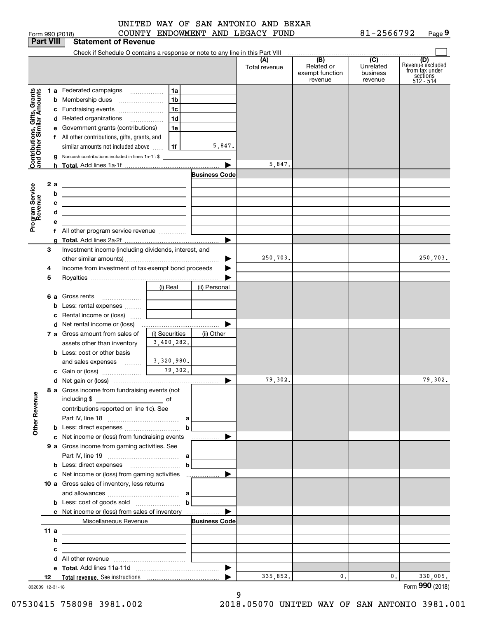| UNITED WAY OF SAN ANTONIO AND BEXAR |  |  |  |  |
|-------------------------------------|--|--|--|--|
|                                     |  |  |  |  |
|                                     |  |  |  |  |

Form 990 (2018) COUNTY ENDOWMENT AND LEGACY FUND 81-2566792 Page **9** 81-2566792

| Check if Schedule O contains a response or note to any line in this Part VIII<br>(B)<br>$\overline{C}$<br>(D)<br>(A)<br>Related or<br>Unrelated<br>Total revenue<br>from tax under<br>exempt function<br>business<br>sections<br>512 - 514<br>revenue<br>revenue<br>Grants<br>1 a Federated campaigns<br>1a<br>Amounts<br>1b<br><b>b</b> Membership dues<br>1c<br>c Fundraising events<br>Contributions, Gifts,<br>and Other Similar Ar<br>1d<br>d Related organizations<br>e Government grants (contributions)<br>1e<br>f All other contributions, gifts, grants, and<br>5,847.<br>1f<br>similar amounts not included above<br>Noncash contributions included in lines 1a-1f: \$<br>5,847.<br><b>Business Code</b><br>2a<br>Program Service<br>Revenue<br><u> 1989 - Johann Stein, mars an deus an deus Amerikaanse komme en de Fryske komme</u><br>b<br><u> 1989 - Johann Barbara, martxa alemaniar arg</u><br>с<br><u> 1989 - Johann Barbara, markazi bashkar a shekara ta 1989 - André a shekara ta 1989 - André a shekara ta 198</u><br><u> 1989 - Johann Barn, mars and de Branch Barn, mars and de Branch Barn, mars and de Branch Barn, mars and de Br</u><br>3<br>Investment income (including dividends, interest, and<br>250,703.<br>Income from investment of tax-exempt bond proceeds<br>4<br>5<br>(i) Real<br>(ii) Personal<br>6 a Gross rents<br>Less: rental expenses<br>b<br>c Rental income or (loss)<br>7 a Gross amount from sales of<br>(i) Securities<br>(ii) Other<br>3,400,282.<br>assets other than inventory<br><b>b</b> Less: cost or other basis<br>3,320,980.<br>and sales expenses   <br>79,302.<br>▶<br>8 a Gross income from fundraising events (not<br><b>Other Revenue</b><br>including \$<br>contributions reported on line 1c). See<br>$\mathbf b$<br>c Net income or (loss) from fundraising events<br>▶<br>.<br>9 a Gross income from gaming activities. See<br>$\mathbf b$<br>10 a Gross sales of inventory, less returns<br><b>b</b> Less: cost of goods sold $\ldots$ $\ldots$ <b>b</b><br>▶<br>c Net income or (loss) from sales of inventory<br>Miscellaneous Revenue<br><b>Business Code</b><br>11 a<br><u> 1989 - Johann Stein, marwolaethau a bhann an t-Amhainn an t-Amhainn an t-Amhainn an t-Amhainn an t-Amhainn an</u><br>b<br>the control of the control of the control of the control of the control of the control of<br>с<br>the contract of the contract of the contract of the contract of the contract of<br>d<br>335,852.<br>$\mathbf{0}$ .<br>0.<br>330,005.<br>12<br>832009 12-31-18 |  | <b>Part VIII</b> | <b>Statement of Revenue</b> |  |  |                  |
|---------------------------------------------------------------------------------------------------------------------------------------------------------------------------------------------------------------------------------------------------------------------------------------------------------------------------------------------------------------------------------------------------------------------------------------------------------------------------------------------------------------------------------------------------------------------------------------------------------------------------------------------------------------------------------------------------------------------------------------------------------------------------------------------------------------------------------------------------------------------------------------------------------------------------------------------------------------------------------------------------------------------------------------------------------------------------------------------------------------------------------------------------------------------------------------------------------------------------------------------------------------------------------------------------------------------------------------------------------------------------------------------------------------------------------------------------------------------------------------------------------------------------------------------------------------------------------------------------------------------------------------------------------------------------------------------------------------------------------------------------------------------------------------------------------------------------------------------------------------------------------------------------------------------------------------------------------------------------------------------------------------------------------------------------------------------------------------------------------------------------------------------------------------------------------------------------------------------------------------------------------------------------------------------------------------------------------------------------------------------------------------------------------------------------------------------------------------------------------------------------------------------------------------------------|--|------------------|-----------------------------|--|--|------------------|
|                                                                                                                                                                                                                                                                                                                                                                                                                                                                                                                                                                                                                                                                                                                                                                                                                                                                                                                                                                                                                                                                                                                                                                                                                                                                                                                                                                                                                                                                                                                                                                                                                                                                                                                                                                                                                                                                                                                                                                                                                                                                                                                                                                                                                                                                                                                                                                                                                                                                                                                                                   |  |                  |                             |  |  |                  |
|                                                                                                                                                                                                                                                                                                                                                                                                                                                                                                                                                                                                                                                                                                                                                                                                                                                                                                                                                                                                                                                                                                                                                                                                                                                                                                                                                                                                                                                                                                                                                                                                                                                                                                                                                                                                                                                                                                                                                                                                                                                                                                                                                                                                                                                                                                                                                                                                                                                                                                                                                   |  |                  |                             |  |  | Revenue excluded |
|                                                                                                                                                                                                                                                                                                                                                                                                                                                                                                                                                                                                                                                                                                                                                                                                                                                                                                                                                                                                                                                                                                                                                                                                                                                                                                                                                                                                                                                                                                                                                                                                                                                                                                                                                                                                                                                                                                                                                                                                                                                                                                                                                                                                                                                                                                                                                                                                                                                                                                                                                   |  |                  |                             |  |  |                  |
|                                                                                                                                                                                                                                                                                                                                                                                                                                                                                                                                                                                                                                                                                                                                                                                                                                                                                                                                                                                                                                                                                                                                                                                                                                                                                                                                                                                                                                                                                                                                                                                                                                                                                                                                                                                                                                                                                                                                                                                                                                                                                                                                                                                                                                                                                                                                                                                                                                                                                                                                                   |  |                  |                             |  |  |                  |
|                                                                                                                                                                                                                                                                                                                                                                                                                                                                                                                                                                                                                                                                                                                                                                                                                                                                                                                                                                                                                                                                                                                                                                                                                                                                                                                                                                                                                                                                                                                                                                                                                                                                                                                                                                                                                                                                                                                                                                                                                                                                                                                                                                                                                                                                                                                                                                                                                                                                                                                                                   |  |                  |                             |  |  |                  |
|                                                                                                                                                                                                                                                                                                                                                                                                                                                                                                                                                                                                                                                                                                                                                                                                                                                                                                                                                                                                                                                                                                                                                                                                                                                                                                                                                                                                                                                                                                                                                                                                                                                                                                                                                                                                                                                                                                                                                                                                                                                                                                                                                                                                                                                                                                                                                                                                                                                                                                                                                   |  |                  |                             |  |  |                  |
|                                                                                                                                                                                                                                                                                                                                                                                                                                                                                                                                                                                                                                                                                                                                                                                                                                                                                                                                                                                                                                                                                                                                                                                                                                                                                                                                                                                                                                                                                                                                                                                                                                                                                                                                                                                                                                                                                                                                                                                                                                                                                                                                                                                                                                                                                                                                                                                                                                                                                                                                                   |  |                  |                             |  |  |                  |
|                                                                                                                                                                                                                                                                                                                                                                                                                                                                                                                                                                                                                                                                                                                                                                                                                                                                                                                                                                                                                                                                                                                                                                                                                                                                                                                                                                                                                                                                                                                                                                                                                                                                                                                                                                                                                                                                                                                                                                                                                                                                                                                                                                                                                                                                                                                                                                                                                                                                                                                                                   |  |                  |                             |  |  |                  |
|                                                                                                                                                                                                                                                                                                                                                                                                                                                                                                                                                                                                                                                                                                                                                                                                                                                                                                                                                                                                                                                                                                                                                                                                                                                                                                                                                                                                                                                                                                                                                                                                                                                                                                                                                                                                                                                                                                                                                                                                                                                                                                                                                                                                                                                                                                                                                                                                                                                                                                                                                   |  |                  |                             |  |  |                  |
|                                                                                                                                                                                                                                                                                                                                                                                                                                                                                                                                                                                                                                                                                                                                                                                                                                                                                                                                                                                                                                                                                                                                                                                                                                                                                                                                                                                                                                                                                                                                                                                                                                                                                                                                                                                                                                                                                                                                                                                                                                                                                                                                                                                                                                                                                                                                                                                                                                                                                                                                                   |  |                  |                             |  |  |                  |
|                                                                                                                                                                                                                                                                                                                                                                                                                                                                                                                                                                                                                                                                                                                                                                                                                                                                                                                                                                                                                                                                                                                                                                                                                                                                                                                                                                                                                                                                                                                                                                                                                                                                                                                                                                                                                                                                                                                                                                                                                                                                                                                                                                                                                                                                                                                                                                                                                                                                                                                                                   |  |                  |                             |  |  |                  |
|                                                                                                                                                                                                                                                                                                                                                                                                                                                                                                                                                                                                                                                                                                                                                                                                                                                                                                                                                                                                                                                                                                                                                                                                                                                                                                                                                                                                                                                                                                                                                                                                                                                                                                                                                                                                                                                                                                                                                                                                                                                                                                                                                                                                                                                                                                                                                                                                                                                                                                                                                   |  |                  |                             |  |  |                  |
|                                                                                                                                                                                                                                                                                                                                                                                                                                                                                                                                                                                                                                                                                                                                                                                                                                                                                                                                                                                                                                                                                                                                                                                                                                                                                                                                                                                                                                                                                                                                                                                                                                                                                                                                                                                                                                                                                                                                                                                                                                                                                                                                                                                                                                                                                                                                                                                                                                                                                                                                                   |  |                  |                             |  |  |                  |
|                                                                                                                                                                                                                                                                                                                                                                                                                                                                                                                                                                                                                                                                                                                                                                                                                                                                                                                                                                                                                                                                                                                                                                                                                                                                                                                                                                                                                                                                                                                                                                                                                                                                                                                                                                                                                                                                                                                                                                                                                                                                                                                                                                                                                                                                                                                                                                                                                                                                                                                                                   |  |                  |                             |  |  |                  |
|                                                                                                                                                                                                                                                                                                                                                                                                                                                                                                                                                                                                                                                                                                                                                                                                                                                                                                                                                                                                                                                                                                                                                                                                                                                                                                                                                                                                                                                                                                                                                                                                                                                                                                                                                                                                                                                                                                                                                                                                                                                                                                                                                                                                                                                                                                                                                                                                                                                                                                                                                   |  |                  |                             |  |  |                  |
|                                                                                                                                                                                                                                                                                                                                                                                                                                                                                                                                                                                                                                                                                                                                                                                                                                                                                                                                                                                                                                                                                                                                                                                                                                                                                                                                                                                                                                                                                                                                                                                                                                                                                                                                                                                                                                                                                                                                                                                                                                                                                                                                                                                                                                                                                                                                                                                                                                                                                                                                                   |  |                  |                             |  |  |                  |
|                                                                                                                                                                                                                                                                                                                                                                                                                                                                                                                                                                                                                                                                                                                                                                                                                                                                                                                                                                                                                                                                                                                                                                                                                                                                                                                                                                                                                                                                                                                                                                                                                                                                                                                                                                                                                                                                                                                                                                                                                                                                                                                                                                                                                                                                                                                                                                                                                                                                                                                                                   |  |                  |                             |  |  |                  |
|                                                                                                                                                                                                                                                                                                                                                                                                                                                                                                                                                                                                                                                                                                                                                                                                                                                                                                                                                                                                                                                                                                                                                                                                                                                                                                                                                                                                                                                                                                                                                                                                                                                                                                                                                                                                                                                                                                                                                                                                                                                                                                                                                                                                                                                                                                                                                                                                                                                                                                                                                   |  |                  |                             |  |  |                  |
|                                                                                                                                                                                                                                                                                                                                                                                                                                                                                                                                                                                                                                                                                                                                                                                                                                                                                                                                                                                                                                                                                                                                                                                                                                                                                                                                                                                                                                                                                                                                                                                                                                                                                                                                                                                                                                                                                                                                                                                                                                                                                                                                                                                                                                                                                                                                                                                                                                                                                                                                                   |  |                  |                             |  |  |                  |
|                                                                                                                                                                                                                                                                                                                                                                                                                                                                                                                                                                                                                                                                                                                                                                                                                                                                                                                                                                                                                                                                                                                                                                                                                                                                                                                                                                                                                                                                                                                                                                                                                                                                                                                                                                                                                                                                                                                                                                                                                                                                                                                                                                                                                                                                                                                                                                                                                                                                                                                                                   |  |                  |                             |  |  |                  |
|                                                                                                                                                                                                                                                                                                                                                                                                                                                                                                                                                                                                                                                                                                                                                                                                                                                                                                                                                                                                                                                                                                                                                                                                                                                                                                                                                                                                                                                                                                                                                                                                                                                                                                                                                                                                                                                                                                                                                                                                                                                                                                                                                                                                                                                                                                                                                                                                                                                                                                                                                   |  |                  |                             |  |  | 250,703.         |
|                                                                                                                                                                                                                                                                                                                                                                                                                                                                                                                                                                                                                                                                                                                                                                                                                                                                                                                                                                                                                                                                                                                                                                                                                                                                                                                                                                                                                                                                                                                                                                                                                                                                                                                                                                                                                                                                                                                                                                                                                                                                                                                                                                                                                                                                                                                                                                                                                                                                                                                                                   |  |                  |                             |  |  |                  |
|                                                                                                                                                                                                                                                                                                                                                                                                                                                                                                                                                                                                                                                                                                                                                                                                                                                                                                                                                                                                                                                                                                                                                                                                                                                                                                                                                                                                                                                                                                                                                                                                                                                                                                                                                                                                                                                                                                                                                                                                                                                                                                                                                                                                                                                                                                                                                                                                                                                                                                                                                   |  |                  |                             |  |  |                  |
|                                                                                                                                                                                                                                                                                                                                                                                                                                                                                                                                                                                                                                                                                                                                                                                                                                                                                                                                                                                                                                                                                                                                                                                                                                                                                                                                                                                                                                                                                                                                                                                                                                                                                                                                                                                                                                                                                                                                                                                                                                                                                                                                                                                                                                                                                                                                                                                                                                                                                                                                                   |  |                  |                             |  |  |                  |
|                                                                                                                                                                                                                                                                                                                                                                                                                                                                                                                                                                                                                                                                                                                                                                                                                                                                                                                                                                                                                                                                                                                                                                                                                                                                                                                                                                                                                                                                                                                                                                                                                                                                                                                                                                                                                                                                                                                                                                                                                                                                                                                                                                                                                                                                                                                                                                                                                                                                                                                                                   |  |                  |                             |  |  |                  |
|                                                                                                                                                                                                                                                                                                                                                                                                                                                                                                                                                                                                                                                                                                                                                                                                                                                                                                                                                                                                                                                                                                                                                                                                                                                                                                                                                                                                                                                                                                                                                                                                                                                                                                                                                                                                                                                                                                                                                                                                                                                                                                                                                                                                                                                                                                                                                                                                                                                                                                                                                   |  |                  |                             |  |  |                  |
|                                                                                                                                                                                                                                                                                                                                                                                                                                                                                                                                                                                                                                                                                                                                                                                                                                                                                                                                                                                                                                                                                                                                                                                                                                                                                                                                                                                                                                                                                                                                                                                                                                                                                                                                                                                                                                                                                                                                                                                                                                                                                                                                                                                                                                                                                                                                                                                                                                                                                                                                                   |  |                  |                             |  |  |                  |
|                                                                                                                                                                                                                                                                                                                                                                                                                                                                                                                                                                                                                                                                                                                                                                                                                                                                                                                                                                                                                                                                                                                                                                                                                                                                                                                                                                                                                                                                                                                                                                                                                                                                                                                                                                                                                                                                                                                                                                                                                                                                                                                                                                                                                                                                                                                                                                                                                                                                                                                                                   |  |                  |                             |  |  |                  |
|                                                                                                                                                                                                                                                                                                                                                                                                                                                                                                                                                                                                                                                                                                                                                                                                                                                                                                                                                                                                                                                                                                                                                                                                                                                                                                                                                                                                                                                                                                                                                                                                                                                                                                                                                                                                                                                                                                                                                                                                                                                                                                                                                                                                                                                                                                                                                                                                                                                                                                                                                   |  |                  |                             |  |  |                  |
|                                                                                                                                                                                                                                                                                                                                                                                                                                                                                                                                                                                                                                                                                                                                                                                                                                                                                                                                                                                                                                                                                                                                                                                                                                                                                                                                                                                                                                                                                                                                                                                                                                                                                                                                                                                                                                                                                                                                                                                                                                                                                                                                                                                                                                                                                                                                                                                                                                                                                                                                                   |  |                  |                             |  |  |                  |
|                                                                                                                                                                                                                                                                                                                                                                                                                                                                                                                                                                                                                                                                                                                                                                                                                                                                                                                                                                                                                                                                                                                                                                                                                                                                                                                                                                                                                                                                                                                                                                                                                                                                                                                                                                                                                                                                                                                                                                                                                                                                                                                                                                                                                                                                                                                                                                                                                                                                                                                                                   |  |                  |                             |  |  |                  |
|                                                                                                                                                                                                                                                                                                                                                                                                                                                                                                                                                                                                                                                                                                                                                                                                                                                                                                                                                                                                                                                                                                                                                                                                                                                                                                                                                                                                                                                                                                                                                                                                                                                                                                                                                                                                                                                                                                                                                                                                                                                                                                                                                                                                                                                                                                                                                                                                                                                                                                                                                   |  |                  |                             |  |  |                  |
|                                                                                                                                                                                                                                                                                                                                                                                                                                                                                                                                                                                                                                                                                                                                                                                                                                                                                                                                                                                                                                                                                                                                                                                                                                                                                                                                                                                                                                                                                                                                                                                                                                                                                                                                                                                                                                                                                                                                                                                                                                                                                                                                                                                                                                                                                                                                                                                                                                                                                                                                                   |  |                  |                             |  |  |                  |
|                                                                                                                                                                                                                                                                                                                                                                                                                                                                                                                                                                                                                                                                                                                                                                                                                                                                                                                                                                                                                                                                                                                                                                                                                                                                                                                                                                                                                                                                                                                                                                                                                                                                                                                                                                                                                                                                                                                                                                                                                                                                                                                                                                                                                                                                                                                                                                                                                                                                                                                                                   |  |                  |                             |  |  | 79,302.          |
|                                                                                                                                                                                                                                                                                                                                                                                                                                                                                                                                                                                                                                                                                                                                                                                                                                                                                                                                                                                                                                                                                                                                                                                                                                                                                                                                                                                                                                                                                                                                                                                                                                                                                                                                                                                                                                                                                                                                                                                                                                                                                                                                                                                                                                                                                                                                                                                                                                                                                                                                                   |  |                  |                             |  |  |                  |
|                                                                                                                                                                                                                                                                                                                                                                                                                                                                                                                                                                                                                                                                                                                                                                                                                                                                                                                                                                                                                                                                                                                                                                                                                                                                                                                                                                                                                                                                                                                                                                                                                                                                                                                                                                                                                                                                                                                                                                                                                                                                                                                                                                                                                                                                                                                                                                                                                                                                                                                                                   |  |                  |                             |  |  |                  |
|                                                                                                                                                                                                                                                                                                                                                                                                                                                                                                                                                                                                                                                                                                                                                                                                                                                                                                                                                                                                                                                                                                                                                                                                                                                                                                                                                                                                                                                                                                                                                                                                                                                                                                                                                                                                                                                                                                                                                                                                                                                                                                                                                                                                                                                                                                                                                                                                                                                                                                                                                   |  |                  |                             |  |  |                  |
|                                                                                                                                                                                                                                                                                                                                                                                                                                                                                                                                                                                                                                                                                                                                                                                                                                                                                                                                                                                                                                                                                                                                                                                                                                                                                                                                                                                                                                                                                                                                                                                                                                                                                                                                                                                                                                                                                                                                                                                                                                                                                                                                                                                                                                                                                                                                                                                                                                                                                                                                                   |  |                  |                             |  |  |                  |
|                                                                                                                                                                                                                                                                                                                                                                                                                                                                                                                                                                                                                                                                                                                                                                                                                                                                                                                                                                                                                                                                                                                                                                                                                                                                                                                                                                                                                                                                                                                                                                                                                                                                                                                                                                                                                                                                                                                                                                                                                                                                                                                                                                                                                                                                                                                                                                                                                                                                                                                                                   |  |                  |                             |  |  |                  |
|                                                                                                                                                                                                                                                                                                                                                                                                                                                                                                                                                                                                                                                                                                                                                                                                                                                                                                                                                                                                                                                                                                                                                                                                                                                                                                                                                                                                                                                                                                                                                                                                                                                                                                                                                                                                                                                                                                                                                                                                                                                                                                                                                                                                                                                                                                                                                                                                                                                                                                                                                   |  |                  |                             |  |  |                  |
|                                                                                                                                                                                                                                                                                                                                                                                                                                                                                                                                                                                                                                                                                                                                                                                                                                                                                                                                                                                                                                                                                                                                                                                                                                                                                                                                                                                                                                                                                                                                                                                                                                                                                                                                                                                                                                                                                                                                                                                                                                                                                                                                                                                                                                                                                                                                                                                                                                                                                                                                                   |  |                  |                             |  |  |                  |
|                                                                                                                                                                                                                                                                                                                                                                                                                                                                                                                                                                                                                                                                                                                                                                                                                                                                                                                                                                                                                                                                                                                                                                                                                                                                                                                                                                                                                                                                                                                                                                                                                                                                                                                                                                                                                                                                                                                                                                                                                                                                                                                                                                                                                                                                                                                                                                                                                                                                                                                                                   |  |                  |                             |  |  |                  |
|                                                                                                                                                                                                                                                                                                                                                                                                                                                                                                                                                                                                                                                                                                                                                                                                                                                                                                                                                                                                                                                                                                                                                                                                                                                                                                                                                                                                                                                                                                                                                                                                                                                                                                                                                                                                                                                                                                                                                                                                                                                                                                                                                                                                                                                                                                                                                                                                                                                                                                                                                   |  |                  |                             |  |  |                  |
|                                                                                                                                                                                                                                                                                                                                                                                                                                                                                                                                                                                                                                                                                                                                                                                                                                                                                                                                                                                                                                                                                                                                                                                                                                                                                                                                                                                                                                                                                                                                                                                                                                                                                                                                                                                                                                                                                                                                                                                                                                                                                                                                                                                                                                                                                                                                                                                                                                                                                                                                                   |  |                  |                             |  |  |                  |
|                                                                                                                                                                                                                                                                                                                                                                                                                                                                                                                                                                                                                                                                                                                                                                                                                                                                                                                                                                                                                                                                                                                                                                                                                                                                                                                                                                                                                                                                                                                                                                                                                                                                                                                                                                                                                                                                                                                                                                                                                                                                                                                                                                                                                                                                                                                                                                                                                                                                                                                                                   |  |                  |                             |  |  |                  |
|                                                                                                                                                                                                                                                                                                                                                                                                                                                                                                                                                                                                                                                                                                                                                                                                                                                                                                                                                                                                                                                                                                                                                                                                                                                                                                                                                                                                                                                                                                                                                                                                                                                                                                                                                                                                                                                                                                                                                                                                                                                                                                                                                                                                                                                                                                                                                                                                                                                                                                                                                   |  |                  |                             |  |  |                  |
|                                                                                                                                                                                                                                                                                                                                                                                                                                                                                                                                                                                                                                                                                                                                                                                                                                                                                                                                                                                                                                                                                                                                                                                                                                                                                                                                                                                                                                                                                                                                                                                                                                                                                                                                                                                                                                                                                                                                                                                                                                                                                                                                                                                                                                                                                                                                                                                                                                                                                                                                                   |  |                  |                             |  |  |                  |
|                                                                                                                                                                                                                                                                                                                                                                                                                                                                                                                                                                                                                                                                                                                                                                                                                                                                                                                                                                                                                                                                                                                                                                                                                                                                                                                                                                                                                                                                                                                                                                                                                                                                                                                                                                                                                                                                                                                                                                                                                                                                                                                                                                                                                                                                                                                                                                                                                                                                                                                                                   |  |                  |                             |  |  |                  |
|                                                                                                                                                                                                                                                                                                                                                                                                                                                                                                                                                                                                                                                                                                                                                                                                                                                                                                                                                                                                                                                                                                                                                                                                                                                                                                                                                                                                                                                                                                                                                                                                                                                                                                                                                                                                                                                                                                                                                                                                                                                                                                                                                                                                                                                                                                                                                                                                                                                                                                                                                   |  |                  |                             |  |  |                  |
|                                                                                                                                                                                                                                                                                                                                                                                                                                                                                                                                                                                                                                                                                                                                                                                                                                                                                                                                                                                                                                                                                                                                                                                                                                                                                                                                                                                                                                                                                                                                                                                                                                                                                                                                                                                                                                                                                                                                                                                                                                                                                                                                                                                                                                                                                                                                                                                                                                                                                                                                                   |  |                  |                             |  |  |                  |
|                                                                                                                                                                                                                                                                                                                                                                                                                                                                                                                                                                                                                                                                                                                                                                                                                                                                                                                                                                                                                                                                                                                                                                                                                                                                                                                                                                                                                                                                                                                                                                                                                                                                                                                                                                                                                                                                                                                                                                                                                                                                                                                                                                                                                                                                                                                                                                                                                                                                                                                                                   |  |                  |                             |  |  |                  |
|                                                                                                                                                                                                                                                                                                                                                                                                                                                                                                                                                                                                                                                                                                                                                                                                                                                                                                                                                                                                                                                                                                                                                                                                                                                                                                                                                                                                                                                                                                                                                                                                                                                                                                                                                                                                                                                                                                                                                                                                                                                                                                                                                                                                                                                                                                                                                                                                                                                                                                                                                   |  |                  |                             |  |  |                  |
|                                                                                                                                                                                                                                                                                                                                                                                                                                                                                                                                                                                                                                                                                                                                                                                                                                                                                                                                                                                                                                                                                                                                                                                                                                                                                                                                                                                                                                                                                                                                                                                                                                                                                                                                                                                                                                                                                                                                                                                                                                                                                                                                                                                                                                                                                                                                                                                                                                                                                                                                                   |  |                  |                             |  |  |                  |
|                                                                                                                                                                                                                                                                                                                                                                                                                                                                                                                                                                                                                                                                                                                                                                                                                                                                                                                                                                                                                                                                                                                                                                                                                                                                                                                                                                                                                                                                                                                                                                                                                                                                                                                                                                                                                                                                                                                                                                                                                                                                                                                                                                                                                                                                                                                                                                                                                                                                                                                                                   |  |                  |                             |  |  |                  |
|                                                                                                                                                                                                                                                                                                                                                                                                                                                                                                                                                                                                                                                                                                                                                                                                                                                                                                                                                                                                                                                                                                                                                                                                                                                                                                                                                                                                                                                                                                                                                                                                                                                                                                                                                                                                                                                                                                                                                                                                                                                                                                                                                                                                                                                                                                                                                                                                                                                                                                                                                   |  |                  |                             |  |  | Form 990 (2018)  |

9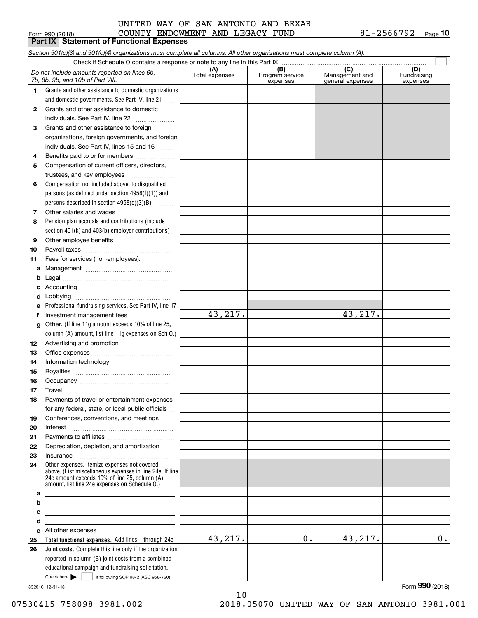### COUNTY ENDOWMENT AND LEGACY FUND 81-2566792 UNITED WAY OF SAN ANTONIO AND BEXAR

**10**

|    | Form 990 (2018)<br>COUNTY ENDOWMENT AND LEGACY FUND<br>Part IX   Statement of Functional Expenses                                                                                                           |                       |                                    |                                           | 81-2566792<br>Page 10          |
|----|-------------------------------------------------------------------------------------------------------------------------------------------------------------------------------------------------------------|-----------------------|------------------------------------|-------------------------------------------|--------------------------------|
|    | Section 501(c)(3) and 501(c)(4) organizations must complete all columns. All other organizations must complete column (A).                                                                                  |                       |                                    |                                           |                                |
|    | Check if Schedule O contains a response or note to any line in this Part IX                                                                                                                                 |                       |                                    |                                           |                                |
|    | Do not include amounts reported on lines 6b,<br>7b, 8b, 9b, and 10b of Part VIII.                                                                                                                           | (A)<br>Total expenses | (B)<br>Program service<br>expenses | (C)<br>Management and<br>general expenses | (D)<br>Fundraising<br>expenses |
| 1. | Grants and other assistance to domestic organizations                                                                                                                                                       |                       |                                    |                                           |                                |
|    | and domestic governments. See Part IV, line 21<br>$\ddotsc$                                                                                                                                                 |                       |                                    |                                           |                                |
| 2  | Grants and other assistance to domestic                                                                                                                                                                     |                       |                                    |                                           |                                |
|    | individuals. See Part IV, line 22                                                                                                                                                                           |                       |                                    |                                           |                                |
| 3  | Grants and other assistance to foreign                                                                                                                                                                      |                       |                                    |                                           |                                |
|    | organizations, foreign governments, and foreign                                                                                                                                                             |                       |                                    |                                           |                                |
|    | individuals. See Part IV, lines 15 and 16                                                                                                                                                                   |                       |                                    |                                           |                                |
| 4  | Benefits paid to or for members                                                                                                                                                                             |                       |                                    |                                           |                                |
| 5  | Compensation of current officers, directors,                                                                                                                                                                |                       |                                    |                                           |                                |
|    | trustees, and key employees                                                                                                                                                                                 |                       |                                    |                                           |                                |
| 6  | Compensation not included above, to disqualified                                                                                                                                                            |                       |                                    |                                           |                                |
|    | persons (as defined under section $4958(f)(1)$ ) and                                                                                                                                                        |                       |                                    |                                           |                                |
|    | persons described in section 4958(c)(3)(B)                                                                                                                                                                  |                       |                                    |                                           |                                |
| 7  |                                                                                                                                                                                                             |                       |                                    |                                           |                                |
| 8  | Pension plan accruals and contributions (include                                                                                                                                                            |                       |                                    |                                           |                                |
|    | section 401(k) and 403(b) employer contributions)                                                                                                                                                           |                       |                                    |                                           |                                |
| 9  |                                                                                                                                                                                                             |                       |                                    |                                           |                                |
| 10 |                                                                                                                                                                                                             |                       |                                    |                                           |                                |
| 11 | Fees for services (non-employees):                                                                                                                                                                          |                       |                                    |                                           |                                |
|    |                                                                                                                                                                                                             |                       |                                    |                                           |                                |
|    |                                                                                                                                                                                                             |                       |                                    |                                           |                                |
|    |                                                                                                                                                                                                             |                       |                                    |                                           |                                |
| d  |                                                                                                                                                                                                             |                       |                                    |                                           |                                |
| е  | Professional fundraising services. See Part IV, line 17                                                                                                                                                     |                       |                                    |                                           |                                |
| f  |                                                                                                                                                                                                             | 43,217.               |                                    | 43,217.                                   |                                |
|    | g Other. (If line 11g amount exceeds 10% of line 25,                                                                                                                                                        |                       |                                    |                                           |                                |
|    | column (A) amount, list line 11g expenses on Sch O.)                                                                                                                                                        |                       |                                    |                                           |                                |
| 12 |                                                                                                                                                                                                             |                       |                                    |                                           |                                |
| 13 |                                                                                                                                                                                                             |                       |                                    |                                           |                                |
| 14 |                                                                                                                                                                                                             |                       |                                    |                                           |                                |
| 15 |                                                                                                                                                                                                             |                       |                                    |                                           |                                |
| 16 | Occupancy                                                                                                                                                                                                   |                       |                                    |                                           |                                |
| 17 | Travel                                                                                                                                                                                                      |                       |                                    |                                           |                                |
| 18 | Payments of travel or entertainment expenses                                                                                                                                                                |                       |                                    |                                           |                                |
|    | for any federal, state, or local public officials                                                                                                                                                           |                       |                                    |                                           |                                |
| 19 | Conferences, conventions, and meetings                                                                                                                                                                      |                       |                                    |                                           |                                |
| 20 | Interest                                                                                                                                                                                                    |                       |                                    |                                           |                                |
| 21 |                                                                                                                                                                                                             |                       |                                    |                                           |                                |
| 22 | Depreciation, depletion, and amortization                                                                                                                                                                   |                       |                                    |                                           |                                |
| 23 |                                                                                                                                                                                                             |                       |                                    |                                           |                                |
| 24 | Other expenses. Itemize expenses not covered<br>above. (List miscellaneous expenses in line 24e. If line<br>24e amount exceeds 10% of line 25, column (A)<br>amount, list line 24e expenses on Schedule O.) |                       |                                    |                                           |                                |
| a  | the control of the control of the control of the control of the control of                                                                                                                                  |                       |                                    |                                           |                                |
| b  | <u> 1989 - Johann Stein, marwolaethau a bhann an t-Amhair an t-Amhair an t-Amhair an t-Amhair an t-Amhair an t-A</u>                                                                                        |                       |                                    |                                           |                                |
| c  | the control of the control of the control of the control of the control of the control of                                                                                                                   |                       |                                    |                                           |                                |
| d  | <u> 1989 - Johann Stein, mars an deus Amerikaansk kommunister (* 1958)</u>                                                                                                                                  |                       |                                    |                                           |                                |
| 25 | e All other expenses expenses<br>Total functional expenses. Add lines 1 through 24e                                                                                                                         | 43,217.               | 0.                                 | 43,217.                                   | 0.                             |
| 26 | Joint costs. Complete this line only if the organization                                                                                                                                                    |                       |                                    |                                           |                                |
|    | reported in column (B) joint costs from a combined                                                                                                                                                          |                       |                                    |                                           |                                |
|    | educational campaign and fundraising solicitation.                                                                                                                                                          |                       |                                    |                                           |                                |
|    | Check here $\blacktriangleright$<br>if following SOP 98-2 (ASC 958-720)                                                                                                                                     |                       |                                    |                                           |                                |

10

832010 12-31-18

Form (2018) **990**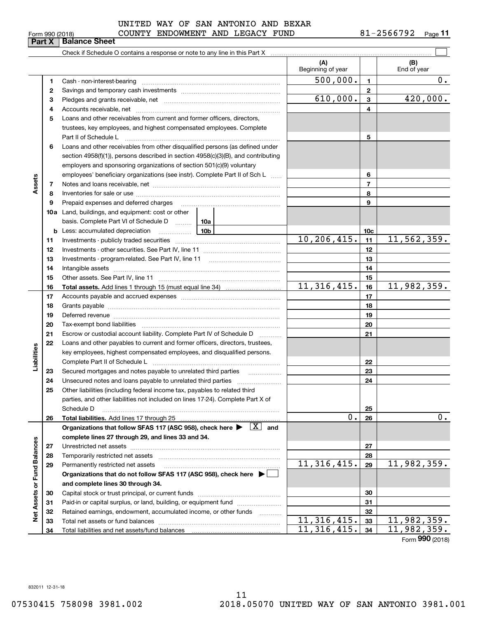| Check if Schedule O c |
|-----------------------|
|-----------------------|

**Part X Balance Sheet**

|                             |          |                                                                                                                                                                                                                                | (A)<br>Beginning of year    |                 | (B)<br>End of year          |
|-----------------------------|----------|--------------------------------------------------------------------------------------------------------------------------------------------------------------------------------------------------------------------------------|-----------------------------|-----------------|-----------------------------|
|                             | 1        |                                                                                                                                                                                                                                | $\overline{500,000}$ .      | $\mathbf{1}$    | $\overline{0}$ .            |
|                             | 2        |                                                                                                                                                                                                                                |                             | $\mathbf{2}$    |                             |
|                             | 3        |                                                                                                                                                                                                                                | 610,000.                    | $\mathbf{3}$    | 420,000.                    |
|                             | 4        |                                                                                                                                                                                                                                |                             | 4               |                             |
|                             | 5        | Loans and other receivables from current and former officers, directors,                                                                                                                                                       |                             |                 |                             |
|                             |          | trustees, key employees, and highest compensated employees. Complete                                                                                                                                                           |                             |                 |                             |
|                             |          | Part II of Schedule Law manufacture of the Schedule Law manufacture of the Marian Marian Marian Marian Marian                                                                                                                  |                             | 5               |                             |
|                             | 6        | Loans and other receivables from other disqualified persons (as defined under                                                                                                                                                  |                             |                 |                             |
|                             |          | section 4958(f)(1)), persons described in section 4958(c)(3)(B), and contributing                                                                                                                                              |                             |                 |                             |
|                             |          | employers and sponsoring organizations of section 501(c)(9) voluntary                                                                                                                                                          |                             |                 |                             |
|                             |          | employees' beneficiary organizations (see instr). Complete Part II of Sch L                                                                                                                                                    |                             | 6               |                             |
| Assets                      | 7        |                                                                                                                                                                                                                                |                             | $\overline{7}$  |                             |
|                             | 8        |                                                                                                                                                                                                                                |                             | 8               |                             |
|                             | 9        | Prepaid expenses and deferred charges                                                                                                                                                                                          |                             | 9               |                             |
|                             |          | <b>10a</b> Land, buildings, and equipment: cost or other                                                                                                                                                                       |                             |                 |                             |
|                             |          | basis. Complete Part VI of Schedule D  10a                                                                                                                                                                                     |                             |                 |                             |
|                             |          | <u>10</u> b<br><b>b</b> Less: accumulated depreciation                                                                                                                                                                         |                             | 10 <sub>c</sub> |                             |
|                             | 11       |                                                                                                                                                                                                                                | $\overline{10, 206, 415}$ . | 11              | 11, 562, 359.               |
|                             | 12       |                                                                                                                                                                                                                                |                             | 12              |                             |
|                             | 13       |                                                                                                                                                                                                                                |                             | 13              |                             |
|                             | 14       |                                                                                                                                                                                                                                |                             | 14              |                             |
|                             | 15       |                                                                                                                                                                                                                                |                             | 15              |                             |
|                             | 16       |                                                                                                                                                                                                                                | $\overline{11,316,415}$ .   | 16              | 11,982,359.                 |
|                             | 17       |                                                                                                                                                                                                                                |                             | 17              |                             |
|                             | 18       |                                                                                                                                                                                                                                |                             | 18              |                             |
|                             | 19       | Deferred revenue manual contracts and contracts are all the contracts and contracts are contracted and contracts are contracted and contract are contracted and contract are contracted and contract are contracted and contra |                             | 19              |                             |
|                             | 20       |                                                                                                                                                                                                                                |                             | 20              |                             |
|                             | 21       | Escrow or custodial account liability. Complete Part IV of Schedule D<br>1.1.1.1.1.1.1.1.1.1                                                                                                                                   |                             | 21              |                             |
|                             | 22       | Loans and other payables to current and former officers, directors, trustees,                                                                                                                                                  |                             |                 |                             |
|                             |          | key employees, highest compensated employees, and disqualified persons.                                                                                                                                                        |                             |                 |                             |
| Liabilities                 |          |                                                                                                                                                                                                                                |                             | 22              |                             |
|                             | 23       | Secured mortgages and notes payable to unrelated third parties                                                                                                                                                                 |                             | 23              |                             |
|                             | 24       |                                                                                                                                                                                                                                |                             | 24              |                             |
|                             | 25       | Other liabilities (including federal income tax, payables to related third                                                                                                                                                     |                             |                 |                             |
|                             |          | parties, and other liabilities not included on lines 17-24). Complete Part X of                                                                                                                                                |                             |                 |                             |
|                             |          | Schedule D                                                                                                                                                                                                                     |                             | 25              |                             |
|                             | 26       |                                                                                                                                                                                                                                | 0.                          | 26              | $0$ .                       |
|                             |          | Organizations that follow SFAS 117 (ASC 958), check here $\blacktriangleright \begin{array}{c} \boxed{X} \end{array}$ and                                                                                                      |                             |                 |                             |
|                             |          | complete lines 27 through 29, and lines 33 and 34.                                                                                                                                                                             |                             |                 |                             |
|                             | 27       | Unrestricted net assets with an asset and a set of the continuum and a set of the continuum and the continuum o                                                                                                                |                             | 27<br>28        |                             |
|                             | 28       |                                                                                                                                                                                                                                | 11, 316, 415.               | 29              | 11,982,359.                 |
|                             | 29       | Permanently restricted net assets                                                                                                                                                                                              |                             |                 |                             |
|                             |          | Organizations that do not follow SFAS 117 (ASC 958), check here ▶ □                                                                                                                                                            |                             |                 |                             |
|                             |          | and complete lines 30 through 34.                                                                                                                                                                                              |                             | 30              |                             |
|                             | 30<br>31 | Paid-in or capital surplus, or land, building, or equipment fund                                                                                                                                                               |                             | 31              |                             |
| Net Assets or Fund Balances | 32       | Retained earnings, endowment, accumulated income, or other funds                                                                                                                                                               |                             | 32              |                             |
|                             | 33       |                                                                                                                                                                                                                                | 11, 316, 415.               | 33              | 11,982,359.                 |
|                             | 34       |                                                                                                                                                                                                                                | 11, 316, 415.               | 34              | $\overline{11}$ , 982, 359. |
|                             |          |                                                                                                                                                                                                                                |                             |                 |                             |

Form (2018) **990**

832011 12-31-18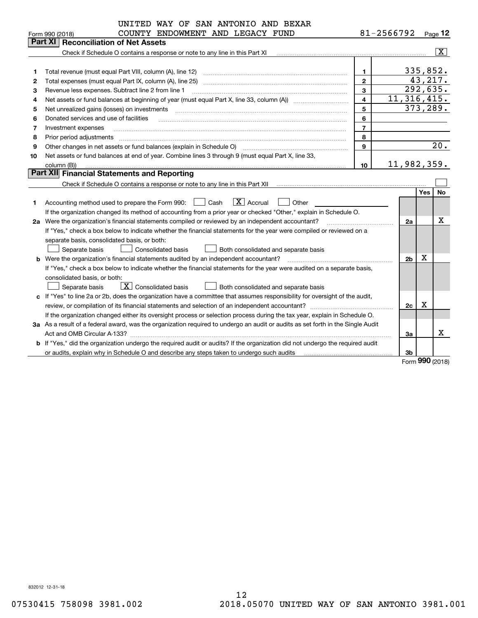|    | UNITED WAY OF SAN ANTONIO AND BEXAR                                                                                             |                         |                |          |                         |
|----|---------------------------------------------------------------------------------------------------------------------------------|-------------------------|----------------|----------|-------------------------|
|    | COUNTY ENDOWMENT AND LEGACY FUND<br>Form 990 (2018)                                                                             |                         | 81-2566792     |          | $P_{aqe}$ 12            |
|    | <b>Part XI</b><br><b>Reconciliation of Net Assets</b>                                                                           |                         |                |          |                         |
|    | Check if Schedule O contains a response or note to any line in this Part XI                                                     |                         |                |          | $\overline{\text{X}}$   |
|    |                                                                                                                                 |                         |                |          |                         |
| 1  | Total revenue (must equal Part VIII, column (A), line 12)                                                                       | 1                       |                | 335,852. |                         |
| 2  | Total expenses (must equal Part IX, column (A), line 25)                                                                        | $\mathbf{2}$            |                | 43,217.  |                         |
| з  | Revenue less expenses. Subtract line 2 from line 1                                                                              | 3                       |                |          | 292,635.                |
| 4  |                                                                                                                                 | $\overline{\mathbf{4}}$ | 11, 316, 415.  |          |                         |
| 5  | Net unrealized gains (losses) on investments                                                                                    | 5                       |                |          | 373,289.                |
| 6  | Donated services and use of facilities                                                                                          | 6                       |                |          |                         |
| 7  | Investment expenses                                                                                                             | $\overline{7}$          |                |          |                         |
| 8  | Prior period adjustments                                                                                                        | 8                       |                |          |                         |
| 9  | Other changes in net assets or fund balances (explain in Schedule O)                                                            | 9                       |                |          | 20.                     |
| 10 | Net assets or fund balances at end of year. Combine lines 3 through 9 (must equal Part X, line 33,                              |                         |                |          |                         |
|    | column (B))                                                                                                                     | 10                      | 11,982,359.    |          |                         |
|    | Part XII Financial Statements and Reporting                                                                                     |                         |                |          |                         |
|    | Check if Schedule O contains a response or note to any line in this Part XII                                                    |                         |                |          |                         |
|    |                                                                                                                                 |                         |                | Yes      | <b>No</b>               |
| 1  | $ X $ Accrual<br>$\Box$ Cash<br>Other<br>Accounting method used to prepare the Form 990:                                        |                         |                |          |                         |
|    | If the organization changed its method of accounting from a prior year or checked "Other," explain in Schedule O.               |                         |                |          |                         |
|    | 2a Were the organization's financial statements compiled or reviewed by an independent accountant?                              |                         | 2a             |          | х                       |
|    | If "Yes," check a box below to indicate whether the financial statements for the year were compiled or reviewed on a            |                         |                |          |                         |
|    | separate basis, consolidated basis, or both:                                                                                    |                         |                |          |                         |
|    | Separate basis<br><b>Consolidated basis</b><br>Both consolidated and separate basis                                             |                         |                |          |                         |
|    | <b>b</b> Were the organization's financial statements audited by an independent accountant?                                     |                         | 2 <sub>b</sub> | Χ        |                         |
|    | If "Yes," check a box below to indicate whether the financial statements for the year were audited on a separate basis,         |                         |                |          |                         |
|    | consolidated basis, or both:                                                                                                    |                         |                |          |                         |
|    | $\boxed{\mathbf{X}}$ Consolidated basis<br>Separate basis<br>Both consolidated and separate basis                               |                         |                |          |                         |
|    | c If "Yes" to line 2a or 2b, does the organization have a committee that assumes responsibility for oversight of the audit,     |                         |                |          |                         |
|    |                                                                                                                                 |                         | 2c             | X        |                         |
|    | If the organization changed either its oversight process or selection process during the tax year, explain in Schedule O.       |                         |                |          |                         |
|    | 3a As a result of a federal award, was the organization required to undergo an audit or audits as set forth in the Single Audit |                         |                |          |                         |
|    | Act and OMB Circular A-133?                                                                                                     |                         | За             |          | x                       |
|    | b If "Yes," did the organization undergo the required audit or audits? If the organization did not undergo the required audit   |                         |                |          |                         |
|    | or audits, explain why in Schedule O and describe any steps taken to undergo such audits<br>. <u>.</u>                          |                         | Зb             |          |                         |
|    |                                                                                                                                 |                         |                |          | $F_{\rm c,}$ 990 (2019) |

Form (2018) **990**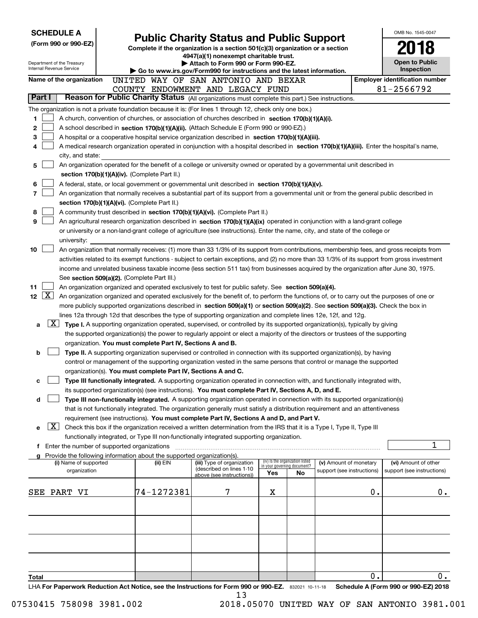| <b>SCHEDULE A</b>                                                                                                                                                                    |                                                                                                                                                                                                                                                  |                                                                                                                                                                                                                                                                |                             |                                 |                            |    | OMB No. 1545-0047                     |  |  |  |  |
|--------------------------------------------------------------------------------------------------------------------------------------------------------------------------------------|--------------------------------------------------------------------------------------------------------------------------------------------------------------------------------------------------------------------------------------------------|----------------------------------------------------------------------------------------------------------------------------------------------------------------------------------------------------------------------------------------------------------------|-----------------------------|---------------------------------|----------------------------|----|---------------------------------------|--|--|--|--|
| (Form 990 or 990-EZ)                                                                                                                                                                 |                                                                                                                                                                                                                                                  | <b>Public Charity Status and Public Support</b><br>Complete if the organization is a section 501(c)(3) organization or a section                                                                                                                               |                             |                                 |                            |    |                                       |  |  |  |  |
|                                                                                                                                                                                      |                                                                                                                                                                                                                                                  | 4947(a)(1) nonexempt charitable trust.                                                                                                                                                                                                                         |                             |                                 |                            |    |                                       |  |  |  |  |
| Department of the Treasury<br>Internal Revenue Service                                                                                                                               |                                                                                                                                                                                                                                                  | Attach to Form 990 or Form 990-EZ.                                                                                                                                                                                                                             |                             |                                 |                            |    | <b>Open to Public</b><br>Inspection   |  |  |  |  |
| Name of the organization                                                                                                                                                             |                                                                                                                                                                                                                                                  | Go to www.irs.gov/Form990 for instructions and the latest information.<br>UNITED WAY OF SAN ANTONIO AND BEXAR                                                                                                                                                  |                             |                                 |                            |    | <b>Employer identification number</b> |  |  |  |  |
|                                                                                                                                                                                      |                                                                                                                                                                                                                                                  | COUNTY ENDOWMENT AND LEGACY FUND                                                                                                                                                                                                                               |                             |                                 |                            |    | 81-2566792                            |  |  |  |  |
| Part I                                                                                                                                                                               |                                                                                                                                                                                                                                                  | Reason for Public Charity Status (All organizations must complete this part.) See instructions.                                                                                                                                                                |                             |                                 |                            |    |                                       |  |  |  |  |
| The organization is not a private foundation because it is: (For lines 1 through 12, check only one box.)                                                                            |                                                                                                                                                                                                                                                  |                                                                                                                                                                                                                                                                |                             |                                 |                            |    |                                       |  |  |  |  |
| 1<br>A church, convention of churches, or association of churches described in section 170(b)(1)(A)(i).                                                                              |                                                                                                                                                                                                                                                  |                                                                                                                                                                                                                                                                |                             |                                 |                            |    |                                       |  |  |  |  |
| 2<br>A school described in section 170(b)(1)(A)(ii). (Attach Schedule E (Form 990 or 990-EZ).)                                                                                       |                                                                                                                                                                                                                                                  |                                                                                                                                                                                                                                                                |                             |                                 |                            |    |                                       |  |  |  |  |
| 3<br>A hospital or a cooperative hospital service organization described in section 170(b)(1)(A)(iii).                                                                               |                                                                                                                                                                                                                                                  |                                                                                                                                                                                                                                                                |                             |                                 |                            |    |                                       |  |  |  |  |
| A medical research organization operated in conjunction with a hospital described in section 170(b)(1)(A)(iii). Enter the hospital's name,<br>4                                      |                                                                                                                                                                                                                                                  |                                                                                                                                                                                                                                                                |                             |                                 |                            |    |                                       |  |  |  |  |
| city, and state:                                                                                                                                                                     |                                                                                                                                                                                                                                                  |                                                                                                                                                                                                                                                                |                             |                                 |                            |    |                                       |  |  |  |  |
| An organization operated for the benefit of a college or university owned or operated by a governmental unit described in<br>5                                                       |                                                                                                                                                                                                                                                  |                                                                                                                                                                                                                                                                |                             |                                 |                            |    |                                       |  |  |  |  |
|                                                                                                                                                                                      | section 170(b)(1)(A)(iv). (Complete Part II.)                                                                                                                                                                                                    |                                                                                                                                                                                                                                                                |                             |                                 |                            |    |                                       |  |  |  |  |
| 6                                                                                                                                                                                    | A federal, state, or local government or governmental unit described in section $170(b)(1)(A)(v)$ .<br>An organization that normally receives a substantial part of its support from a governmental unit or from the general public described in |                                                                                                                                                                                                                                                                |                             |                                 |                            |    |                                       |  |  |  |  |
| 7<br>section 170(b)(1)(A)(vi). (Complete Part II.)                                                                                                                                   |                                                                                                                                                                                                                                                  |                                                                                                                                                                                                                                                                |                             |                                 |                            |    |                                       |  |  |  |  |
| 8<br>A community trust described in section 170(b)(1)(A)(vi). (Complete Part II.)                                                                                                    |                                                                                                                                                                                                                                                  |                                                                                                                                                                                                                                                                |                             |                                 |                            |    |                                       |  |  |  |  |
| 9<br>An agricultural research organization described in section 170(b)(1)(A)(ix) operated in conjunction with a land-grant college                                                   |                                                                                                                                                                                                                                                  |                                                                                                                                                                                                                                                                |                             |                                 |                            |    |                                       |  |  |  |  |
| or university or a non-land-grant college of agriculture (see instructions). Enter the name, city, and state of the college or                                                       |                                                                                                                                                                                                                                                  |                                                                                                                                                                                                                                                                |                             |                                 |                            |    |                                       |  |  |  |  |
| university:                                                                                                                                                                          |                                                                                                                                                                                                                                                  |                                                                                                                                                                                                                                                                |                             |                                 |                            |    |                                       |  |  |  |  |
| 10<br>An organization that normally receives: (1) more than 33 1/3% of its support from contributions, membership fees, and gross receipts from                                      |                                                                                                                                                                                                                                                  |                                                                                                                                                                                                                                                                |                             |                                 |                            |    |                                       |  |  |  |  |
| activities related to its exempt functions - subject to certain exceptions, and (2) no more than 33 1/3% of its support from gross investment                                        |                                                                                                                                                                                                                                                  |                                                                                                                                                                                                                                                                |                             |                                 |                            |    |                                       |  |  |  |  |
| income and unrelated business taxable income (less section 511 tax) from businesses acquired by the organization after June 30, 1975.                                                |                                                                                                                                                                                                                                                  |                                                                                                                                                                                                                                                                |                             |                                 |                            |    |                                       |  |  |  |  |
| See section 509(a)(2). (Complete Part III.)                                                                                                                                          |                                                                                                                                                                                                                                                  |                                                                                                                                                                                                                                                                |                             |                                 |                            |    |                                       |  |  |  |  |
| 11<br>An organization organized and operated exclusively to test for public safety. See section 509(a)(4).                                                                           |                                                                                                                                                                                                                                                  |                                                                                                                                                                                                                                                                |                             |                                 |                            |    |                                       |  |  |  |  |
| $\lfloor x \rfloor$<br>12 <sub>2</sub><br>An organization organized and operated exclusively for the benefit of, to perform the functions of, or to carry out the purposes of one or |                                                                                                                                                                                                                                                  |                                                                                                                                                                                                                                                                |                             |                                 |                            |    |                                       |  |  |  |  |
| more publicly supported organizations described in section 509(a)(1) or section 509(a)(2). See section 509(a)(3). Check the box in                                                   |                                                                                                                                                                                                                                                  |                                                                                                                                                                                                                                                                |                             |                                 |                            |    |                                       |  |  |  |  |
| lines 12a through 12d that describes the type of supporting organization and complete lines 12e, 12f, and 12g.<br>$\lfloor x \rfloor$                                                |                                                                                                                                                                                                                                                  |                                                                                                                                                                                                                                                                |                             |                                 |                            |    |                                       |  |  |  |  |
| a                                                                                                                                                                                    |                                                                                                                                                                                                                                                  | Type I. A supporting organization operated, supervised, or controlled by its supported organization(s), typically by giving<br>the supported organization(s) the power to regularly appoint or elect a majority of the directors or trustees of the supporting |                             |                                 |                            |    |                                       |  |  |  |  |
| organization. You must complete Part IV, Sections A and B.                                                                                                                           |                                                                                                                                                                                                                                                  |                                                                                                                                                                                                                                                                |                             |                                 |                            |    |                                       |  |  |  |  |
| b                                                                                                                                                                                    |                                                                                                                                                                                                                                                  | Type II. A supporting organization supervised or controlled in connection with its supported organization(s), by having                                                                                                                                        |                             |                                 |                            |    |                                       |  |  |  |  |
|                                                                                                                                                                                      |                                                                                                                                                                                                                                                  | control or management of the supporting organization vested in the same persons that control or manage the supported                                                                                                                                           |                             |                                 |                            |    |                                       |  |  |  |  |
| organization(s). You must complete Part IV, Sections A and C.                                                                                                                        |                                                                                                                                                                                                                                                  |                                                                                                                                                                                                                                                                |                             |                                 |                            |    |                                       |  |  |  |  |
| с                                                                                                                                                                                    |                                                                                                                                                                                                                                                  | Type III functionally integrated. A supporting organization operated in connection with, and functionally integrated with,                                                                                                                                     |                             |                                 |                            |    |                                       |  |  |  |  |
|                                                                                                                                                                                      |                                                                                                                                                                                                                                                  | its supported organization(s) (see instructions). You must complete Part IV, Sections A, D, and E.                                                                                                                                                             |                             |                                 |                            |    |                                       |  |  |  |  |
| d                                                                                                                                                                                    |                                                                                                                                                                                                                                                  | Type III non-functionally integrated. A supporting organization operated in connection with its supported organization(s)                                                                                                                                      |                             |                                 |                            |    |                                       |  |  |  |  |
|                                                                                                                                                                                      |                                                                                                                                                                                                                                                  | that is not functionally integrated. The organization generally must satisfy a distribution requirement and an attentiveness                                                                                                                                   |                             |                                 |                            |    |                                       |  |  |  |  |
|                                                                                                                                                                                      |                                                                                                                                                                                                                                                  | requirement (see instructions). You must complete Part IV, Sections A and D, and Part V.                                                                                                                                                                       |                             |                                 |                            |    |                                       |  |  |  |  |
| $\lfloor x \rfloor$<br>е                                                                                                                                                             |                                                                                                                                                                                                                                                  | Check this box if the organization received a written determination from the IRS that it is a Type I, Type II, Type III                                                                                                                                        |                             |                                 |                            |    |                                       |  |  |  |  |
|                                                                                                                                                                                      |                                                                                                                                                                                                                                                  | functionally integrated, or Type III non-functionally integrated supporting organization.                                                                                                                                                                      |                             |                                 |                            |    | 1                                     |  |  |  |  |
| f Enter the number of supported organizations<br>Provide the following information about the supported organization(s).                                                              |                                                                                                                                                                                                                                                  |                                                                                                                                                                                                                                                                |                             |                                 |                            |    |                                       |  |  |  |  |
| a<br>(i) Name of supported                                                                                                                                                           | (ii) EIN                                                                                                                                                                                                                                         | (iii) Type of organization                                                                                                                                                                                                                                     | in your governing document? | (iv) Is the organization listed | (v) Amount of monetary     |    | (vi) Amount of other                  |  |  |  |  |
| organization                                                                                                                                                                         |                                                                                                                                                                                                                                                  | (described on lines 1-10<br>above (see instructions))                                                                                                                                                                                                          | Yes                         | No                              | support (see instructions) |    | support (see instructions)            |  |  |  |  |
|                                                                                                                                                                                      |                                                                                                                                                                                                                                                  |                                                                                                                                                                                                                                                                |                             |                                 |                            |    |                                       |  |  |  |  |
| SEE PART VI                                                                                                                                                                          | 74-1272381                                                                                                                                                                                                                                       | 7                                                                                                                                                                                                                                                              | х                           |                                 |                            | 0. | 0.                                    |  |  |  |  |
|                                                                                                                                                                                      |                                                                                                                                                                                                                                                  |                                                                                                                                                                                                                                                                |                             |                                 |                            |    |                                       |  |  |  |  |
|                                                                                                                                                                                      |                                                                                                                                                                                                                                                  |                                                                                                                                                                                                                                                                |                             |                                 |                            |    |                                       |  |  |  |  |
|                                                                                                                                                                                      |                                                                                                                                                                                                                                                  |                                                                                                                                                                                                                                                                |                             |                                 |                            |    |                                       |  |  |  |  |
|                                                                                                                                                                                      |                                                                                                                                                                                                                                                  |                                                                                                                                                                                                                                                                |                             |                                 |                            |    |                                       |  |  |  |  |
|                                                                                                                                                                                      |                                                                                                                                                                                                                                                  |                                                                                                                                                                                                                                                                |                             |                                 |                            |    |                                       |  |  |  |  |
|                                                                                                                                                                                      |                                                                                                                                                                                                                                                  |                                                                                                                                                                                                                                                                |                             |                                 |                            |    |                                       |  |  |  |  |
|                                                                                                                                                                                      |                                                                                                                                                                                                                                                  |                                                                                                                                                                                                                                                                |                             |                                 |                            |    |                                       |  |  |  |  |
| Total                                                                                                                                                                                |                                                                                                                                                                                                                                                  |                                                                                                                                                                                                                                                                |                             |                                 |                            | 0. | 0.                                    |  |  |  |  |
| LHA For Paperwork Reduction Act Notice, see the Instructions for Form 990 or 990-EZ. 832021 10-11-18                                                                                 |                                                                                                                                                                                                                                                  |                                                                                                                                                                                                                                                                |                             |                                 |                            |    | Schedule A (Form 990 or 990-EZ) 2018  |  |  |  |  |

13

07530415 758098 3981.002 2018.05070 UNITED WAY OF SAN ANTONIO 3981.001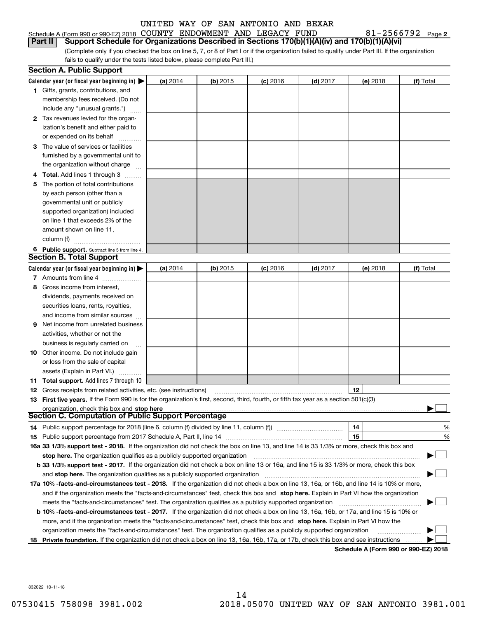| Schedule A (Form 990 or 990-EZ) 2018 $\,$ COUNTY $\,$ ENDOWMENT $\,$ AND $\,$ LEGACY $\,$ FUND $\,$    |  |  | $81 - 2566792$ Page |  |
|--------------------------------------------------------------------------------------------------------|--|--|---------------------|--|
| Part II Support Schedule for Organizations Described in Sections 170(b)(1)(A)(iv) and 170(b)(1)(A)(vi) |  |  |                     |  |

(Complete only if you checked the box on line 5, 7, or 8 of Part I or if the organization failed to qualify under Part III. If the organization fails to qualify under the tests listed below, please complete Part III.)

|   | <b>Section A. Public Support</b>                                                                                                               |            |            |            |            |          |           |
|---|------------------------------------------------------------------------------------------------------------------------------------------------|------------|------------|------------|------------|----------|-----------|
|   | Calendar year (or fiscal year beginning in) $\blacktriangleright$                                                                              | (a) 2014   | $(b)$ 2015 | $(c)$ 2016 | $(d)$ 2017 | (e) 2018 | (f) Total |
|   | 1 Gifts, grants, contributions, and                                                                                                            |            |            |            |            |          |           |
|   | membership fees received. (Do not                                                                                                              |            |            |            |            |          |           |
|   | include any "unusual grants.")                                                                                                                 |            |            |            |            |          |           |
|   | 2 Tax revenues levied for the organ-                                                                                                           |            |            |            |            |          |           |
|   | ization's benefit and either paid to                                                                                                           |            |            |            |            |          |           |
|   | or expended on its behalf                                                                                                                      |            |            |            |            |          |           |
|   | 3 The value of services or facilities                                                                                                          |            |            |            |            |          |           |
|   | furnished by a governmental unit to                                                                                                            |            |            |            |            |          |           |
|   | the organization without charge                                                                                                                |            |            |            |            |          |           |
| 4 | <b>Total.</b> Add lines 1 through 3                                                                                                            |            |            |            |            |          |           |
| 5 | The portion of total contributions                                                                                                             |            |            |            |            |          |           |
|   | by each person (other than a                                                                                                                   |            |            |            |            |          |           |
|   | governmental unit or publicly                                                                                                                  |            |            |            |            |          |           |
|   | supported organization) included                                                                                                               |            |            |            |            |          |           |
|   | on line 1 that exceeds 2% of the                                                                                                               |            |            |            |            |          |           |
|   | amount shown on line 11,                                                                                                                       |            |            |            |            |          |           |
|   | column (f)                                                                                                                                     |            |            |            |            |          |           |
|   | 6 Public support. Subtract line 5 from line 4.                                                                                                 |            |            |            |            |          |           |
|   | <b>Section B. Total Support</b>                                                                                                                |            |            |            |            |          |           |
|   | Calendar year (or fiscal year beginning in) $\blacktriangleright$                                                                              | (a) $2014$ | $(b)$ 2015 | $(c)$ 2016 | $(d)$ 2017 | (e) 2018 | (f) Total |
|   | 7 Amounts from line 4                                                                                                                          |            |            |            |            |          |           |
| 8 | Gross income from interest,                                                                                                                    |            |            |            |            |          |           |
|   | dividends, payments received on                                                                                                                |            |            |            |            |          |           |
|   | securities loans, rents, royalties,                                                                                                            |            |            |            |            |          |           |
|   | and income from similar sources                                                                                                                |            |            |            |            |          |           |
| 9 | Net income from unrelated business                                                                                                             |            |            |            |            |          |           |
|   | activities, whether or not the                                                                                                                 |            |            |            |            |          |           |
|   |                                                                                                                                                |            |            |            |            |          |           |
|   | business is regularly carried on                                                                                                               |            |            |            |            |          |           |
|   | <b>10</b> Other income. Do not include gain                                                                                                    |            |            |            |            |          |           |
|   | or loss from the sale of capital                                                                                                               |            |            |            |            |          |           |
|   | assets (Explain in Part VI.)                                                                                                                   |            |            |            |            |          |           |
|   | <b>11 Total support.</b> Add lines 7 through 10                                                                                                |            |            |            |            | 12       |           |
|   | <b>12</b> Gross receipts from related activities, etc. (see instructions)                                                                      |            |            |            |            |          |           |
|   | 13 First five years. If the Form 990 is for the organization's first, second, third, fourth, or fifth tax year as a section 501(c)(3)          |            |            |            |            |          |           |
|   | organization, check this box and stop here<br>Section C. Computation of Public Support Percentage                                              |            |            |            |            |          |           |
|   | 14 Public support percentage for 2018 (line 6, column (f) divided by line 11, column (f) <i>mummention</i>                                     |            |            |            |            | 14       | %         |
|   |                                                                                                                                                |            |            |            |            | 15       | %         |
|   | 16a 33 1/3% support test - 2018. If the organization did not check the box on line 13, and line 14 is 33 1/3% or more, check this box and      |            |            |            |            |          |           |
|   | stop here. The organization qualifies as a publicly supported organization                                                                     |            |            |            |            |          |           |
|   | b 33 1/3% support test - 2017. If the organization did not check a box on line 13 or 16a, and line 15 is 33 1/3% or more, check this box       |            |            |            |            |          |           |
|   | and stop here. The organization qualifies as a publicly supported organization                                                                 |            |            |            |            |          |           |
|   | 17a 10% -facts-and-circumstances test - 2018. If the organization did not check a box on line 13, 16a, or 16b, and line 14 is 10% or more,     |            |            |            |            |          |           |
|   | and if the organization meets the "facts-and-circumstances" test, check this box and stop here. Explain in Part VI how the organization        |            |            |            |            |          |           |
|   |                                                                                                                                                |            |            |            |            |          |           |
|   | meets the "facts-and-circumstances" test. The organization qualifies as a publicly supported organization                                      |            |            |            |            |          |           |
|   | <b>b 10% -facts-and-circumstances test - 2017.</b> If the organization did not check a box on line 13, 16a, 16b, or 17a, and line 15 is 10% or |            |            |            |            |          |           |
|   | more, and if the organization meets the "facts-and-circumstances" test, check this box and stop here. Explain in Part VI how the               |            |            |            |            |          |           |
|   | organization meets the "facts-and-circumstances" test. The organization qualifies as a publicly supported organization                         |            |            |            |            |          |           |
|   | 18 Private foundation. If the organization did not check a box on line 13, 16a, 16b, 17a, or 17b, check this box and see instructions          |            |            |            |            |          |           |

**Schedule A (Form 990 or 990-EZ) 2018**

832022 10-11-18

**2**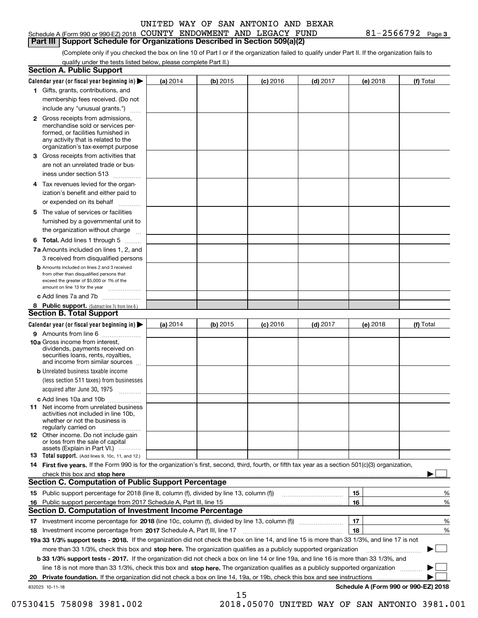### Schedule A (Form 990 or 990-EZ) 2018 Page COUNTY ENDOWMENT AND LEGACY FUND 81-2566792 **Part III Support Schedule for Organizations Described in Section 509(a)(2)**

**3**

(Complete only if you checked the box on line 10 of Part I or if the organization failed to qualify under Part II. If the organization fails to qualify under the tests listed below, please complete Part II.)

|     | <b>Section A. Public Support</b>                                                                                                                                                                                                                                   |          |            |            |            |          |                                           |
|-----|--------------------------------------------------------------------------------------------------------------------------------------------------------------------------------------------------------------------------------------------------------------------|----------|------------|------------|------------|----------|-------------------------------------------|
|     | Calendar year (or fiscal year beginning in) $\blacktriangleright$                                                                                                                                                                                                  | (a) 2014 | (b) 2015   | $(c)$ 2016 | $(d)$ 2017 | (e) 2018 | (f) Total                                 |
|     | 1 Gifts, grants, contributions, and                                                                                                                                                                                                                                |          |            |            |            |          |                                           |
|     | membership fees received. (Do not                                                                                                                                                                                                                                  |          |            |            |            |          |                                           |
|     | include any "unusual grants.")                                                                                                                                                                                                                                     |          |            |            |            |          |                                           |
|     | <b>2</b> Gross receipts from admissions,<br>merchandise sold or services per-<br>formed, or facilities furnished in<br>any activity that is related to the<br>organization's tax-exempt purpose                                                                    |          |            |            |            |          |                                           |
|     | 3 Gross receipts from activities that<br>are not an unrelated trade or bus-                                                                                                                                                                                        |          |            |            |            |          |                                           |
|     | iness under section 513                                                                                                                                                                                                                                            |          |            |            |            |          |                                           |
|     | 4 Tax revenues levied for the organ-<br>ization's benefit and either paid to                                                                                                                                                                                       |          |            |            |            |          |                                           |
|     | or expended on its behalf                                                                                                                                                                                                                                          |          |            |            |            |          |                                           |
|     | 5 The value of services or facilities<br>furnished by a governmental unit to                                                                                                                                                                                       |          |            |            |            |          |                                           |
|     | the organization without charge                                                                                                                                                                                                                                    |          |            |            |            |          |                                           |
|     | <b>6 Total.</b> Add lines 1 through 5                                                                                                                                                                                                                              |          |            |            |            |          |                                           |
|     | 7a Amounts included on lines 1, 2, and<br>3 received from disqualified persons                                                                                                                                                                                     |          |            |            |            |          |                                           |
|     | <b>b</b> Amounts included on lines 2 and 3 received<br>from other than disqualified persons that<br>exceed the greater of \$5,000 or 1% of the<br>amount on line 13 for the year                                                                                   |          |            |            |            |          |                                           |
|     | c Add lines 7a and 7b                                                                                                                                                                                                                                              |          |            |            |            |          |                                           |
|     | 8 Public support. (Subtract line 7c from line 6.)<br><b>Section B. Total Support</b>                                                                                                                                                                               |          |            |            |            |          |                                           |
|     | Calendar year (or fiscal year beginning in)                                                                                                                                                                                                                        | (a) 2014 | $(b)$ 2015 | $(c)$ 2016 | $(d)$ 2017 | (e) 2018 | (f) Total                                 |
|     | 9 Amounts from line 6                                                                                                                                                                                                                                              |          |            |            |            |          |                                           |
|     | <b>10a</b> Gross income from interest,<br>dividends, payments received on<br>securities loans, rents, royalties,<br>and income from similar sources                                                                                                                |          |            |            |            |          |                                           |
|     | <b>b</b> Unrelated business taxable income<br>(less section 511 taxes) from businesses                                                                                                                                                                             |          |            |            |            |          |                                           |
|     | acquired after June 30, 1975                                                                                                                                                                                                                                       |          |            |            |            |          |                                           |
|     | c Add lines 10a and 10b                                                                                                                                                                                                                                            |          |            |            |            |          |                                           |
|     | 11 Net income from unrelated business<br>activities not included in line 10b,<br>whether or not the business is<br>regularly carried on                                                                                                                            |          |            |            |            |          |                                           |
|     | <b>12</b> Other income. Do not include gain<br>or loss from the sale of capital<br>assets (Explain in Part VI.)                                                                                                                                                    |          |            |            |            |          |                                           |
|     | 13 Total support. (Add lines 9, 10c, 11, and 12.)                                                                                                                                                                                                                  |          |            |            |            |          |                                           |
|     | 14 First five years. If the Form 990 is for the organization's first, second, third, fourth, or fifth tax year as a section 501(c)(3) organization,                                                                                                                |          |            |            |            |          |                                           |
|     | check this box and stop here measurements and contact the contract of the contract of the contract of the contract of the contract of the contract of the contract of the contract of the contract of the contract of the cont                                     |          |            |            |            |          |                                           |
|     | <b>Section C. Computation of Public Support Percentage</b>                                                                                                                                                                                                         |          |            |            |            |          |                                           |
|     |                                                                                                                                                                                                                                                                    |          |            |            |            | 15       | %                                         |
| 16. | Public support percentage from 2017 Schedule A, Part III, line 15                                                                                                                                                                                                  |          |            |            |            | 16       | %                                         |
|     | <b>Section D. Computation of Investment Income Percentage</b>                                                                                                                                                                                                      |          |            |            |            |          |                                           |
|     | 17 Investment income percentage for 2018 (line 10c, column (f), divided by line 13, column (f))                                                                                                                                                                    |          |            |            |            | 17<br>18 | %                                         |
|     | 18 Investment income percentage from 2017 Schedule A, Part III, line 17<br>19a 33 1/3% support tests - 2018. If the organization did not check the box on line 14, and line 15 is more than 33 1/3%, and line 17 is not                                            |          |            |            |            |          | %                                         |
|     |                                                                                                                                                                                                                                                                    |          |            |            |            |          |                                           |
|     | more than 33 1/3%, check this box and stop here. The organization qualifies as a publicly supported organization                                                                                                                                                   |          |            |            |            |          |                                           |
|     | <b>b 33 1/3% support tests - 2017.</b> If the organization did not check a box on line 14 or line 19a, and line 16 is more than 33 1/3%, and                                                                                                                       |          |            |            |            |          |                                           |
|     | line 18 is not more than 33 1/3%, check this box and stop here. The organization qualifies as a publicly supported organization<br><b>Private foundation.</b> If the organization did not check a box on line 14, 19a, or 19b, check this box and see instructions |          |            |            |            |          |                                           |
| 20  | 832023 10-11-18                                                                                                                                                                                                                                                    |          |            |            |            |          | .<br>Schedule A (Form 990 or 990-EZ) 2018 |
|     |                                                                                                                                                                                                                                                                    |          | 15         |            |            |          |                                           |

07530415 758098 3981.002 2018.05070 UNITED WAY OF SAN ANTONIO 3981.001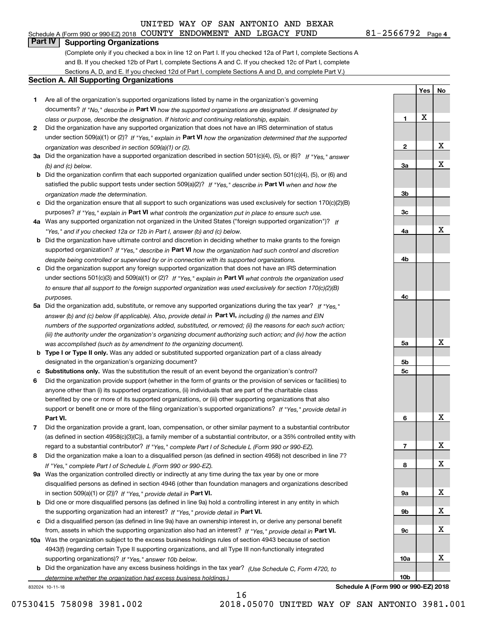## **Part IV Supporting Organizations**

(Complete only if you checked a box in line 12 on Part I. If you checked 12a of Part I, complete Sections A and B. If you checked 12b of Part I, complete Sections A and C. If you checked 12c of Part I, complete Sections A, D, and E. If you checked 12d of Part I, complete Sections A and D, and complete Part V.)

### **Section A. All Supporting Organizations**

- **1** Are all of the organization's supported organizations listed by name in the organization's governing documents? If "No," describe in **Part VI** how the supported organizations are designated. If designated by *class or purpose, describe the designation. If historic and continuing relationship, explain.*
- **2** Did the organization have any supported organization that does not have an IRS determination of status under section 509(a)(1) or (2)? If "Yes," explain in Part VI how the organization determined that the supported *organization was described in section 509(a)(1) or (2).*
- **3a** Did the organization have a supported organization described in section 501(c)(4), (5), or (6)? If "Yes," answer *(b) and (c) below.*
- **b** Did the organization confirm that each supported organization qualified under section 501(c)(4), (5), or (6) and satisfied the public support tests under section 509(a)(2)? If "Yes," describe in **Part VI** when and how the *organization made the determination.*
- **c**Did the organization ensure that all support to such organizations was used exclusively for section 170(c)(2)(B) purposes? If "Yes," explain in **Part VI** what controls the organization put in place to ensure such use.
- **4a***If* Was any supported organization not organized in the United States ("foreign supported organization")? *"Yes," and if you checked 12a or 12b in Part I, answer (b) and (c) below.*
- **b** Did the organization have ultimate control and discretion in deciding whether to make grants to the foreign supported organization? If "Yes," describe in **Part VI** how the organization had such control and discretion *despite being controlled or supervised by or in connection with its supported organizations.*
- **c** Did the organization support any foreign supported organization that does not have an IRS determination under sections 501(c)(3) and 509(a)(1) or (2)? If "Yes," explain in **Part VI** what controls the organization used *to ensure that all support to the foreign supported organization was used exclusively for section 170(c)(2)(B) purposes.*
- **5a** Did the organization add, substitute, or remove any supported organizations during the tax year? If "Yes," answer (b) and (c) below (if applicable). Also, provide detail in **Part VI,** including (i) the names and EIN *numbers of the supported organizations added, substituted, or removed; (ii) the reasons for each such action; (iii) the authority under the organization's organizing document authorizing such action; and (iv) how the action was accomplished (such as by amendment to the organizing document).*
- **b** Type I or Type II only. Was any added or substituted supported organization part of a class already designated in the organization's organizing document?
- **cSubstitutions only.**  Was the substitution the result of an event beyond the organization's control?
- **6** Did the organization provide support (whether in the form of grants or the provision of services or facilities) to **Part VI.** *If "Yes," provide detail in* support or benefit one or more of the filing organization's supported organizations? anyone other than (i) its supported organizations, (ii) individuals that are part of the charitable class benefited by one or more of its supported organizations, or (iii) other supporting organizations that also
- **7**Did the organization provide a grant, loan, compensation, or other similar payment to a substantial contributor *If "Yes," complete Part I of Schedule L (Form 990 or 990-EZ).* regard to a substantial contributor? (as defined in section 4958(c)(3)(C)), a family member of a substantial contributor, or a 35% controlled entity with
- **8** Did the organization make a loan to a disqualified person (as defined in section 4958) not described in line 7? *If "Yes," complete Part I of Schedule L (Form 990 or 990-EZ).*
- **9a** Was the organization controlled directly or indirectly at any time during the tax year by one or more in section 509(a)(1) or (2))? If "Yes," *provide detail in* <code>Part VI.</code> disqualified persons as defined in section 4946 (other than foundation managers and organizations described
- **b**the supporting organization had an interest? If "Yes," provide detail in P**art VI**. Did one or more disqualified persons (as defined in line 9a) hold a controlling interest in any entity in which
- **c**Did a disqualified person (as defined in line 9a) have an ownership interest in, or derive any personal benefit from, assets in which the supporting organization also had an interest? If "Yes," provide detail in P**art VI.**
- **10a** Was the organization subject to the excess business holdings rules of section 4943 because of section supporting organizations)? If "Yes," answer 10b below. 4943(f) (regarding certain Type II supporting organizations, and all Type III non-functionally integrated
- **b** Did the organization have any excess business holdings in the tax year? (Use Schedule C, Form 4720, to *determine whether the organization had excess business holdings.)*

16

832024 10-11-18

**4c5a 5b5c6789a 9b9c10a10b**X X X X X X X X

**Schedule A (Form 990 or 990-EZ) 2018**

07530415 758098 3981.002 2018.05070 UNITED WAY OF SAN ANTONIO 3981.001

**1**

**2**

**3a**

**3b**

**3c**

**4a**

**4b**

**Yes**

X

**No**

X

X

X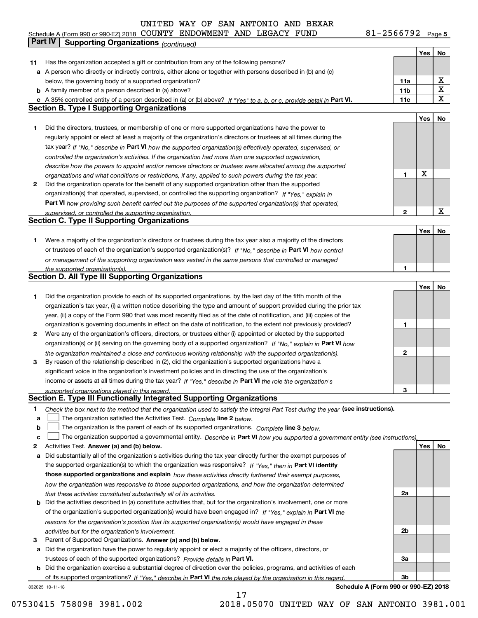**5** Schedule A (Form 990 or 990-EZ) 2018 COUN'I'Y ENDOWMEN'I' AND LEGACY F'UND 8 L – Z 5 6 6 7 9 Z Page COUNTY ENDOWMENT AND LEGACY FUND 81-2566792

|    | Part IV<br><b>Supporting Organizations (continued)</b>                                                                                                                                        |                 |     |             |
|----|-----------------------------------------------------------------------------------------------------------------------------------------------------------------------------------------------|-----------------|-----|-------------|
|    |                                                                                                                                                                                               |                 | Yes | No          |
| 11 | Has the organization accepted a gift or contribution from any of the following persons?                                                                                                       |                 |     |             |
|    | a A person who directly or indirectly controls, either alone or together with persons described in (b) and (c)                                                                                |                 |     |             |
|    | below, the governing body of a supported organization?                                                                                                                                        | 11a             |     | х           |
|    | <b>b</b> A family member of a person described in (a) above?                                                                                                                                  | 11 <sub>b</sub> |     | Χ           |
|    |                                                                                                                                                                                               | 11c             |     | X           |
|    | c A 35% controlled entity of a person described in (a) or (b) above? If "Yes" to a, b, or c, provide detail in Part VI.<br><b>Section B. Type I Supporting Organizations</b>                  |                 |     |             |
|    |                                                                                                                                                                                               |                 |     |             |
|    |                                                                                                                                                                                               |                 | Yes | No          |
| 1. | Did the directors, trustees, or membership of one or more supported organizations have the power to                                                                                           |                 |     |             |
|    | regularly appoint or elect at least a majority of the organization's directors or trustees at all times during the                                                                            |                 |     |             |
|    | tax year? If "No," describe in Part VI how the supported organization(s) effectively operated, supervised, or                                                                                 |                 |     |             |
|    | controlled the organization's activities. If the organization had more than one supported organization,                                                                                       |                 |     |             |
|    | describe how the powers to appoint and/or remove directors or trustees were allocated among the supported                                                                                     |                 |     |             |
|    | organizations and what conditions or restrictions, if any, applied to such powers during the tax year.                                                                                        | 1               | X   |             |
| 2  | Did the organization operate for the benefit of any supported organization other than the supported                                                                                           |                 |     |             |
|    | organization(s) that operated, supervised, or controlled the supporting organization? If "Yes," explain in                                                                                    |                 |     |             |
|    | Part VI how providing such benefit carried out the purposes of the supported organization(s) that operated,                                                                                   |                 |     |             |
|    | supervised, or controlled the supporting organization.                                                                                                                                        | 2               |     | $\mathbf X$ |
|    | <b>Section C. Type II Supporting Organizations</b>                                                                                                                                            |                 |     |             |
|    |                                                                                                                                                                                               |                 | Yes | No          |
| 1. | Were a majority of the organization's directors or trustees during the tax year also a majority of the directors                                                                              |                 |     |             |
|    | or trustees of each of the organization's supported organization(s)? If "No," describe in Part VI how control                                                                                 |                 |     |             |
|    | or management of the supporting organization was vested in the same persons that controlled or managed                                                                                        |                 |     |             |
|    | the supported organization(s).                                                                                                                                                                | 1               |     |             |
|    | <b>Section D. All Type III Supporting Organizations</b>                                                                                                                                       |                 |     |             |
|    |                                                                                                                                                                                               |                 | Yes | No          |
| 1  | Did the organization provide to each of its supported organizations, by the last day of the fifth month of the                                                                                |                 |     |             |
|    |                                                                                                                                                                                               |                 |     |             |
|    | organization's tax year, (i) a written notice describing the type and amount of support provided during the prior tax                                                                         |                 |     |             |
|    | year, (ii) a copy of the Form 990 that was most recently filed as of the date of notification, and (iii) copies of the                                                                        |                 |     |             |
|    | organization's governing documents in effect on the date of notification, to the extent not previously provided?                                                                              | 1               |     |             |
| 2  | Were any of the organization's officers, directors, or trustees either (i) appointed or elected by the supported                                                                              |                 |     |             |
|    | organization(s) or (ii) serving on the governing body of a supported organization? If "No," explain in Part VI how                                                                            |                 |     |             |
|    | the organization maintained a close and continuous working relationship with the supported organization(s).                                                                                   | 2               |     |             |
| 3  | By reason of the relationship described in (2), did the organization's supported organizations have a                                                                                         |                 |     |             |
|    | significant voice in the organization's investment policies and in directing the use of the organization's                                                                                    |                 |     |             |
|    | income or assets at all times during the tax year? If "Yes," describe in Part VI the role the organization's                                                                                  |                 |     |             |
|    | supported organizations played in this regard.                                                                                                                                                | 3               |     |             |
|    | Section E. Type III Functionally Integrated Supporting Organizations                                                                                                                          |                 |     |             |
| 1  | Check the box next to the method that the organization used to satisfy the Integral Part Test during the year (see instructions).                                                             |                 |     |             |
| a  | The organization satisfied the Activities Test. Complete line 2 below.                                                                                                                        |                 |     |             |
| b  | The organization is the parent of each of its supported organizations. Complete line 3 below.                                                                                                 |                 |     |             |
| c  | The organization supported a governmental entity. Describe in Part VI how you supported a government entity (see instructions),                                                               |                 |     |             |
| 2  | Activities Test. Answer (a) and (b) below.                                                                                                                                                    |                 | Yes | No          |
| а  | Did substantially all of the organization's activities during the tax year directly further the exempt purposes of                                                                            |                 |     |             |
|    | the supported organization(s) to which the organization was responsive? If "Yes," then in Part VI identify                                                                                    |                 |     |             |
|    | those supported organizations and explain how these activities directly furthered their exempt purposes,                                                                                      |                 |     |             |
|    | how the organization was responsive to those supported organizations, and how the organization determined                                                                                     |                 |     |             |
|    |                                                                                                                                                                                               | 2a              |     |             |
| b  | that these activities constituted substantially all of its activities.<br>Did the activities described in (a) constitute activities that, but for the organization's involvement, one or more |                 |     |             |
|    |                                                                                                                                                                                               |                 |     |             |
|    | of the organization's supported organization(s) would have been engaged in? If "Yes," explain in Part VI the                                                                                  |                 |     |             |
|    | reasons for the organization's position that its supported organization(s) would have engaged in these                                                                                        |                 |     |             |
|    | activities but for the organization's involvement.                                                                                                                                            | 2b              |     |             |
| 3  | Parent of Supported Organizations. Answer (a) and (b) below.                                                                                                                                  |                 |     |             |
| а  | Did the organization have the power to regularly appoint or elect a majority of the officers, directors, or                                                                                   |                 |     |             |
|    | trustees of each of the supported organizations? Provide details in Part VI.                                                                                                                  | За              |     |             |
|    | <b>b</b> Did the organization exercise a substantial degree of direction over the policies, programs, and activities of each                                                                  |                 |     |             |
|    | of its supported organizations? If "Yes," describe in Part VI the role played by the organization in this regard                                                                              | Зb              |     |             |
|    | Schedule A (Form 990 or 990-EZ) 2018<br>832025 10-11-18                                                                                                                                       |                 |     |             |

17

07530415 758098 3981.002 2018.05070 UNITED WAY OF SAN ANTONIO 3981.001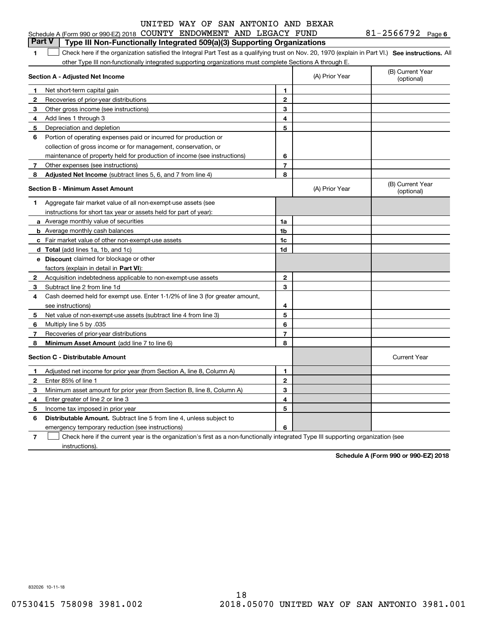### **1**1 Check here if the organization satisfied the Integral Part Test as a qualifying trust on Nov. 20, 1970 (explain in Part VI.) See instructions. All other Type III non-functionally integrated supporting organizations must complete Sections A through E. **Part V Type III Non-Functionally Integrated 509(a)(3) Supporting Organizations**

|    | Section A - Adjusted Net Income                                                                                                   |                | (A) Prior Year | (B) Current Year<br>(optional) |
|----|-----------------------------------------------------------------------------------------------------------------------------------|----------------|----------------|--------------------------------|
| 1  | Net short-term capital gain                                                                                                       | 1              |                |                                |
| 2  | Recoveries of prior year distributions                                                                                            | $\mathbf{2}$   |                |                                |
| 3  | Other gross income (see instructions)                                                                                             | 3              |                |                                |
| 4  | Add lines 1 through 3                                                                                                             | 4              |                |                                |
| 5  | Depreciation and depletion                                                                                                        | 5              |                |                                |
| 6  | Portion of operating expenses paid or incurred for production or                                                                  |                |                |                                |
|    | collection of gross income or for management, conservation, or                                                                    |                |                |                                |
|    | maintenance of property held for production of income (see instructions)                                                          | 6              |                |                                |
| 7  | Other expenses (see instructions)                                                                                                 | $\overline{7}$ |                |                                |
| 8  | Adjusted Net Income (subtract lines 5, 6, and 7 from line 4)                                                                      | 8              |                |                                |
|    | Section B - Minimum Asset Amount                                                                                                  |                | (A) Prior Year | (B) Current Year<br>(optional) |
| 1. | Aggregate fair market value of all non-exempt-use assets (see                                                                     |                |                |                                |
|    | instructions for short tax year or assets held for part of year):                                                                 |                |                |                                |
|    | <b>a</b> Average monthly value of securities                                                                                      | 1a             |                |                                |
|    | <b>b</b> Average monthly cash balances                                                                                            | 1b             |                |                                |
|    | c Fair market value of other non-exempt-use assets                                                                                | 1c             |                |                                |
|    | d Total (add lines 1a, 1b, and 1c)                                                                                                | 1d             |                |                                |
|    | <b>e</b> Discount claimed for blockage or other                                                                                   |                |                |                                |
|    | factors (explain in detail in Part VI):                                                                                           |                |                |                                |
| 2  | Acquisition indebtedness applicable to non-exempt-use assets                                                                      | $\mathbf{2}$   |                |                                |
| з  | Subtract line 2 from line 1d                                                                                                      | 3              |                |                                |
| 4  | Cash deemed held for exempt use. Enter 1-1/2% of line 3 (for greater amount,                                                      |                |                |                                |
|    | see instructions)                                                                                                                 | 4              |                |                                |
| 5  | Net value of non-exempt-use assets (subtract line 4 from line 3)                                                                  | 5              |                |                                |
| 6  | Multiply line 5 by .035                                                                                                           | 6              |                |                                |
| 7  | Recoveries of prior-year distributions                                                                                            | $\overline{7}$ |                |                                |
| 8  | Minimum Asset Amount (add line 7 to line 6)                                                                                       | 8              |                |                                |
|    | <b>Section C - Distributable Amount</b>                                                                                           |                |                | <b>Current Year</b>            |
| 1. | Adjusted net income for prior year (from Section A, line 8, Column A)                                                             | 1              |                |                                |
| 2  | Enter 85% of line 1                                                                                                               | $\mathbf{2}$   |                |                                |
| З  | Minimum asset amount for prior year (from Section B, line 8, Column A)                                                            | 3              |                |                                |
| 4  | Enter greater of line 2 or line 3                                                                                                 | 4              |                |                                |
| 5  | Income tax imposed in prior year                                                                                                  | 5              |                |                                |
| 6  | <b>Distributable Amount.</b> Subtract line 5 from line 4, unless subject to                                                       |                |                |                                |
|    | emergency temporary reduction (see instructions)                                                                                  | 6              |                |                                |
| 7  | Check here if the current year is the organization's first as a non-functionally integrated Type III supporting organization (see |                |                |                                |

instructions).

**Schedule A (Form 990 or 990-EZ) 2018**

832026 10-11-18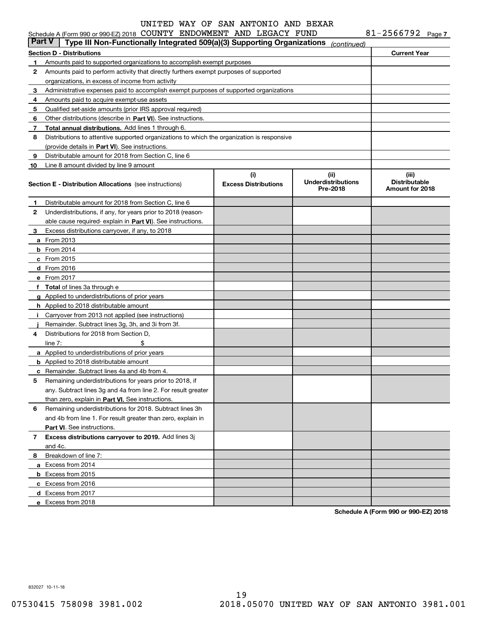|               | Schedule A (Form 990 or 990-EZ) 2018 COUNTY ENDOWMENT AND LEGACY FUND                      |                             |                                    | 81-2566792 Page 7             |
|---------------|--------------------------------------------------------------------------------------------|-----------------------------|------------------------------------|-------------------------------|
| <b>Part V</b> | Type III Non-Functionally Integrated 509(a)(3) Supporting Organizations                    |                             | (continued)                        |                               |
|               | <b>Section D - Distributions</b>                                                           |                             |                                    | <b>Current Year</b>           |
| 1             | Amounts paid to supported organizations to accomplish exempt purposes                      |                             |                                    |                               |
| 2             | Amounts paid to perform activity that directly furthers exempt purposes of supported       |                             |                                    |                               |
|               | organizations, in excess of income from activity                                           |                             |                                    |                               |
| 3             | Administrative expenses paid to accomplish exempt purposes of supported organizations      |                             |                                    |                               |
| 4             | Amounts paid to acquire exempt-use assets                                                  |                             |                                    |                               |
| 5             | Qualified set-aside amounts (prior IRS approval required)                                  |                             |                                    |                               |
| 6             | Other distributions (describe in Part VI). See instructions.                               |                             |                                    |                               |
| 7             | Total annual distributions. Add lines 1 through 6.                                         |                             |                                    |                               |
| 8             | Distributions to attentive supported organizations to which the organization is responsive |                             |                                    |                               |
|               | (provide details in Part VI). See instructions.                                            |                             |                                    |                               |
| 9             | Distributable amount for 2018 from Section C, line 6                                       |                             |                                    |                               |
| 10            | Line 8 amount divided by line 9 amount                                                     |                             |                                    |                               |
|               |                                                                                            | (i)                         | (iii)<br><b>Underdistributions</b> | (iii)<br><b>Distributable</b> |
|               | <b>Section E - Distribution Allocations</b> (see instructions)                             | <b>Excess Distributions</b> | Pre-2018                           | Amount for 2018               |
|               |                                                                                            |                             |                                    |                               |
| 1             | Distributable amount for 2018 from Section C, line 6                                       |                             |                                    |                               |
| 2             | Underdistributions, if any, for years prior to 2018 (reason-                               |                             |                                    |                               |
|               | able cause required-explain in Part VI). See instructions.                                 |                             |                                    |                               |
| 3             | Excess distributions carryover, if any, to 2018                                            |                             |                                    |                               |
|               | <b>a</b> From 2013                                                                         |                             |                                    |                               |
|               | $b$ From 2014                                                                              |                             |                                    |                               |
|               | $c$ From 2015                                                                              |                             |                                    |                               |
|               | d From 2016                                                                                |                             |                                    |                               |
|               | e From 2017                                                                                |                             |                                    |                               |
|               | f Total of lines 3a through e                                                              |                             |                                    |                               |
|               | g Applied to underdistributions of prior years                                             |                             |                                    |                               |
|               | <b>h</b> Applied to 2018 distributable amount                                              |                             |                                    |                               |
|               | Carryover from 2013 not applied (see instructions)                                         |                             |                                    |                               |
|               | Remainder. Subtract lines 3g, 3h, and 3i from 3f.                                          |                             |                                    |                               |
| 4             | Distributions for 2018 from Section D.                                                     |                             |                                    |                               |
|               | line $7:$<br>\$                                                                            |                             |                                    |                               |
|               | a Applied to underdistributions of prior years                                             |                             |                                    |                               |
|               | <b>b</b> Applied to 2018 distributable amount                                              |                             |                                    |                               |
|               | <b>c</b> Remainder. Subtract lines 4a and 4b from 4.                                       |                             |                                    |                               |
|               | Remaining underdistributions for years prior to 2018, if                                   |                             |                                    |                               |
|               | any. Subtract lines 3g and 4a from line 2. For result greater                              |                             |                                    |                               |
|               | than zero, explain in Part VI. See instructions.                                           |                             |                                    |                               |
| 6             | Remaining underdistributions for 2018. Subtract lines 3h                                   |                             |                                    |                               |
|               | and 4b from line 1. For result greater than zero, explain in                               |                             |                                    |                               |
|               | Part VI. See instructions.                                                                 |                             |                                    |                               |
| 7             | Excess distributions carryover to 2019. Add lines 3j                                       |                             |                                    |                               |
|               | and 4c.                                                                                    |                             |                                    |                               |
| 8             | Breakdown of line 7:                                                                       |                             |                                    |                               |
|               | a Excess from 2014                                                                         |                             |                                    |                               |
|               | <b>b</b> Excess from 2015                                                                  |                             |                                    |                               |
|               | c Excess from 2016                                                                         |                             |                                    |                               |
|               | d Excess from 2017                                                                         |                             |                                    |                               |
|               | e Excess from 2018                                                                         |                             |                                    |                               |

**Schedule A (Form 990 or 990-EZ) 2018**

832027 10-11-18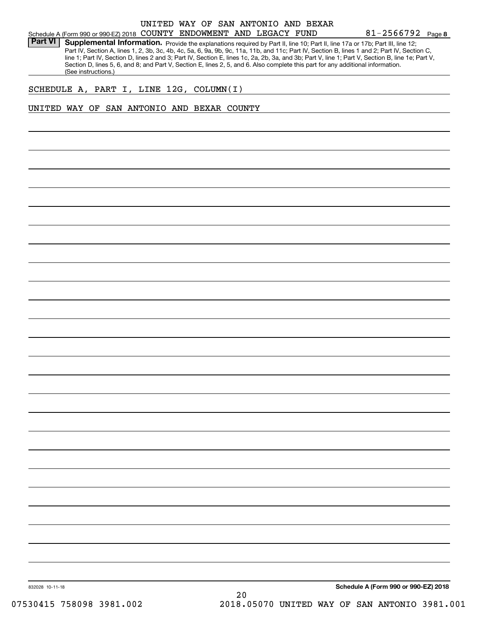### Schedule A (Form 990 or 990-EZ) 2018 Page COUNTY ENDOWMENT AND LEGACY FUND UNITED WAY OF SAN ANTONIO AND BEXAR

**8**81-2566792

Part VI | Supplemental Information. Provide the explanations required by Part II, line 10; Part II, line 17a or 17b; Part III, line 12; Part IV, Section A, lines 1, 2, 3b, 3c, 4b, 4c, 5a, 6, 9a, 9b, 9c, 11a, 11b, and 11c; Part IV, Section B, lines 1 and 2; Part IV, Section C, line 1; Part IV, Section D, lines 2 and 3; Part IV, Section E, lines 1c, 2a, 2b, 3a, and 3b; Part V, line 1; Part V, Section B, line 1e; Part V, Section D, lines 5, 6, and 8; and Part V, Section E, lines 2, 5, and 6. Also complete this part for any additional information. (See instructions.)

### SCHEDULE A, PART I, LINE 12G, COLUMN(I)

### UNITED WAY OF SAN ANTONIO AND BEXAR COUNTY

832028 10-11-18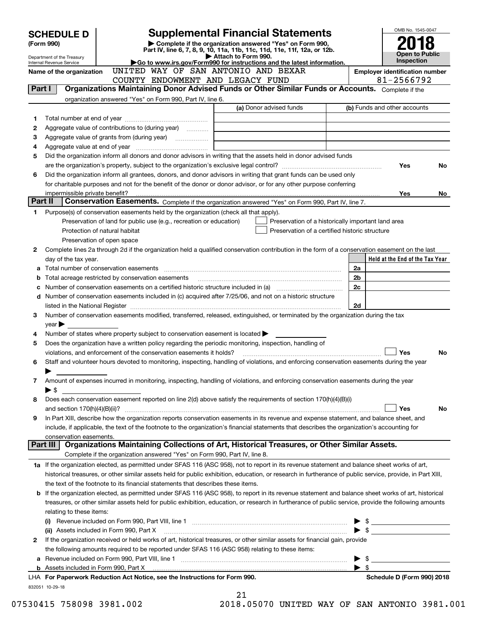| <b>Supplemental Financial Statements</b><br><b>SCHEDULE D</b> |                                                                                                                                                    |                               |                                                                                                                                                                                                                                |                     |                                                    | OMB No. 1545-0047 |                                                    |                                                     |     |
|---------------------------------------------------------------|----------------------------------------------------------------------------------------------------------------------------------------------------|-------------------------------|--------------------------------------------------------------------------------------------------------------------------------------------------------------------------------------------------------------------------------|---------------------|----------------------------------------------------|-------------------|----------------------------------------------------|-----------------------------------------------------|-----|
|                                                               | Complete if the organization answered "Yes" on Form 990,<br>(Form 990)<br>Part IV, line 6, 7, 8, 9, 10, 11a, 11b, 11c, 11d, 11e, 11f, 12a, or 12b. |                               |                                                                                                                                                                                                                                |                     |                                                    |                   |                                                    |                                                     |     |
|                                                               | Department of the Treasury                                                                                                                         |                               |                                                                                                                                                                                                                                | Attach to Form 990. |                                                    |                   |                                                    | <b>Open to Public</b><br>Inspection                 |     |
|                                                               | Internal Revenue Service                                                                                                                           |                               | Go to www.irs.gov/Form990 for instructions and the latest information.<br>UNITED WAY OF SAN ANTONIO AND BEXAR                                                                                                                  |                     |                                                    |                   |                                                    |                                                     |     |
|                                                               | Name of the organization                                                                                                                           |                               | COUNTY ENDOWMENT AND LEGACY FUND                                                                                                                                                                                               |                     |                                                    |                   |                                                    | <b>Employer identification number</b><br>81-2566792 |     |
| Part I                                                        |                                                                                                                                                    |                               | Organizations Maintaining Donor Advised Funds or Other Similar Funds or Accounts. Complete if the                                                                                                                              |                     |                                                    |                   |                                                    |                                                     |     |
|                                                               |                                                                                                                                                    |                               | organization answered "Yes" on Form 990, Part IV, line 6.                                                                                                                                                                      |                     |                                                    |                   |                                                    |                                                     |     |
|                                                               |                                                                                                                                                    |                               |                                                                                                                                                                                                                                |                     | (a) Donor advised funds                            |                   |                                                    | (b) Funds and other accounts                        |     |
| 1                                                             |                                                                                                                                                    |                               |                                                                                                                                                                                                                                |                     |                                                    |                   |                                                    |                                                     |     |
| 2                                                             |                                                                                                                                                    |                               | Aggregate value of contributions to (during year)                                                                                                                                                                              |                     |                                                    |                   |                                                    |                                                     |     |
| з                                                             |                                                                                                                                                    |                               |                                                                                                                                                                                                                                |                     |                                                    |                   |                                                    |                                                     |     |
| 4                                                             |                                                                                                                                                    |                               |                                                                                                                                                                                                                                |                     |                                                    |                   |                                                    |                                                     |     |
|                                                               | Did the organization inform all donors and donor advisors in writing that the assets held in donor advised funds<br>5                              |                               |                                                                                                                                                                                                                                |                     |                                                    |                   |                                                    |                                                     |     |
| 6                                                             | Did the organization inform all grantees, donors, and donor advisors in writing that grant funds can be used only                                  |                               |                                                                                                                                                                                                                                |                     |                                                    |                   | Yes                                                | No                                                  |     |
|                                                               |                                                                                                                                                    |                               | for charitable purposes and not for the benefit of the donor or donor advisor, or for any other purpose conferring                                                                                                             |                     |                                                    |                   |                                                    |                                                     |     |
|                                                               | impermissible private benefit?                                                                                                                     |                               |                                                                                                                                                                                                                                |                     |                                                    |                   |                                                    | Yes                                                 | No. |
| Part II                                                       |                                                                                                                                                    |                               | Conservation Easements. Complete if the organization answered "Yes" on Form 990, Part IV, line 7.                                                                                                                              |                     |                                                    |                   |                                                    |                                                     |     |
| 1                                                             |                                                                                                                                                    |                               | Purpose(s) of conservation easements held by the organization (check all that apply).                                                                                                                                          |                     |                                                    |                   |                                                    |                                                     |     |
|                                                               |                                                                                                                                                    |                               | Preservation of land for public use (e.g., recreation or education)                                                                                                                                                            |                     | Preservation of a historically important land area |                   |                                                    |                                                     |     |
|                                                               |                                                                                                                                                    | Protection of natural habitat |                                                                                                                                                                                                                                |                     | Preservation of a certified historic structure     |                   |                                                    |                                                     |     |
|                                                               |                                                                                                                                                    | Preservation of open space    |                                                                                                                                                                                                                                |                     |                                                    |                   |                                                    |                                                     |     |
| 2                                                             |                                                                                                                                                    |                               | Complete lines 2a through 2d if the organization held a qualified conservation contribution in the form of a conservation easement on the last                                                                                 |                     |                                                    |                   |                                                    |                                                     |     |
|                                                               | day of the tax year.                                                                                                                               |                               |                                                                                                                                                                                                                                |                     |                                                    |                   |                                                    | Held at the End of the Tax Year                     |     |
|                                                               | Total number of conservation easements                                                                                                             |                               |                                                                                                                                                                                                                                |                     |                                                    |                   | 2a                                                 |                                                     |     |
| b                                                             |                                                                                                                                                    |                               |                                                                                                                                                                                                                                |                     |                                                    |                   | 2b                                                 |                                                     |     |
|                                                               |                                                                                                                                                    |                               | Number of conservation easements on a certified historic structure included in (a) manufacture included in (a)                                                                                                                 |                     |                                                    |                   | 2c                                                 |                                                     |     |
| d                                                             |                                                                                                                                                    |                               | Number of conservation easements included in (c) acquired after 7/25/06, and not on a historic structure                                                                                                                       |                     |                                                    |                   |                                                    |                                                     |     |
|                                                               |                                                                                                                                                    |                               | listed in the National Register [111] [12] The Mational Register [11] Mathematic Mathematic Mathematic Mathematic Mathematic Mathematic Mathematic Mathematic Mathematic Mathematic Mathematic Mathematic Mathematic Mathemati |                     |                                                    |                   | 2d                                                 |                                                     |     |
| 3                                                             |                                                                                                                                                    |                               | Number of conservation easements modified, transferred, released, extinguished, or terminated by the organization during the tax                                                                                               |                     |                                                    |                   |                                                    |                                                     |     |
|                                                               | $year \triangleright$                                                                                                                              |                               |                                                                                                                                                                                                                                |                     |                                                    |                   |                                                    |                                                     |     |
| 4                                                             |                                                                                                                                                    |                               | Number of states where property subject to conservation easement is located $\blacktriangleright$                                                                                                                              |                     |                                                    |                   |                                                    |                                                     |     |
| 5                                                             |                                                                                                                                                    |                               | Does the organization have a written policy regarding the periodic monitoring, inspection, handling of                                                                                                                         |                     |                                                    |                   |                                                    |                                                     |     |
| 6                                                             |                                                                                                                                                    |                               | violations, and enforcement of the conservation easements it holds?<br>Staff and volunteer hours devoted to monitoring, inspecting, handling of violations, and enforcing conservation easements during the year               |                     |                                                    |                   |                                                    | Yes                                                 | No  |
|                                                               |                                                                                                                                                    |                               |                                                                                                                                                                                                                                |                     |                                                    |                   |                                                    |                                                     |     |
| 7                                                             |                                                                                                                                                    |                               | Amount of expenses incurred in monitoring, inspecting, handling of violations, and enforcing conservation easements during the year                                                                                            |                     |                                                    |                   |                                                    |                                                     |     |
|                                                               | ▶ \$                                                                                                                                               |                               |                                                                                                                                                                                                                                |                     |                                                    |                   |                                                    |                                                     |     |
| 8                                                             |                                                                                                                                                    |                               | Does each conservation easement reported on line 2(d) above satisfy the requirements of section 170(h)(4)(B)(i)                                                                                                                |                     |                                                    |                   |                                                    |                                                     |     |
|                                                               |                                                                                                                                                    |                               |                                                                                                                                                                                                                                |                     |                                                    |                   |                                                    | Yes                                                 | No  |
| 9                                                             |                                                                                                                                                    |                               | In Part XIII, describe how the organization reports conservation easements in its revenue and expense statement, and balance sheet, and                                                                                        |                     |                                                    |                   |                                                    |                                                     |     |
|                                                               |                                                                                                                                                    |                               | include, if applicable, the text of the footnote to the organization's financial statements that describes the organization's accounting for                                                                                   |                     |                                                    |                   |                                                    |                                                     |     |
|                                                               | conservation easements.                                                                                                                            |                               |                                                                                                                                                                                                                                |                     |                                                    |                   |                                                    |                                                     |     |
|                                                               | Part III I                                                                                                                                         |                               | Organizations Maintaining Collections of Art, Historical Treasures, or Other Similar Assets.                                                                                                                                   |                     |                                                    |                   |                                                    |                                                     |     |
|                                                               |                                                                                                                                                    |                               | Complete if the organization answered "Yes" on Form 990, Part IV, line 8.                                                                                                                                                      |                     |                                                    |                   |                                                    |                                                     |     |
|                                                               |                                                                                                                                                    |                               | 1a If the organization elected, as permitted under SFAS 116 (ASC 958), not to report in its revenue statement and balance sheet works of art,                                                                                  |                     |                                                    |                   |                                                    |                                                     |     |
|                                                               |                                                                                                                                                    |                               | historical treasures, or other similar assets held for public exhibition, education, or research in furtherance of public service, provide, in Part XIII,                                                                      |                     |                                                    |                   |                                                    |                                                     |     |
|                                                               |                                                                                                                                                    |                               | the text of the footnote to its financial statements that describes these items.                                                                                                                                               |                     |                                                    |                   |                                                    |                                                     |     |
|                                                               |                                                                                                                                                    |                               | <b>b</b> If the organization elected, as permitted under SFAS 116 (ASC 958), to report in its revenue statement and balance sheet works of art, historical                                                                     |                     |                                                    |                   |                                                    |                                                     |     |
|                                                               |                                                                                                                                                    |                               | treasures, or other similar assets held for public exhibition, education, or research in furtherance of public service, provide the following amounts                                                                          |                     |                                                    |                   |                                                    |                                                     |     |
|                                                               | relating to these items:                                                                                                                           |                               |                                                                                                                                                                                                                                |                     |                                                    |                   |                                                    |                                                     |     |
|                                                               |                                                                                                                                                    |                               | (i) Revenue included on Form 990, Part VIII, line 1 [2000] [2010] Revenue included on Form 990, Part VIII, line 1                                                                                                              |                     |                                                    |                   |                                                    |                                                     |     |
|                                                               | (ii) Assets included in Form 990, Part X                                                                                                           |                               |                                                                                                                                                                                                                                |                     |                                                    |                   |                                                    | $\bullet$ \$                                        |     |
| 2                                                             |                                                                                                                                                    |                               | If the organization received or held works of art, historical treasures, or other similar assets for financial gain, provide                                                                                                   |                     |                                                    |                   |                                                    |                                                     |     |
|                                                               |                                                                                                                                                    |                               | the following amounts required to be reported under SFAS 116 (ASC 958) relating to these items:                                                                                                                                |                     |                                                    |                   |                                                    |                                                     |     |
|                                                               |                                                                                                                                                    |                               |                                                                                                                                                                                                                                |                     |                                                    |                   | $\blacktriangleright$ s<br>$\blacktriangleright$ s |                                                     |     |
|                                                               |                                                                                                                                                    |                               | LHA For Paperwork Reduction Act Notice, see the Instructions for Form 990.                                                                                                                                                     |                     |                                                    |                   |                                                    | Schedule D (Form 990) 2018                          |     |
|                                                               | 832051 10-29-18                                                                                                                                    |                               |                                                                                                                                                                                                                                |                     |                                                    |                   |                                                    |                                                     |     |
|                                                               |                                                                                                                                                    |                               |                                                                                                                                                                                                                                | 21                  |                                                    |                   |                                                    |                                                     |     |

| n 1 | o |  |  | ハドハワ |  |
|-----|---|--|--|------|--|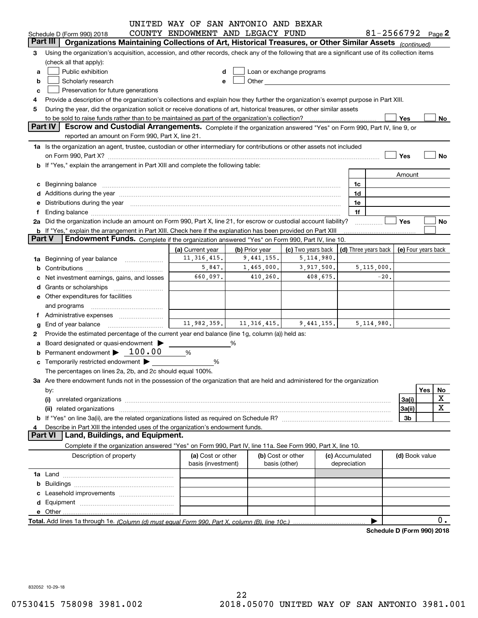|               |                                                                                                                                                                                                                                | UNITED WAY OF SAN ANTONIO AND BEXAR     |                |                                                                                                                                                                                                                               |                                 |              |                                            |           |
|---------------|--------------------------------------------------------------------------------------------------------------------------------------------------------------------------------------------------------------------------------|-----------------------------------------|----------------|-------------------------------------------------------------------------------------------------------------------------------------------------------------------------------------------------------------------------------|---------------------------------|--------------|--------------------------------------------|-----------|
|               | Schedule D (Form 990) 2018                                                                                                                                                                                                     | COUNTY ENDOWMENT AND LEGACY FUND        |                |                                                                                                                                                                                                                               |                                 |              | 81-2566792 $_{Page}$ 2                     |           |
|               | Part III   Organizations Maintaining Collections of Art, Historical Treasures, or Other Similar Assets (continued)                                                                                                             |                                         |                |                                                                                                                                                                                                                               |                                 |              |                                            |           |
| 3             | Using the organization's acquisition, accession, and other records, check any of the following that are a significant use of its collection items<br>(check all that apply):                                                   |                                         |                |                                                                                                                                                                                                                               |                                 |              |                                            |           |
| a             | Public exhibition                                                                                                                                                                                                              | d                                       |                | Loan or exchange programs                                                                                                                                                                                                     |                                 |              |                                            |           |
| b             | Scholarly research                                                                                                                                                                                                             |                                         |                | Other and the contract of the contract of the contract of the contract of the contract of the contract of the contract of the contract of the contract of the contract of the contract of the contract of the contract of the |                                 |              |                                            |           |
| c             | Preservation for future generations                                                                                                                                                                                            |                                         |                |                                                                                                                                                                                                                               |                                 |              |                                            |           |
| 4             | Provide a description of the organization's collections and explain how they further the organization's exempt purpose in Part XIII.                                                                                           |                                         |                |                                                                                                                                                                                                                               |                                 |              |                                            |           |
| 5             | During the year, did the organization solicit or receive donations of art, historical treasures, or other similar assets                                                                                                       |                                         |                |                                                                                                                                                                                                                               |                                 |              |                                            |           |
|               |                                                                                                                                                                                                                                |                                         |                |                                                                                                                                                                                                                               |                                 |              | Yes                                        | No        |
|               | <b>Part IV</b><br>Escrow and Custodial Arrangements. Complete if the organization answered "Yes" on Form 990, Part IV, line 9, or                                                                                              |                                         |                |                                                                                                                                                                                                                               |                                 |              |                                            |           |
|               | reported an amount on Form 990, Part X, line 21.                                                                                                                                                                               |                                         |                |                                                                                                                                                                                                                               |                                 |              |                                            |           |
|               | 1a Is the organization an agent, trustee, custodian or other intermediary for contributions or other assets not included                                                                                                       |                                         |                |                                                                                                                                                                                                                               |                                 |              |                                            |           |
|               |                                                                                                                                                                                                                                |                                         |                |                                                                                                                                                                                                                               |                                 |              | Yes                                        | No        |
|               | <b>b</b> If "Yes," explain the arrangement in Part XIII and complete the following table:                                                                                                                                      |                                         |                |                                                                                                                                                                                                                               |                                 |              |                                            |           |
|               |                                                                                                                                                                                                                                |                                         |                |                                                                                                                                                                                                                               |                                 |              | Amount                                     |           |
|               | c Beginning balance measurements and the state of the state of the state of the state of the state of the state of the state of the state of the state of the state of the state of the state of the state of the state of the |                                         |                |                                                                                                                                                                                                                               | 1c                              |              |                                            |           |
|               |                                                                                                                                                                                                                                |                                         |                |                                                                                                                                                                                                                               | 1d                              |              |                                            |           |
|               |                                                                                                                                                                                                                                |                                         |                |                                                                                                                                                                                                                               |                                 |              |                                            |           |
|               | e Distributions during the year manufactured and continuum and contract the year manufactured and contract the                                                                                                                 |                                         |                |                                                                                                                                                                                                                               | 1e                              |              |                                            |           |
| f             |                                                                                                                                                                                                                                |                                         |                |                                                                                                                                                                                                                               | 1f                              |              |                                            |           |
|               | 2a Did the organization include an amount on Form 990, Part X, line 21, for escrow or custodial account liability?                                                                                                             |                                         |                |                                                                                                                                                                                                                               |                                 |              | Yes                                        | No        |
| <b>Part V</b> | <b>b</b> If "Yes," explain the arrangement in Part XIII. Check here if the explanation has been provided on Part XIII<br>Endowment Funds. Complete if the organization answered "Yes" on Form 990, Part IV, line 10.           |                                         |                |                                                                                                                                                                                                                               |                                 |              |                                            |           |
|               |                                                                                                                                                                                                                                |                                         |                |                                                                                                                                                                                                                               |                                 |              |                                            |           |
|               |                                                                                                                                                                                                                                | (a) Current year                        | (b) Prior year | (c) Two years back                                                                                                                                                                                                            |                                 |              | (d) Three years back   (e) Four years back |           |
|               | 1a Beginning of year balance                                                                                                                                                                                                   | 11, 316, 415.                           | 9,441,155.     | 5,114,980.                                                                                                                                                                                                                    |                                 |              |                                            |           |
|               |                                                                                                                                                                                                                                | 5,847.                                  | 1,465,000.     | 3,917,500.                                                                                                                                                                                                                    |                                 | 5, 115, 000. |                                            |           |
|               | Net investment earnings, gains, and losses                                                                                                                                                                                     | 660,097.                                | 410,260.       | 408,675.                                                                                                                                                                                                                      |                                 | $-20.$       |                                            |           |
|               |                                                                                                                                                                                                                                |                                         |                |                                                                                                                                                                                                                               |                                 |              |                                            |           |
|               | e Other expenditures for facilities                                                                                                                                                                                            |                                         |                |                                                                                                                                                                                                                               |                                 |              |                                            |           |
|               | and programs                                                                                                                                                                                                                   |                                         |                |                                                                                                                                                                                                                               |                                 |              |                                            |           |
|               |                                                                                                                                                                                                                                |                                         |                |                                                                                                                                                                                                                               |                                 |              |                                            |           |
| g             | End of year balance                                                                                                                                                                                                            | 11,982,359.                             | 11, 316, 415.  | 9,441,155.                                                                                                                                                                                                                    |                                 | 5, 114, 980. |                                            |           |
| 2             | Provide the estimated percentage of the current year end balance (line 1g, column (a)) held as:                                                                                                                                |                                         |                |                                                                                                                                                                                                                               |                                 |              |                                            |           |
|               | a Board designated or quasi-endowment >                                                                                                                                                                                        |                                         | ℅              |                                                                                                                                                                                                                               |                                 |              |                                            |           |
|               | Permanent endowment $\blacktriangleright$ 100.00                                                                                                                                                                               | %                                       |                |                                                                                                                                                                                                                               |                                 |              |                                            |           |
|               | c Temporarily restricted endowment $\blacktriangleright$                                                                                                                                                                       | %                                       |                |                                                                                                                                                                                                                               |                                 |              |                                            |           |
|               | The percentages on lines 2a, 2b, and 2c should equal 100%.                                                                                                                                                                     |                                         |                |                                                                                                                                                                                                                               |                                 |              |                                            |           |
|               | 3a Are there endowment funds not in the possession of the organization that are held and administered for the organization                                                                                                     |                                         |                |                                                                                                                                                                                                                               |                                 |              |                                            |           |
|               | by:                                                                                                                                                                                                                            |                                         |                |                                                                                                                                                                                                                               |                                 |              |                                            | Yes<br>No |
|               | (i)                                                                                                                                                                                                                            |                                         |                |                                                                                                                                                                                                                               |                                 |              | 3a(i)                                      | X         |
|               |                                                                                                                                                                                                                                |                                         |                |                                                                                                                                                                                                                               |                                 |              | 3a(ii)                                     | X         |
|               |                                                                                                                                                                                                                                |                                         |                |                                                                                                                                                                                                                               |                                 |              | 3b                                         |           |
|               | Describe in Part XIII the intended uses of the organization's endowment funds.                                                                                                                                                 |                                         |                |                                                                                                                                                                                                                               |                                 |              |                                            |           |
|               | Land, Buildings, and Equipment.<br><b>Part VI</b>                                                                                                                                                                              |                                         |                |                                                                                                                                                                                                                               |                                 |              |                                            |           |
|               | Complete if the organization answered "Yes" on Form 990, Part IV, line 11a. See Form 990, Part X, line 10.                                                                                                                     |                                         |                |                                                                                                                                                                                                                               |                                 |              |                                            |           |
|               |                                                                                                                                                                                                                                |                                         |                |                                                                                                                                                                                                                               |                                 |              |                                            |           |
|               | Description of property                                                                                                                                                                                                        | (a) Cost or other<br>basis (investment) |                | (b) Cost or other<br>basis (other)                                                                                                                                                                                            | (c) Accumulated<br>depreciation |              | (d) Book value                             |           |
|               |                                                                                                                                                                                                                                |                                         |                |                                                                                                                                                                                                                               |                                 |              |                                            |           |
|               |                                                                                                                                                                                                                                |                                         |                |                                                                                                                                                                                                                               |                                 |              |                                            |           |
|               |                                                                                                                                                                                                                                |                                         |                |                                                                                                                                                                                                                               |                                 |              |                                            |           |
|               |                                                                                                                                                                                                                                |                                         |                |                                                                                                                                                                                                                               |                                 |              |                                            |           |
|               |                                                                                                                                                                                                                                |                                         |                |                                                                                                                                                                                                                               |                                 |              |                                            |           |
|               |                                                                                                                                                                                                                                |                                         |                |                                                                                                                                                                                                                               |                                 |              |                                            |           |
|               |                                                                                                                                                                                                                                |                                         |                |                                                                                                                                                                                                                               |                                 |              |                                            | 0.        |
|               | Schedule D (Form 990) 2018                                                                                                                                                                                                     |                                         |                |                                                                                                                                                                                                                               |                                 |              |                                            |           |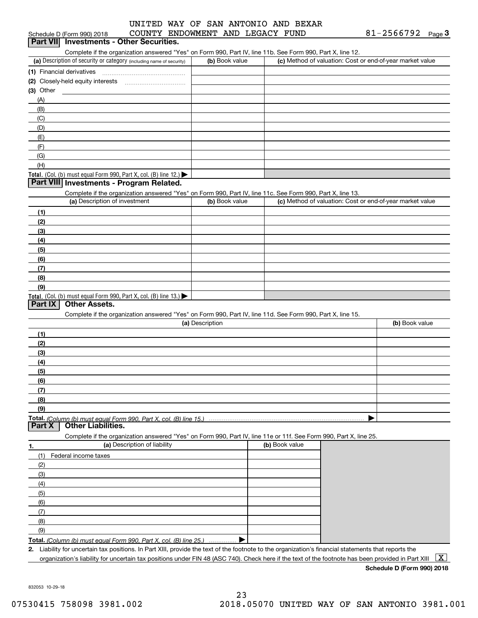## Schedule D (Form 990) 2018 COUNTY ENDOWMENT AND LEGACY FUND 81-2566792 <sub>Page</sub> 3<br>| **Part VII** | Investments - Other Securities. UNITED WAY OF SAN ANTONIO AND BEXAR

Complete if the organization answered "Yes" on Form 990, Part IV, line 11b. See Form 990, Part X, line 12.

| (a) Description of security or category (including name of security)                   | (b) Book value | (c) Method of valuation: Cost or end-of-year market value |
|----------------------------------------------------------------------------------------|----------------|-----------------------------------------------------------|
| (1) Financial derivatives                                                              |                |                                                           |
| (2) Closely-held equity interests                                                      |                |                                                           |
| $(3)$ Other                                                                            |                |                                                           |
| (A)                                                                                    |                |                                                           |
| (B)                                                                                    |                |                                                           |
| (C)                                                                                    |                |                                                           |
| (D)                                                                                    |                |                                                           |
| (E)                                                                                    |                |                                                           |
| (F)                                                                                    |                |                                                           |
| (G)                                                                                    |                |                                                           |
| (H)                                                                                    |                |                                                           |
| Total. (Col. (b) must equal Form 990, Part X, col. (B) line 12.) $\blacktriangleright$ |                |                                                           |

### **Part VIII Investments - Program Related.**

Complete if the organization answered "Yes" on Form 990, Part IV, line 11c. See Form 990, Part X, line 13.

| (a) Description of investment                                                          | (b) Book value | (c) Method of valuation: Cost or end-of-year market value |
|----------------------------------------------------------------------------------------|----------------|-----------------------------------------------------------|
| (1)                                                                                    |                |                                                           |
| (2)                                                                                    |                |                                                           |
| $\frac{1}{2}$                                                                          |                |                                                           |
| (4)                                                                                    |                |                                                           |
| $\frac{1}{2}$                                                                          |                |                                                           |
| (6)                                                                                    |                |                                                           |
| $\sqrt{(7)}$                                                                           |                |                                                           |
| (8)                                                                                    |                |                                                           |
| (9)                                                                                    |                |                                                           |
| Total. (Col. (b) must equal Form 990, Part X, col. (B) line 13.) $\blacktriangleright$ |                |                                                           |

### **Part IX Other Assets.**

Complete if the organization answered "Yes" on Form 990, Part IV, line 11d. See Form 990, Part X, line 15.

| (a) Description | (b) Book value |
|-----------------|----------------|
| (1)             |                |
| (2)             |                |
| $\frac{1}{2}$   |                |
| (4)             |                |
| $\frac{1}{2}$   |                |
| (6)             |                |
| $\frac{1}{2}$   |                |
| (8)             |                |
| (9)             |                |
|                 |                |

**Part X Other Liabilities.**

Complete if the organization answered "Yes" on Form 990, Part IV, line 11e or 11f. See Form 990, Part X, line 25.

| -1. | (a) Description of liability | (b) Book value |
|-----|------------------------------|----------------|
| (1) | Federal income taxes         |                |
| (2) |                              |                |
| (3) |                              |                |
| (4) |                              |                |
| (5) |                              |                |
| (6) |                              |                |
| (7) |                              |                |
| (8) |                              |                |
| (9) |                              |                |
|     | Total (O <sub>2</sub> )      |                |

**Total.**  *(Column (b) must equal Form 990, Part X, col. (B) line 25.)* . . . . . . . . . . . . . . . …. ▶

**2.** Liability for uncertain tax positions. In Part XIII, provide the text of the footnote to the organization's financial statements that reports the organization's liability for uncertain tax positions under FIN 48 (ASC 740). Check here if the text of the footnote has been provided in Part XIII  $~\boxed{\rm X}$ 

**Schedule D (Form 990) 2018**

832053 10-29-18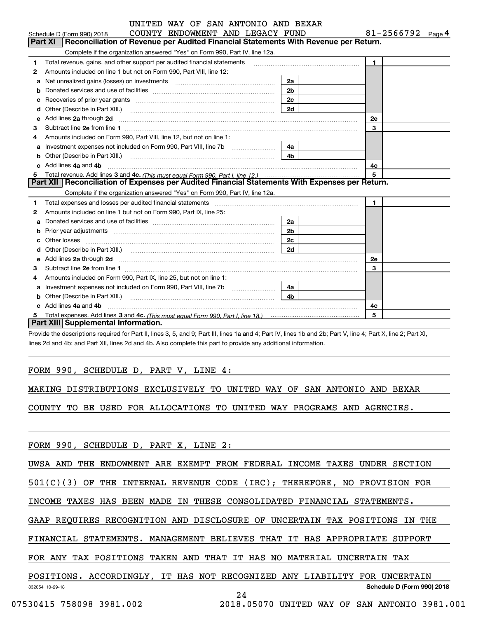|   | UNITED WAY OF SAN ANTONIO AND BEXAR                                                                                                                                                                                                  |                |                        |
|---|--------------------------------------------------------------------------------------------------------------------------------------------------------------------------------------------------------------------------------------|----------------|------------------------|
|   | COUNTY ENDOWMENT AND LEGACY FUND<br>Schedule D (Form 990) 2018                                                                                                                                                                       |                | 81-2566792 $_{Page}$ 4 |
|   | Reconciliation of Revenue per Audited Financial Statements With Revenue per Return.<br>Part XI                                                                                                                                       |                |                        |
|   | Complete if the organization answered "Yes" on Form 990, Part IV, line 12a.                                                                                                                                                          |                |                        |
| 1 | Total revenue, gains, and other support per audited financial statements                                                                                                                                                             |                | $\blacksquare$         |
| 2 | Amounts included on line 1 but not on Form 990, Part VIII, line 12:                                                                                                                                                                  |                |                        |
| a | Net unrealized gains (losses) on investments [11] matter contracts and the unrealized gains (losses) on investments                                                                                                                  | 2a             |                        |
| b |                                                                                                                                                                                                                                      | 2 <sub>b</sub> |                        |
|   |                                                                                                                                                                                                                                      | 2 <sub>c</sub> |                        |
| d |                                                                                                                                                                                                                                      | 2d             |                        |
| е | Add lines 2a through 2d                                                                                                                                                                                                              |                | <b>2e</b>              |
| 3 |                                                                                                                                                                                                                                      |                | 3                      |
| 4 | Amounts included on Form 990, Part VIII, line 12, but not on line 1:                                                                                                                                                                 |                |                        |
| a |                                                                                                                                                                                                                                      | 4а             |                        |
| b |                                                                                                                                                                                                                                      | 4b.            |                        |
|   | Add lines 4a and 4b                                                                                                                                                                                                                  |                | 4c                     |
| 5 |                                                                                                                                                                                                                                      |                |                        |
|   | Part XII   Reconciliation of Expenses per Audited Financial Statements With Expenses per Return.                                                                                                                                     |                |                        |
|   | Complete if the organization answered "Yes" on Form 990, Part IV, line 12a.                                                                                                                                                          |                |                        |
| 1 |                                                                                                                                                                                                                                      |                | $\blacksquare$         |
| 2 | Amounts included on line 1 but not on Form 990, Part IX, line 25:                                                                                                                                                                    |                |                        |
| a |                                                                                                                                                                                                                                      | 2a             |                        |
|   | Prior year adjustments www.communication.com/www.communication.com/www.com/                                                                                                                                                          | 2 <sub>b</sub> |                        |
|   | Other losses <b>with a contract the contract of the contract of the contract of the contract of the contract of the contract of the contract of the contract of the contract of the contract of the contract of the contract of </b> | 2c             |                        |
| d |                                                                                                                                                                                                                                      | 2d             |                        |
| е | Add lines 2a through 2d <b>contained a contained a contained a contained a contained a contained a contained a contained a contact a contact a contact a contact a contact a contact a contact a contact a contact a contact a c</b> |                | 2e                     |
| з |                                                                                                                                                                                                                                      |                | 3                      |
| 4 | Amounts included on Form 990, Part IX, line 25, but not on line 1:                                                                                                                                                                   |                |                        |
| a |                                                                                                                                                                                                                                      | 4a             |                        |
|   |                                                                                                                                                                                                                                      | 4 <sub>h</sub> |                        |
|   | Add lines 4a and 4b                                                                                                                                                                                                                  |                | 4c                     |
|   |                                                                                                                                                                                                                                      |                | 5                      |
|   | Part XIII Supplemental Information.                                                                                                                                                                                                  |                |                        |

Provide the descriptions required for Part II, lines 3, 5, and 9; Part III, lines 1a and 4; Part IV, lines 1b and 2b; Part V, line 4; Part X, line 2; Part XI, lines 2d and 4b; and Part XII, lines 2d and 4b. Also complete this part to provide any additional information.

### FORM 990, SCHEDULE D, PART V, LINE 4:

MAKING DISTRIBUTIONS EXCLUSIVELY TO UNITED WAY OF SAN ANTONIO AND BEXAR

COUNTY TO BE USED FOR ALLOCATIONS TO UNITED WAY PROGRAMS AND AGENCIES.

FORM 990, SCHEDULE D, PART X, LINE 2:

UWSA AND THE ENDOWMENT ARE EXEMPT FROM FEDERAL INCOME TAXES UNDER SECTION

501(C)(3) OF THE INTERNAL REVENUE CODE (IRC); THEREFORE, NO PROVISION FOR

INCOME TAXES HAS BEEN MADE IN THESE CONSOLIDATED FINANCIAL STATEMENTS.

GAAP REQUIRES RECOGNITION AND DISCLOSURE OF UNCERTAIN TAX POSITIONS IN THE

FINANCIAL STATEMENTS. MANAGEMENT BELIEVES THAT IT HAS APPROPRIATE SUPPORT

FOR ANY TAX POSITIONS TAKEN AND THAT IT HAS NO MATERIAL UNCERTAIN TAX

### 832054 10-29-18 **Schedule D (Form 990) 2018** POSITIONS. ACCORDINGLY, IT HAS NOT RECOGNIZED ANY LIABILITY FOR UNCERTAIN

24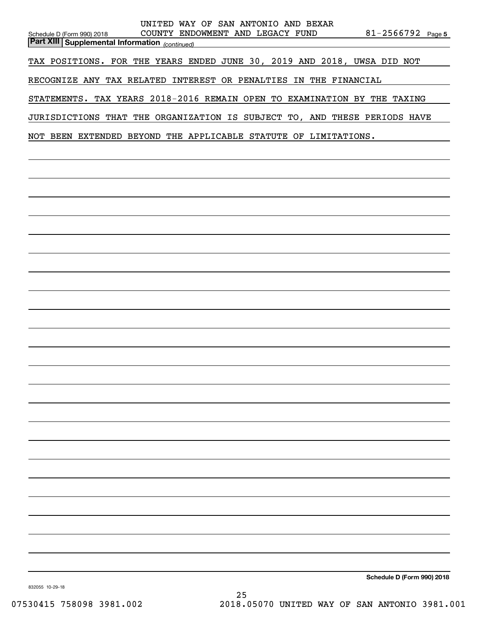| UNITED WAY OF SAN ANTONIO AND BEXAR<br>COUNTY ENDOWMENT AND LEGACY FUND<br>$81 - 2566792$ Page 5<br>Schedule D (Form 990) 2018<br><b>Part XIII Supplemental Information</b> (continued) |
|-----------------------------------------------------------------------------------------------------------------------------------------------------------------------------------------|
| TAX POSITIONS. FOR THE YEARS ENDED JUNE 30, 2019 AND 2018, UWSA DID NOT                                                                                                                 |
| RECOGNIZE ANY TAX RELATED INTEREST OR PENALTIES IN THE FINANCIAL                                                                                                                        |
| STATEMENTS. TAX YEARS 2018-2016 REMAIN OPEN TO EXAMINATION BY THE TAXING                                                                                                                |
| JURISDICTIONS THAT THE ORGANIZATION IS SUBJECT TO, AND THESE PERIODS HAVE                                                                                                               |
| NOT BEEN EXTENDED BEYOND THE APPLICABLE STATUTE OF LIMITATIONS.                                                                                                                         |
|                                                                                                                                                                                         |
|                                                                                                                                                                                         |
|                                                                                                                                                                                         |
|                                                                                                                                                                                         |
|                                                                                                                                                                                         |
|                                                                                                                                                                                         |
|                                                                                                                                                                                         |
|                                                                                                                                                                                         |
|                                                                                                                                                                                         |
|                                                                                                                                                                                         |
|                                                                                                                                                                                         |
|                                                                                                                                                                                         |
|                                                                                                                                                                                         |
|                                                                                                                                                                                         |
|                                                                                                                                                                                         |
|                                                                                                                                                                                         |
|                                                                                                                                                                                         |
|                                                                                                                                                                                         |
|                                                                                                                                                                                         |
|                                                                                                                                                                                         |
|                                                                                                                                                                                         |
|                                                                                                                                                                                         |
| Schedule D (Form 990) 2018                                                                                                                                                              |

832055 10-29-18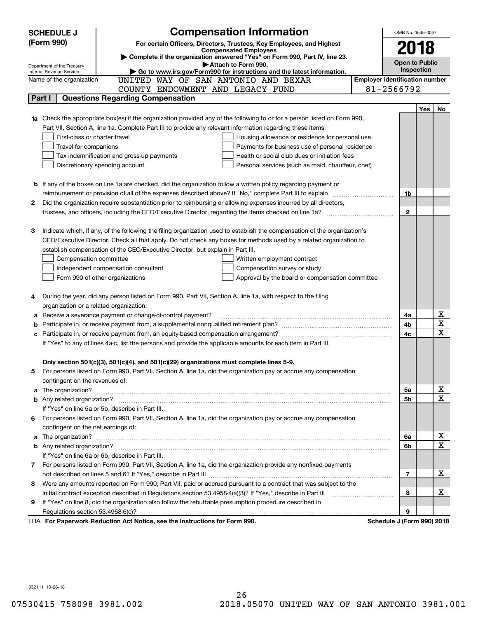|        | <b>Compensation Information</b><br><b>SCHEDULE J</b>                                                                                                    |                                       | OMB No. 1545-0047          |            |                         |  |
|--------|---------------------------------------------------------------------------------------------------------------------------------------------------------|---------------------------------------|----------------------------|------------|-------------------------|--|
|        | (Form 990)<br>For certain Officers, Directors, Trustees, Key Employees, and Highest                                                                     |                                       |                            |            |                         |  |
|        | <b>Compensated Employees</b>                                                                                                                            |                                       | 2018                       |            |                         |  |
|        | Complete if the organization answered "Yes" on Form 990, Part IV, line 23.                                                                              |                                       | <b>Open to Public</b>      |            |                         |  |
|        | Attach to Form 990.<br>Department of the Treasury<br>Go to www.irs.gov/Form990 for instructions and the latest information.<br>Internal Revenue Service |                                       | Inspection                 |            |                         |  |
|        | Name of the organization<br>UNITED WAY OF SAN ANTONIO AND BEXAR                                                                                         | <b>Employer identification number</b> |                            |            |                         |  |
|        | COUNTY ENDOWMENT AND LEGACY FUND                                                                                                                        |                                       | 81-2566792                 |            |                         |  |
| Part I | <b>Questions Regarding Compensation</b>                                                                                                                 |                                       |                            |            |                         |  |
|        |                                                                                                                                                         |                                       |                            | <b>Yes</b> | No                      |  |
|        | <b>1a</b> Check the appropriate box(es) if the organization provided any of the following to or for a person listed on Form 990,                        |                                       |                            |            |                         |  |
|        | Part VII, Section A, line 1a. Complete Part III to provide any relevant information regarding these items.                                              |                                       |                            |            |                         |  |
|        | First-class or charter travel<br>Housing allowance or residence for personal use                                                                        |                                       |                            |            |                         |  |
|        | Travel for companions<br>Payments for business use of personal residence                                                                                |                                       |                            |            |                         |  |
|        | Health or social club dues or initiation fees<br>Tax indemnification and gross-up payments                                                              |                                       |                            |            |                         |  |
|        | Discretionary spending account<br>Personal services (such as maid, chauffeur, chef)                                                                     |                                       |                            |            |                         |  |
|        |                                                                                                                                                         |                                       |                            |            |                         |  |
|        | <b>b</b> If any of the boxes on line 1a are checked, did the organization follow a written policy regarding payment or                                  |                                       |                            |            |                         |  |
|        | reimbursement or provision of all of the expenses described above? If "No," complete Part III to explain                                                |                                       | 1b                         |            |                         |  |
| 2      | Did the organization require substantiation prior to reimbursing or allowing expenses incurred by all directors,                                        |                                       |                            |            |                         |  |
|        | trustees, and officers, including the CEO/Executive Director, regarding the items checked on line 1a?                                                   |                                       | $\mathbf{2}$               |            |                         |  |
|        |                                                                                                                                                         |                                       |                            |            |                         |  |
| З      | Indicate which, if any, of the following the filing organization used to establish the compensation of the organization's                               |                                       |                            |            |                         |  |
|        | CEO/Executive Director. Check all that apply. Do not check any boxes for methods used by a related organization to                                      |                                       |                            |            |                         |  |
|        | establish compensation of the CEO/Executive Director, but explain in Part III.                                                                          |                                       |                            |            |                         |  |
|        | Compensation committee<br>Written employment contract                                                                                                   |                                       |                            |            |                         |  |
|        | Compensation survey or study<br>Independent compensation consultant                                                                                     |                                       |                            |            |                         |  |
|        | Form 990 of other organizations<br>Approval by the board or compensation committee                                                                      |                                       |                            |            |                         |  |
|        |                                                                                                                                                         |                                       |                            |            |                         |  |
|        | During the year, did any person listed on Form 990, Part VII, Section A, line 1a, with respect to the filing                                            |                                       |                            |            |                         |  |
| а      | organization or a related organization:<br>Receive a severance payment or change-of-control payment?                                                    |                                       | 4a                         |            | х                       |  |
| b      |                                                                                                                                                         |                                       | 4b                         |            | $\overline{\mathbf{x}}$ |  |
| с      |                                                                                                                                                         |                                       | 4c                         |            | $\overline{\mathbf{x}}$ |  |
|        | If "Yes" to any of lines 4a-c, list the persons and provide the applicable amounts for each item in Part III.                                           |                                       |                            |            |                         |  |
|        |                                                                                                                                                         |                                       |                            |            |                         |  |
|        | Only section 501(c)(3), 501(c)(4), and 501(c)(29) organizations must complete lines 5-9.                                                                |                                       |                            |            |                         |  |
|        | For persons listed on Form 990, Part VII, Section A, line 1a, did the organization pay or accrue any compensation                                       |                                       |                            |            |                         |  |
|        | contingent on the revenues of:                                                                                                                          |                                       |                            |            |                         |  |
|        | a The organization? <b>Entitation</b> and the organization?                                                                                             |                                       | 5a                         |            | x                       |  |
|        |                                                                                                                                                         |                                       | 5b                         |            | $\mathbf x$             |  |
|        | If "Yes" on line 5a or 5b, describe in Part III.                                                                                                        |                                       |                            |            |                         |  |
| 6.     | For persons listed on Form 990, Part VII, Section A, line 1a, did the organization pay or accrue any compensation                                       |                                       |                            |            |                         |  |
|        | contingent on the net earnings of:                                                                                                                      |                                       |                            |            |                         |  |
| a      |                                                                                                                                                         |                                       | 6a                         |            | х                       |  |
|        |                                                                                                                                                         |                                       | 6b                         |            | $\mathbf x$             |  |
|        | If "Yes" on line 6a or 6b, describe in Part III.                                                                                                        |                                       |                            |            |                         |  |
|        | 7 For persons listed on Form 990, Part VII, Section A, line 1a, did the organization provide any nonfixed payments                                      |                                       |                            |            |                         |  |
|        |                                                                                                                                                         |                                       | 7                          |            | х                       |  |
| 8      | Were any amounts reported on Form 990, Part VII, paid or accrued pursuant to a contract that was subject to the                                         |                                       |                            |            |                         |  |
|        | initial contract exception described in Regulations section 53.4958-4(a)(3)? If "Yes," describe in Part III                                             |                                       | 8                          |            | х                       |  |
| 9      | If "Yes" on line 8, did the organization also follow the rebuttable presumption procedure described in                                                  |                                       |                            |            |                         |  |
|        | Regulations section 53.4958-6(c)?                                                                                                                       |                                       | 9                          |            |                         |  |
|        | LHA For Paperwork Reduction Act Notice, see the Instructions for Form 990.                                                                              |                                       | Schedule J (Form 990) 2018 |            |                         |  |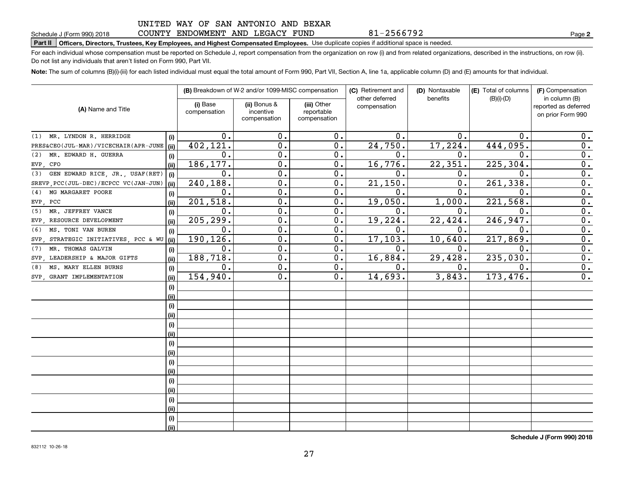### COUNTY ENDOWMENT AND LEGACY FUND

81-2566792

**2**

# **Part II Officers, Directors, Trustees, Key Employees, and Highest Compensated Employees.**  Schedule J (Form 990) 2018 Page Use duplicate copies if additional space is needed.

For each individual whose compensation must be reported on Schedule J, report compensation from the organization on row (i) and from related organizations, described in the instructions, on row (ii). Do not list any individuals that aren't listed on Form 990, Part VII.

**Note:**  The sum of columns (B)(i)-(iii) for each listed individual must equal the total amount of Form 990, Part VII, Section A, line 1a, applicable column (D) and (E) amounts for that individual.

|                                         |      | (B) Breakdown of W-2 and/or 1099-MISC compensation |                                           | (C) Retirement and<br>other deferred      | (D) Nontaxable<br>benefits | (E) Total of columns | (F) Compensation<br>in column (B) |                                           |
|-----------------------------------------|------|----------------------------------------------------|-------------------------------------------|-------------------------------------------|----------------------------|----------------------|-----------------------------------|-------------------------------------------|
| (A) Name and Title                      |      | (i) Base<br>compensation                           | (ii) Bonus &<br>incentive<br>compensation | (iii) Other<br>reportable<br>compensation | compensation               |                      | $(B)(i)$ - $(D)$                  | reported as deferred<br>on prior Form 990 |
| MR. LYNDON R. HERRIDGE<br>(1)           | (i)  | $\mathbf 0$ .                                      | 0.                                        | 0.                                        | $\mathbf 0$ .              | 0.                   | 0.                                | 0.                                        |
| PRES&CEO(JUL-MAR)/VICECHAIR(APR-JUNE    | (ii) | 402,121.                                           | 0.                                        | 0.                                        | 24,750.                    | 17,224.              | 444,095.                          | 0.                                        |
| MR. EDWARD H. GUERRA<br>(2)             | (i)  | 0.                                                 | $\mathbf 0$ .                             | 0.                                        | $\mathbf{0}$ .             | 0.                   | 0.                                | 0.                                        |
| CFO<br>EVP.                             | (ii) | 186, 177.                                          | $\mathbf 0$ .                             | 0.                                        | 16,776.                    | 22, 351.             | 225,304.                          | 0.                                        |
| GEN EDWARD RICE, JR., USAF(RET)<br>(3)  | (i)  | 0.                                                 | $\mathbf 0$ .                             | 0.                                        | $\mathbf 0$ .              | 0.                   | 0.                                | $\overline{0}$ .                          |
| SREVP, PCC(JUL-DEC)/ECPCC VC(JAN-JUN)   | (ii) | 240,188.                                           | $\mathbf 0$ .                             | 0.                                        | 21,150.                    | $\mathbf{0}$ .       | 261,338.                          | $\overline{0}$ .                          |
| MG MARGARET POORE<br>(4)                | (i)  | 0.                                                 | $\overline{0}$ .                          | 0.                                        | $\mathbf 0$ .              | Ω.                   | 0.                                | $\overline{0}$ .                          |
| EVP,<br>PCC                             | (ii) | 201,518.                                           | $\overline{0}$ .                          | 0.                                        | 19,050.                    | 1,000.               | 221,568.                          | $\overline{0}$ .                          |
| MR. JEFFREY VANCE<br>(5)                | (i)  | 0.                                                 | $\mathbf 0$ .                             | 0.                                        | $\mathbf 0$ .              | 0.                   | 0.                                | 0.                                        |
| RESOURCE DEVELOPMENT<br>EVP.            | (ii) | 205, 299.                                          | $\mathbf 0$ .                             | 0.                                        | 19,224.                    | 22,424.              | 246,947.                          | 0.                                        |
| MS. TONI VAN BUREN<br>(6)               | (i)  | 0.                                                 | $\mathbf 0$ .                             | 0.                                        | $\mathbf 0$ .              | 0.                   | 0.                                | 0.                                        |
| STRATEGIC INITIATIVES, PCC & WU<br>SVP. | (ii) | 190,126.                                           | 0.                                        | $0$ .                                     | 17, 103.                   | 10,640.              | 217,869.                          | 0.                                        |
| MR. THOMAS GALVIN<br>(7)                | (i)  | 0.                                                 | 0.                                        | $0$ .                                     | $\mathbf 0$ .              | 0.                   | 0.                                | $\overline{0}$ .                          |
| LEADERSHIP & MAJOR GIFTS<br>SVP.        | (ii) | 188,718.                                           | 0.                                        | 0.                                        | 16,884.                    | 29,428.              | 235,030.                          | $\overline{0}$ .                          |
| MS. MARY ELLEN BURNS<br>(8)             | (i)  | 0.                                                 | 0.                                        | 0.                                        | 0.                         | 0.                   | 0.                                | $\overline{0}$ .                          |
| SVP, GRANT IMPLEMENTATION               | (ii) | 154,940.                                           | 0.                                        | 0.                                        | 14,693.                    | 3,843.               | 173,476.                          | $\overline{0}$ .                          |
|                                         | (i)  |                                                    |                                           |                                           |                            |                      |                                   |                                           |
|                                         | (ii) |                                                    |                                           |                                           |                            |                      |                                   |                                           |
|                                         | (i)  |                                                    |                                           |                                           |                            |                      |                                   |                                           |
|                                         | (ii) |                                                    |                                           |                                           |                            |                      |                                   |                                           |
|                                         | (i)  |                                                    |                                           |                                           |                            |                      |                                   |                                           |
|                                         | (ii) |                                                    |                                           |                                           |                            |                      |                                   |                                           |
|                                         | (i)  |                                                    |                                           |                                           |                            |                      |                                   |                                           |
|                                         | (ii) |                                                    |                                           |                                           |                            |                      |                                   |                                           |
|                                         | (i)  |                                                    |                                           |                                           |                            |                      |                                   |                                           |
|                                         | (ii) |                                                    |                                           |                                           |                            |                      |                                   |                                           |
|                                         | (i)  |                                                    |                                           |                                           |                            |                      |                                   |                                           |
|                                         | (ii) |                                                    |                                           |                                           |                            |                      |                                   |                                           |
|                                         | (i)  |                                                    |                                           |                                           |                            |                      |                                   |                                           |
|                                         | (ii) |                                                    |                                           |                                           |                            |                      |                                   |                                           |
|                                         | (i)  |                                                    |                                           |                                           |                            |                      |                                   |                                           |
|                                         | (ii) |                                                    |                                           |                                           |                            |                      |                                   |                                           |

**Schedule J (Form 990) 2018**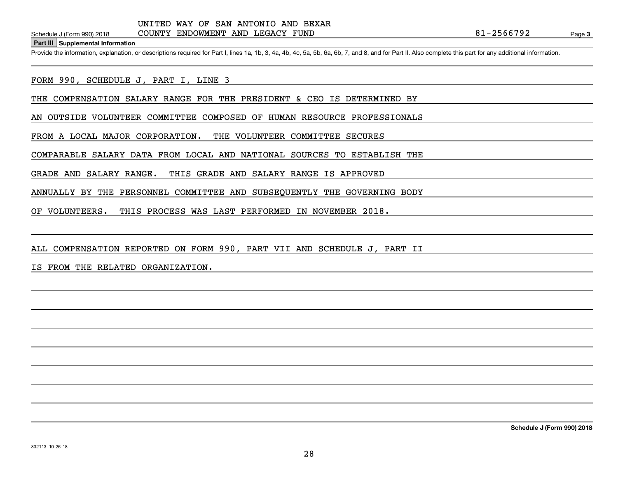**Part III Supplemental Information**

Schedule J (Form 990) 2018 COUNTY ENDOWMENT AND LEGACY FUND<br>Part III Supplemental Information<br>Provide the information, explanation, or descriptions required for Part I, lines 1a, 1b, 3, 4a, 4b, 4c, 5a, 5b, 6a, 6b, 7, and 8

FORM 990, SCHEDULE J, PART I, LINE 3

THE COMPENSATION SALARY RANGE FOR THE PRESIDENT & CEO IS DETERMINED BY

AN OUTSIDE VOLUNTEER COMMITTEE COMPOSED OF HUMAN RESOURCE PROFESSIONALS

FROM A LOCAL MAJOR CORPORATION. THE VOLUNTEER COMMITTEE SECURES

COMPARABLE SALARY DATA FROM LOCAL AND NATIONAL SOURCES TO ESTABLISH THE

GRADE AND SALARY RANGE. THIS GRADE AND SALARY RANGE IS APPROVED

ANNUALLY BY THE PERSONNEL COMMITTEE AND SUBSEQUENTLY THE GOVERNING BODY

OF VOLUNTEERS. THIS PROCESS WAS LAST PERFORMED IN NOVEMBER 2018.

ALL COMPENSATION REPORTED ON FORM 990, PART VII AND SCHEDULE J, PART II

IS FROM THE RELATED ORGANIZATION.

**Schedule J (Form 990) 2018**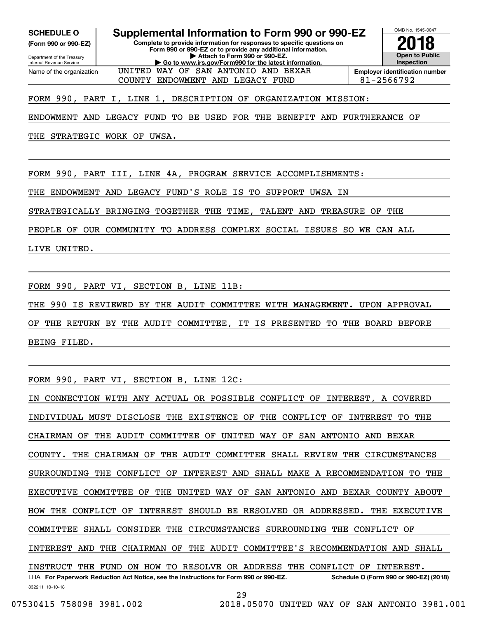Internal Revenue Service

Department of the Treasury **(Form 990 or 990-EZ)**

Name of the organization

**SCHEDULE O Supplemental Information to Form 990 or 990-EZ**

UNITED WAY OF SAN ANTONIO AND BEXAR

**Complete to provide information for responses to specific questions on Form 990 or 990-EZ or to provide any additional information. | Attach to Form 990 or 990-EZ. | Go to www.irs.gov/Form990 for the latest information.**



COUNTY ENDOWMENT AND LEGACY FUND  $\begin{array}{|l|}\n\hline\n\end{array}$  81-2566792

FORM 990, PART I, LINE 1, DESCRIPTION OF ORGANIZATION MISSION:

ENDOWMENT AND LEGACY FUND TO BE USED FOR THE BENEFIT AND FURTHERANCE OF

THE STRATEGIC WORK OF UWSA.

FORM 990, PART III, LINE 4A, PROGRAM SERVICE ACCOMPLISHMENTS:

THE ENDOWMENT AND LEGACY FUND'S ROLE IS TO SUPPORT UWSA IN

STRATEGICALLY BRINGING TOGETHER THE TIME, TALENT AND TREASURE OF THE

PEOPLE OF OUR COMMUNITY TO ADDRESS COMPLEX SOCIAL ISSUES SO WE CAN ALL

LIVE UNITED.

FORM 990, PART VI, SECTION B, LINE 11B:

THE 990 IS REVIEWED BY THE AUDIT COMMITTEE WITH MANAGEMENT. UPON APPROVAL

OF THE RETURN BY THE AUDIT COMMITTEE, IT IS PRESENTED TO THE BOARD BEFORE BEING FILED.

FORM 990, PART VI, SECTION B, LINE 12C:

832211 10-10-18 LHA For Paperwork Reduction Act Notice, see the Instructions for Form 990 or 990-EZ. Schedule O (Form 990 or 990-EZ) (2018) IN CONNECTION WITH ANY ACTUAL OR POSSIBLE CONFLICT OF INTEREST, A COVERED INDIVIDUAL MUST DISCLOSE THE EXISTENCE OF THE CONFLICT OF INTEREST TO THE CHAIRMAN OF THE AUDIT COMMITTEE OF UNITED WAY OF SAN ANTONIO AND BEXAR COUNTY. THE CHAIRMAN OF THE AUDIT COMMITTEE SHALL REVIEW THE CIRCUMSTANCES SURROUNDING THE CONFLICT OF INTEREST AND SHALL MAKE A RECOMMENDATION TO THE EXECUTIVE COMMITTEE OF THE UNITED WAY OF SAN ANTONIO AND BEXAR COUNTY ABOUT HOW THE CONFLICT OF INTEREST SHOULD BE RESOLVED OR ADDRESSED. THE EXECUTIVE COMMITTEE SHALL CONSIDER THE CIRCUMSTANCES SURROUNDING THE CONFLICT OF INTEREST AND THE CHAIRMAN OF THE AUDIT COMMITTEE'S RECOMMENDATION AND SHALL INSTRUCT THE FUND ON HOW TO RESOLVE OR ADDRESS THE CONFLICT OF INTEREST.

 <sup>07530415 758098 3981.002 2018.05070</sup> UNITED WAY OF SAN ANTONIO 3981.001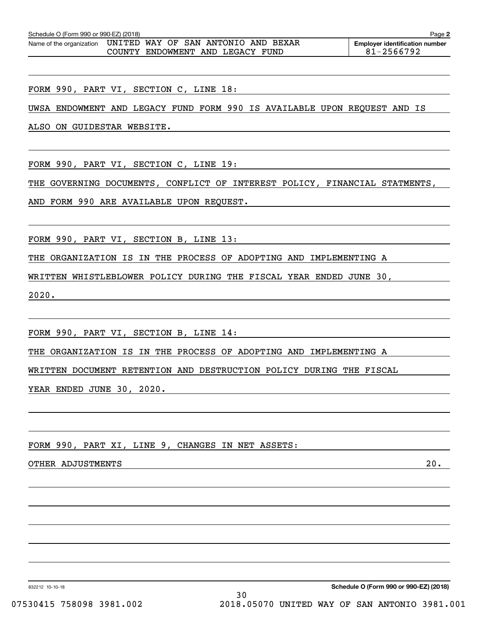| Schedule O (Form 990 or 990-EZ) (2018)<br>Page 2             |  |  |  |  |                                  |  |  |  |                                       |
|--------------------------------------------------------------|--|--|--|--|----------------------------------|--|--|--|---------------------------------------|
| Name of the organization UNITED WAY OF SAN ANTONIO AND BEXAR |  |  |  |  |                                  |  |  |  | <b>Employer identification number</b> |
|                                                              |  |  |  |  | COUNTY ENDOWMENT AND LEGACY FUND |  |  |  | 81-2566792                            |

FORM 990, PART VI, SECTION C, LINE 18:

UWSA ENDOWMENT AND LEGACY FUND FORM 990 IS AVAILABLE UPON REQUEST AND IS

ALSO ON GUIDESTAR WEBSITE.

FORM 990, PART VI, SECTION C, LINE 19:

THE GOVERNING DOCUMENTS, CONFLICT OF INTEREST POLICY, FINANCIAL STATMENTS,

AND FORM 990 ARE AVAILABLE UPON REQUEST.

FORM 990, PART VI, SECTION B, LINE 13:

THE ORGANIZATION IS IN THE PROCESS OF ADOPTING AND IMPLEMENTING A

WRITTEN WHISTLEBLOWER POLICY DURING THE FISCAL YEAR ENDED JUNE 30,

2020.

FORM 990, PART VI, SECTION B, LINE 14:

THE ORGANIZATION IS IN THE PROCESS OF ADOPTING AND IMPLEMENTING A

WRITTEN DOCUMENT RETENTION AND DESTRUCTION POLICY DURING THE FISCAL

YEAR ENDED JUNE 30, 2020.

FORM 990, PART XI, LINE 9, CHANGES IN NET ASSETS:

OTHER ADJUSTMENTS 20.

832212 10-10-18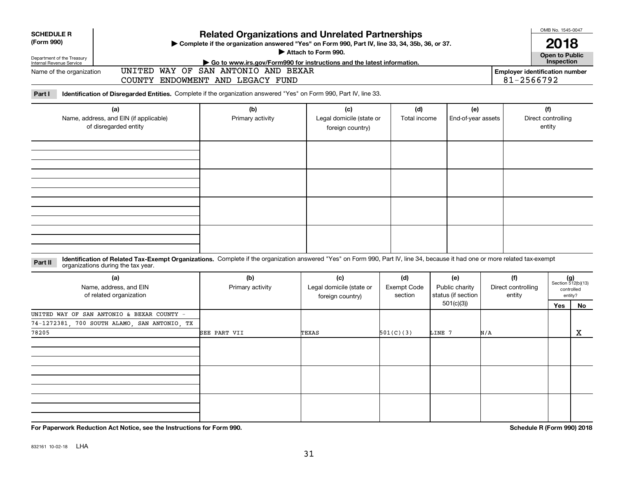| <b>Related Organizations and Unrelated Partnerships</b><br>(Form 990)<br>> Complete if the organization answered "Yes" on Form 990, Part IV, line 33, 34, 35b, 36, or 37.<br>Attach to Form 990.<br><b>Open to Public</b><br>Department of the Treasury<br>Internal Revenue Service<br>Inspection |                             |  |  |  |  |  |  |  |  |  |
|---------------------------------------------------------------------------------------------------------------------------------------------------------------------------------------------------------------------------------------------------------------------------------------------------|-----------------------------|--|--|--|--|--|--|--|--|--|
|                                                                                                                                                                                                                                                                                                   |                             |  |  |  |  |  |  |  |  |  |
|                                                                                                                                                                                                                                                                                                   |                             |  |  |  |  |  |  |  |  |  |
| Go to www.irs.gov/Form990 for instructions and the latest information.<br>UNITED WAY OF SAN ANTONIO AND BEXAR                                                                                                                                                                                     |                             |  |  |  |  |  |  |  |  |  |
| Name of the organization<br><b>Employer identification number</b><br>81-2566792<br>COUNTY ENDOWMENT AND LEGACY FUND                                                                                                                                                                               |                             |  |  |  |  |  |  |  |  |  |
| Identification of Disregarded Entities. Complete if the organization answered "Yes" on Form 990, Part IV, line 33.<br>Part I                                                                                                                                                                      |                             |  |  |  |  |  |  |  |  |  |
| (f)<br>(a)<br>(b)<br>(c)<br>(d)<br>(e)                                                                                                                                                                                                                                                            |                             |  |  |  |  |  |  |  |  |  |
| Name, address, and EIN (if applicable)<br>Primary activity<br>Legal domicile (state or<br>Total income<br>Direct controlling<br>End-of-year assets<br>of disregarded entity<br>entity<br>foreign country)                                                                                         |                             |  |  |  |  |  |  |  |  |  |
|                                                                                                                                                                                                                                                                                                   |                             |  |  |  |  |  |  |  |  |  |
|                                                                                                                                                                                                                                                                                                   |                             |  |  |  |  |  |  |  |  |  |
|                                                                                                                                                                                                                                                                                                   |                             |  |  |  |  |  |  |  |  |  |
|                                                                                                                                                                                                                                                                                                   |                             |  |  |  |  |  |  |  |  |  |
|                                                                                                                                                                                                                                                                                                   |                             |  |  |  |  |  |  |  |  |  |
| Identification of Related Tax-Exempt Organizations. Complete if the organization answered "Yes" on Form 990, Part IV, line 34, because it had one or more related tax-exempt<br>Part II<br>organizations during the tax year.                                                                     |                             |  |  |  |  |  |  |  |  |  |
| (f)<br>(a)<br>(b)<br>(c)<br>(d)<br>(e)                                                                                                                                                                                                                                                            | $(g)$<br>Section 512(b)(13) |  |  |  |  |  |  |  |  |  |
| Name, address, and EIN<br>Legal domicile (state or<br><b>Exempt Code</b><br>Public charity<br>Direct controlling<br>Primary activity<br>status (if section<br>of related organization<br>section<br>entity                                                                                        | controlled<br>entity?       |  |  |  |  |  |  |  |  |  |
| foreign country)<br>501(c)(3)<br>Yes                                                                                                                                                                                                                                                              | No                          |  |  |  |  |  |  |  |  |  |
| UNITED WAY OF SAN ANTONIO & BEXAR COUNTY -                                                                                                                                                                                                                                                        |                             |  |  |  |  |  |  |  |  |  |
| 74-1272381, 700 SOUTH ALAMO, SAN ANTONIO, TX                                                                                                                                                                                                                                                      |                             |  |  |  |  |  |  |  |  |  |
| 78205<br>501(C)(3)<br>SEE PART VII<br>TEXAS<br>LINE 7<br>N/A                                                                                                                                                                                                                                      | X                           |  |  |  |  |  |  |  |  |  |
|                                                                                                                                                                                                                                                                                                   |                             |  |  |  |  |  |  |  |  |  |
|                                                                                                                                                                                                                                                                                                   |                             |  |  |  |  |  |  |  |  |  |
|                                                                                                                                                                                                                                                                                                   |                             |  |  |  |  |  |  |  |  |  |
|                                                                                                                                                                                                                                                                                                   |                             |  |  |  |  |  |  |  |  |  |
|                                                                                                                                                                                                                                                                                                   |                             |  |  |  |  |  |  |  |  |  |
|                                                                                                                                                                                                                                                                                                   |                             |  |  |  |  |  |  |  |  |  |
|                                                                                                                                                                                                                                                                                                   |                             |  |  |  |  |  |  |  |  |  |

**For Paperwork Reduction Act Notice, see the Instructions for Form 990. Schedule R (Form 990) 2018**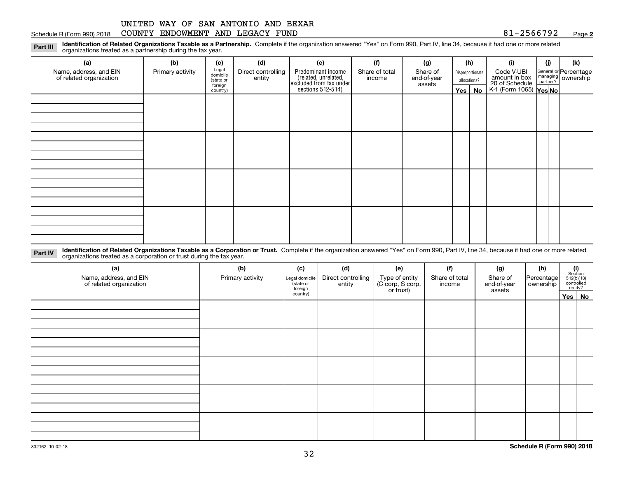### Schedule R (Form 990) 2018 COUNTY ENDOWMENT AND LEGACY FUND 8 $1\text{--}2\text{566792}$  Page

**2**

**Identification of Related Organizations Taxable as a Partnership.** Complete if the organization answered "Yes" on Form 990, Part IV, line 34, because it had one or more related **Part III** organizations treated as a partnership during the tax year.

| (a)                                               | (b)              | (c)                  | (d)                          | (e)                                                                                        | (f)                      | (g)                     | (h)              | (i)                                                       | (j) | (k)                                                     |
|---------------------------------------------------|------------------|----------------------|------------------------------|--------------------------------------------------------------------------------------------|--------------------------|-------------------------|------------------|-----------------------------------------------------------|-----|---------------------------------------------------------|
| Name, address, and EIN<br>of related organization | Primary activity | Legal<br>domicile    | Direct controlling<br>entity | Predominant income<br>(related, unrelated,<br>excluded from tax under<br>sections 512-514) | Share of total<br>income | Share of<br>end-of-year | Disproportionate | Code V-UBI                                                |     | General or Percentage<br>managing ownership<br>partner? |
|                                                   |                  | (state or<br>foreign |                              |                                                                                            |                          | assets                  | allocations?     |                                                           |     |                                                         |
|                                                   |                  | country)             |                              |                                                                                            |                          |                         | Yes   No         | amount in box<br>20 of Schedule<br>K-1 (Form 1065) Yes No |     |                                                         |
|                                                   |                  |                      |                              |                                                                                            |                          |                         |                  |                                                           |     |                                                         |
|                                                   |                  |                      |                              |                                                                                            |                          |                         |                  |                                                           |     |                                                         |
|                                                   |                  |                      |                              |                                                                                            |                          |                         |                  |                                                           |     |                                                         |
|                                                   |                  |                      |                              |                                                                                            |                          |                         |                  |                                                           |     |                                                         |
|                                                   |                  |                      |                              |                                                                                            |                          |                         |                  |                                                           |     |                                                         |
|                                                   |                  |                      |                              |                                                                                            |                          |                         |                  |                                                           |     |                                                         |
|                                                   |                  |                      |                              |                                                                                            |                          |                         |                  |                                                           |     |                                                         |
|                                                   |                  |                      |                              |                                                                                            |                          |                         |                  |                                                           |     |                                                         |
|                                                   |                  |                      |                              |                                                                                            |                          |                         |                  |                                                           |     |                                                         |
|                                                   |                  |                      |                              |                                                                                            |                          |                         |                  |                                                           |     |                                                         |
|                                                   |                  |                      |                              |                                                                                            |                          |                         |                  |                                                           |     |                                                         |
|                                                   |                  |                      |                              |                                                                                            |                          |                         |                  |                                                           |     |                                                         |
|                                                   |                  |                      |                              |                                                                                            |                          |                         |                  |                                                           |     |                                                         |
|                                                   |                  |                      |                              |                                                                                            |                          |                         |                  |                                                           |     |                                                         |
|                                                   |                  |                      |                              |                                                                                            |                          |                         |                  |                                                           |     |                                                         |
|                                                   |                  |                      |                              |                                                                                            |                          |                         |                  |                                                           |     |                                                         |
|                                                   |                  |                      |                              |                                                                                            |                          |                         |                  |                                                           |     |                                                         |

**Identification of Related Organizations Taxable as a Corporation or Trust.** Complete if the organization answered "Yes" on Form 990, Part IV, line 34, because it had one or more related **Part IV** organizations treated as a corporation or trust during the tax year.

| (a)<br>Name, address, and EIN<br>of related organization | (b)<br>Primary activity | (c)<br>Legal domicile<br>(state or<br>foreign | (d)<br>Direct controlling<br>entity | (e)<br>Type of entity<br>(C corp, S corp,<br>or trust) | (f)<br>Share of total<br>income | (g)<br>Share of<br>end-of-year<br>assets | (h)<br>Percentage<br>ownership | $\begin{array}{c} \textbf{(i)}\\ \text{Section}\\ 512 \text{(b)} \text{(13)}\\ \text{controlled}\\ \text{entity?} \end{array}$ |
|----------------------------------------------------------|-------------------------|-----------------------------------------------|-------------------------------------|--------------------------------------------------------|---------------------------------|------------------------------------------|--------------------------------|--------------------------------------------------------------------------------------------------------------------------------|
|                                                          |                         | country)                                      |                                     |                                                        |                                 |                                          |                                | Yes No                                                                                                                         |
|                                                          |                         |                                               |                                     |                                                        |                                 |                                          |                                |                                                                                                                                |
|                                                          |                         |                                               |                                     |                                                        |                                 |                                          |                                |                                                                                                                                |
|                                                          |                         |                                               |                                     |                                                        |                                 |                                          |                                |                                                                                                                                |
|                                                          |                         |                                               |                                     |                                                        |                                 |                                          |                                |                                                                                                                                |
|                                                          |                         |                                               |                                     |                                                        |                                 |                                          |                                |                                                                                                                                |
|                                                          |                         |                                               |                                     |                                                        |                                 |                                          |                                |                                                                                                                                |
|                                                          |                         |                                               |                                     |                                                        |                                 |                                          |                                |                                                                                                                                |
|                                                          |                         |                                               |                                     |                                                        |                                 |                                          |                                |                                                                                                                                |
|                                                          |                         |                                               |                                     |                                                        |                                 |                                          |                                |                                                                                                                                |
|                                                          |                         |                                               |                                     |                                                        |                                 |                                          |                                |                                                                                                                                |
|                                                          |                         |                                               |                                     |                                                        |                                 |                                          |                                |                                                                                                                                |
|                                                          |                         |                                               |                                     |                                                        |                                 |                                          |                                |                                                                                                                                |
|                                                          |                         |                                               |                                     |                                                        |                                 |                                          |                                |                                                                                                                                |
|                                                          |                         |                                               |                                     |                                                        |                                 |                                          |                                |                                                                                                                                |
|                                                          |                         |                                               |                                     |                                                        |                                 |                                          |                                |                                                                                                                                |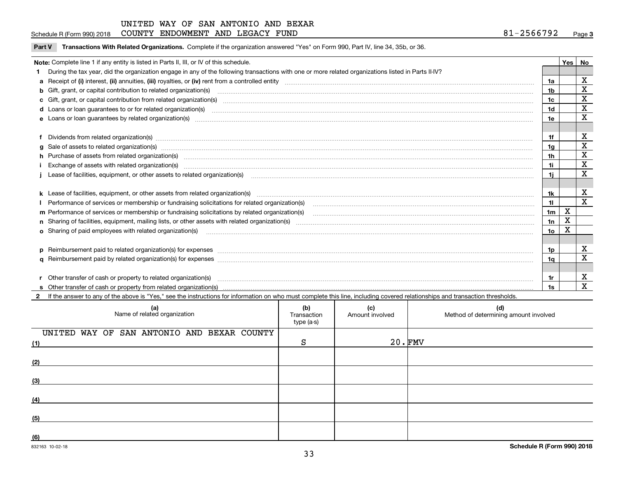### Schedule R (Form 990) 2018 COUNTY ENDOWMENT AND LEGACY FUND 8 $1\text{--}2\text{566792}$  Page

**Part V** T**ransactions With Related Organizations.** Complete if the organization answered "Yes" on Form 990, Part IV, line 34, 35b, or 36.

| Note: Complete line 1 if any entity is listed in Parts II, III, or IV of this schedule.                                                                                                                                        |                | Yes | <b>No</b>   |
|--------------------------------------------------------------------------------------------------------------------------------------------------------------------------------------------------------------------------------|----------------|-----|-------------|
| During the tax year, did the organization engage in any of the following transactions with one or more related organizations listed in Parts II-IV?                                                                            |                |     |             |
|                                                                                                                                                                                                                                | 1a             |     | X           |
| b Gift, grant, or capital contribution to related organization(s) manufaction contracts and contribution to related organization(s)                                                                                            | 1b             |     | X           |
|                                                                                                                                                                                                                                | 1 <sub>c</sub> |     | X           |
|                                                                                                                                                                                                                                | 1d             |     | X           |
| d Loans or loan guarantees to or for related organization(s) mature material content to consume the content of the content of the content of the content of the content of the content of the content of the content of the co |                |     | X           |
|                                                                                                                                                                                                                                | 1e             |     |             |
|                                                                                                                                                                                                                                |                |     |             |
| Dividends from related organization(s) manufactured and contract and contract and contract and contract and contract and contract and contract and contract and contract and contract and contract and contract and contract a | 1f             |     | X           |
| $g$ Sale of assets to related organization(s) manufacture content to the content of the content of the content of the content of the content of the content of the content of the content of the content of the content of th  | 1a             |     | $\mathbf X$ |
| h Purchase of assets from related organization(s) manufactured content to content the content of the content of the content of the content of the content of the content of the content of the content of the content of the c | 1 <sub>h</sub> |     | $\mathbf X$ |
|                                                                                                                                                                                                                                | 1i             |     | X           |
| Lease of facilities, equipment, or other assets to related organization(s) material content and content and content and content and content and content and content and content and content and content and content and conten | 11             |     | X           |
|                                                                                                                                                                                                                                |                |     |             |
|                                                                                                                                                                                                                                | 1k             |     | X           |
| Performance of services or membership or fundraising solicitations for related organization(s) [11] processors content to the service or services or membership or fundraising solicitations for related organization(s) [11]  | 11             |     | X           |
| m Performance of services or membership or fundraising solicitations by related organization(s)                                                                                                                                | 1 <sub>m</sub> | X   |             |
|                                                                                                                                                                                                                                | 1n             | X   |             |
| <b>o</b> Sharing of paid employees with related organization(s)                                                                                                                                                                | 1о             | Χ   |             |
|                                                                                                                                                                                                                                |                |     |             |
| p Reimbursement paid to related organization(s) for expenses [1111] and the content of the content of the content of the content of the content of the content of the content of the content of the content of the content of  | 1p             |     | X           |
|                                                                                                                                                                                                                                | 1a             |     | X           |
|                                                                                                                                                                                                                                |                |     |             |
|                                                                                                                                                                                                                                |                |     | х           |
| Other transfer of cash or property to related organization(s)                                                                                                                                                                  | 1r             |     | X           |
|                                                                                                                                                                                                                                |                |     |             |

**2**If the answer to any of the above is "Yes," see the instructions for information on who must complete this line, including covered relationships and transaction thresholds.

| (a)<br>Name of related organization               | (b)<br>Transaction<br>type (a-s) | (c)<br>Amount involved | (d)<br>Method of determining amount involved |
|---------------------------------------------------|----------------------------------|------------------------|----------------------------------------------|
| UNITED WAY OF SAN ANTONIO AND BEXAR COUNTY<br>(1) | S                                | $20 \cdot$ FMV         |                                              |
| (2)                                               |                                  |                        |                                              |
| (3)                                               |                                  |                        |                                              |
| (4)                                               |                                  |                        |                                              |
| (5)                                               |                                  |                        |                                              |
| (6)                                               |                                  |                        |                                              |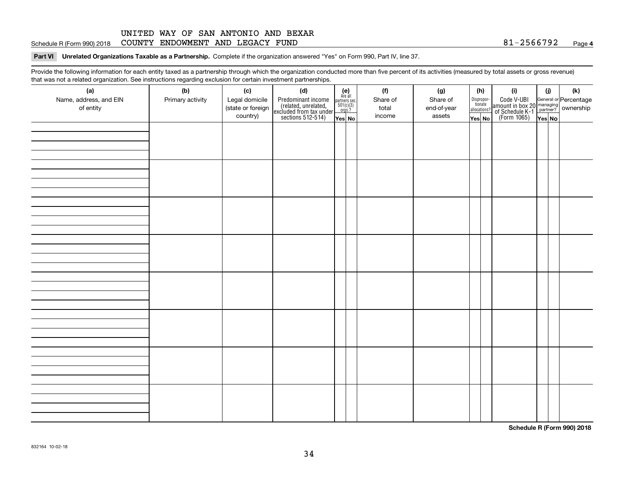### **4**Schedule R (Form 990) 2018 COUNTY ENDOWMENT AND LEGACY FUND 8 $1\text{--}2\text{566792}$  Page

### **Part VI Unrelated Organizations Taxable as a Partnership. Complete if the organization answered "Yes" on Form 990, Part IV, line 37.**

Provide the following information for each entity taxed as a partnership through which the organization conducted more than five percent of its activities (measured by total assets or gross revenue) that was not a related organization. See instructions regarding exclusion for certain investment partnerships.

| (a)<br>Name, address, and EIN<br>of entity | ັ<br>(b)<br>Primary activity | (c)<br>Legal domicile<br>(state or foreign<br>country) | (d)<br>Predominant income<br>(related, unrelated,<br>excluded from tax under<br>sections 512-514) | $(e)$<br>Are all<br>partners sec.<br>501(c)(3)<br>orgs.?<br>Yes No | (f)<br>Share of<br>total<br>income | (g)<br>Share of<br>end-of-year<br>assets | (h)<br>Dispropor-<br>tionate<br>allocations?<br>Yes No | (i)<br>Code V-UBI<br>amount in box 20 managing<br>of Schedule K-1 partner?<br>(Form 1065)<br>ves No | (i)<br>Yes No | (k) |
|--------------------------------------------|------------------------------|--------------------------------------------------------|---------------------------------------------------------------------------------------------------|--------------------------------------------------------------------|------------------------------------|------------------------------------------|--------------------------------------------------------|-----------------------------------------------------------------------------------------------------|---------------|-----|
|                                            |                              |                                                        |                                                                                                   |                                                                    |                                    |                                          |                                                        |                                                                                                     |               |     |
|                                            |                              |                                                        |                                                                                                   |                                                                    |                                    |                                          |                                                        |                                                                                                     |               |     |
|                                            |                              |                                                        |                                                                                                   |                                                                    |                                    |                                          |                                                        |                                                                                                     |               |     |
|                                            |                              |                                                        |                                                                                                   |                                                                    |                                    |                                          |                                                        |                                                                                                     |               |     |
|                                            |                              |                                                        |                                                                                                   |                                                                    |                                    |                                          |                                                        |                                                                                                     |               |     |
|                                            |                              |                                                        |                                                                                                   |                                                                    |                                    |                                          |                                                        |                                                                                                     |               |     |
|                                            |                              |                                                        |                                                                                                   |                                                                    |                                    |                                          |                                                        |                                                                                                     |               |     |
|                                            |                              |                                                        |                                                                                                   |                                                                    |                                    |                                          |                                                        |                                                                                                     |               |     |

**Schedule R (Form 990) 2018**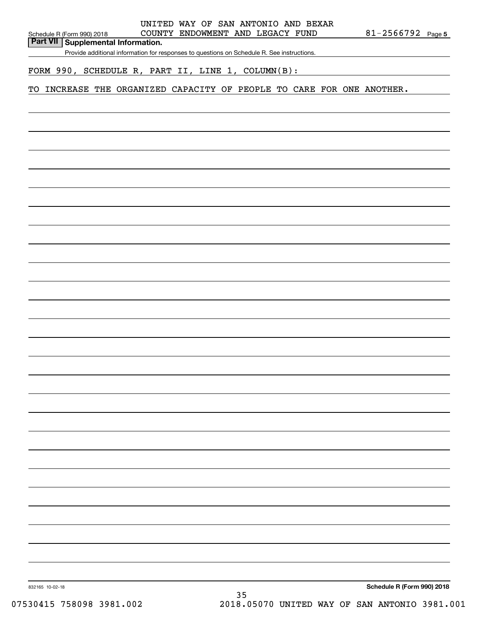### **Part VII Supplemental Information.**

Provide additional information for responses to questions on Schedule R. See instructions.

## FORM 990, SCHEDULE R, PART II, LINE 1, COLUMN(B):

## TO INCREASE THE ORGANIZED CAPACITY OF PEOPLE TO CARE FOR ONE ANOTHER.

**Schedule R (Form 990) 2018**